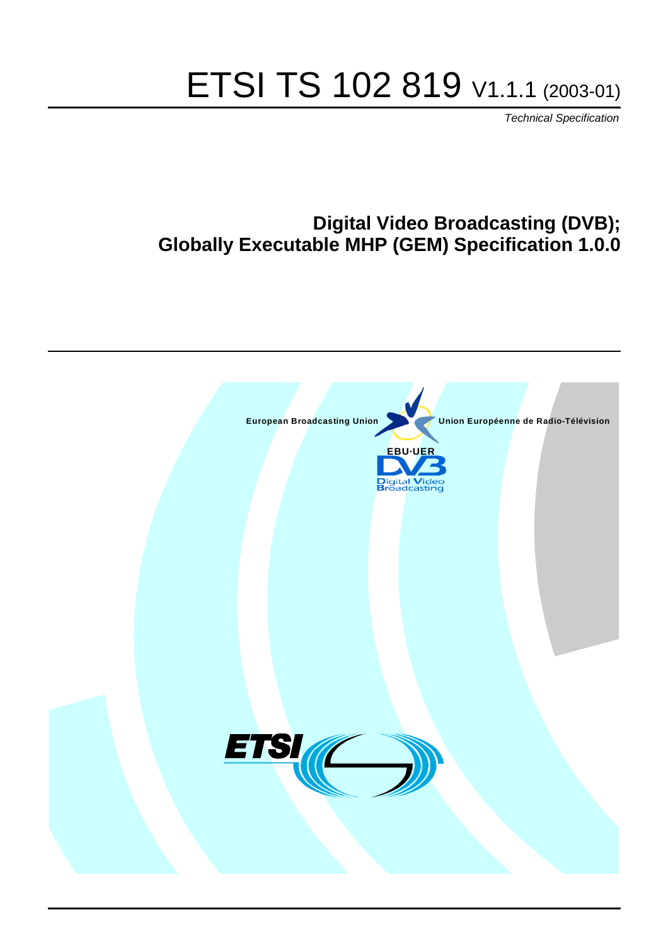# ETSI TS 102 819 V1.1.1 (2003-01)

Technical Specification

## **Digital Video Broadcasting (DVB); Globally Executable MHP (GEM) Specification 1.0.0**

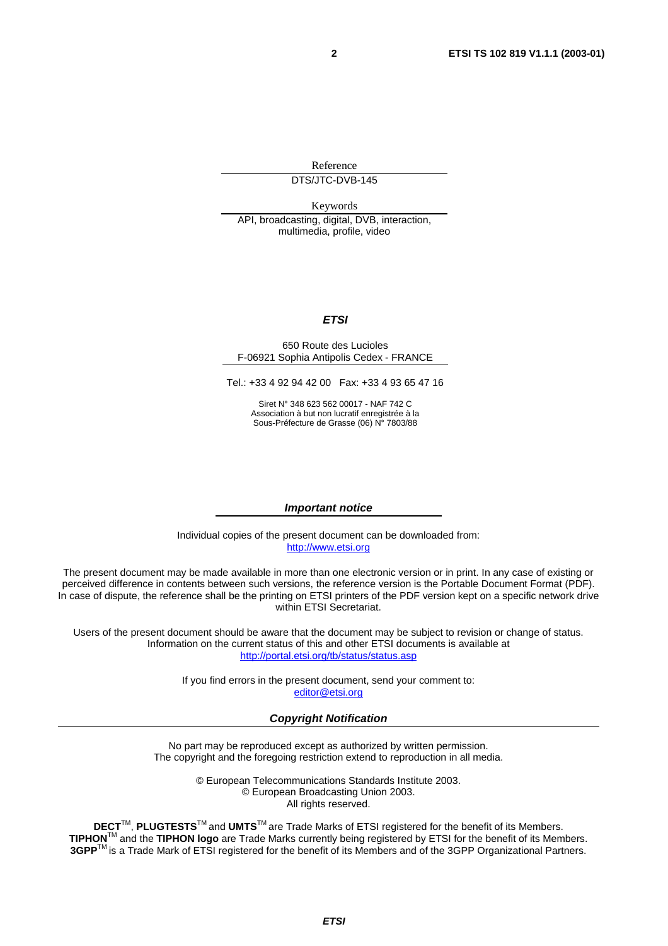Reference

DTS/JTC-DVB-145

Keywords

API, broadcasting, digital, DVB, interaction, multimedia, profile, video

#### **ETSI**

#### 650 Route des Lucioles F-06921 Sophia Antipolis Cedex - FRANCE

Tel.: +33 4 92 94 42 00 Fax: +33 4 93 65 47 16

Siret N° 348 623 562 00017 - NAF 742 C Association à but non lucratif enregistrée à la Sous-Préfecture de Grasse (06) N° 7803/88

#### **Important notice**

Individual copies of the present document can be downloaded from: [http://www.etsi.org](http://www.etsi.org/)

The present document may be made available in more than one electronic version or in print. In any case of existing or perceived difference in contents between such versions, the reference version is the Portable Document Format (PDF). In case of dispute, the reference shall be the printing on ETSI printers of the PDF version kept on a specific network drive within ETSI Secretariat.

Users of the present document should be aware that the document may be subject to revision or change of status. Information on the current status of this and other ETSI documents is available at <http://portal.etsi.org/tb/status/status.asp>

> If you find errors in the present document, send your comment to: [editor@etsi.org](mailto:editor@etsi.org)

#### **Copyright Notification**

No part may be reproduced except as authorized by written permission. The copyright and the foregoing restriction extend to reproduction in all media.

> © European Telecommunications Standards Institute 2003. © European Broadcasting Union 2003. All rights reserved.

**DECT**TM, **PLUGTESTS**TM and **UMTS**TM are Trade Marks of ETSI registered for the benefit of its Members. **TIPHON**TM and the **TIPHON logo** are Trade Marks currently being registered by ETSI for the benefit of its Members. **3GPP**TM is a Trade Mark of ETSI registered for the benefit of its Members and of the 3GPP Organizational Partners.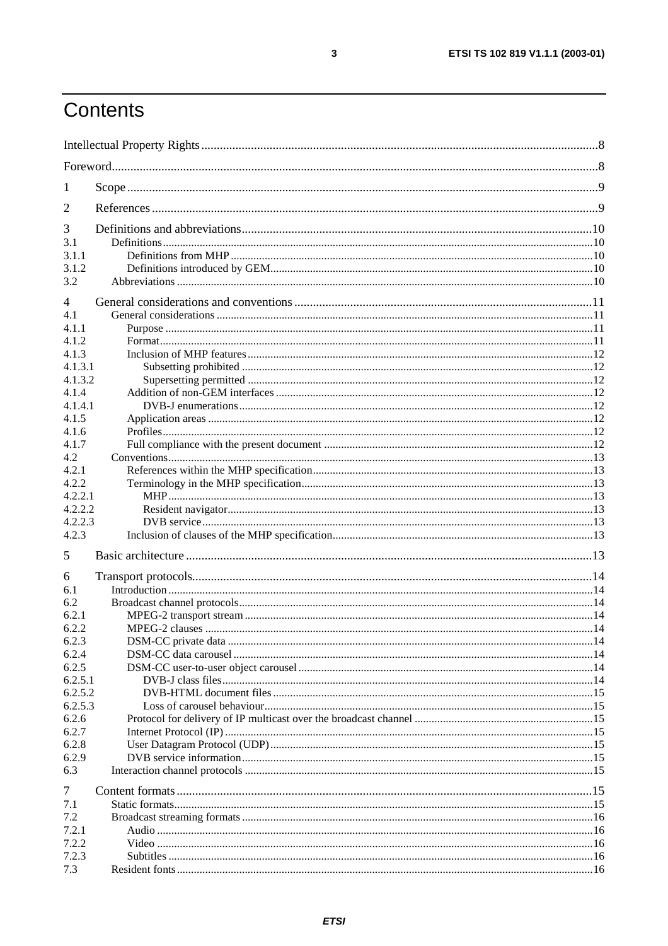## Contents

| 1<br>3<br>3.1<br>3.1.1<br>3.1.2<br>3.2<br>$\overline{4}$<br>4.1<br>4.1.2<br>4.1.3.1<br>4.1.3.2<br>4.1.4.1<br>4.1.6<br>4.1.7<br>4.2<br>4.2.1<br>4.2.2<br>4.2.2.1<br>4.2.2.2<br>4.2.2.3<br>4.2.3<br>5<br>6<br>6.1<br>6.2<br>6.2.1<br>6.2.2<br>6.2.3<br>6.2.4<br>6.2.5<br>6.2.5.1<br>6.2.5.2<br>6.2.5.3<br>6.2.6<br>6.2.7<br>6.2.8<br>7<br>7.1<br>7.2<br>7.2.1<br>7.2.2<br>7.2.3<br>7.3 |       |  |
|--------------------------------------------------------------------------------------------------------------------------------------------------------------------------------------------------------------------------------------------------------------------------------------------------------------------------------------------------------------------------------------|-------|--|
|                                                                                                                                                                                                                                                                                                                                                                                      |       |  |
|                                                                                                                                                                                                                                                                                                                                                                                      |       |  |
|                                                                                                                                                                                                                                                                                                                                                                                      | 2     |  |
|                                                                                                                                                                                                                                                                                                                                                                                      |       |  |
|                                                                                                                                                                                                                                                                                                                                                                                      |       |  |
|                                                                                                                                                                                                                                                                                                                                                                                      |       |  |
|                                                                                                                                                                                                                                                                                                                                                                                      |       |  |
|                                                                                                                                                                                                                                                                                                                                                                                      |       |  |
|                                                                                                                                                                                                                                                                                                                                                                                      |       |  |
|                                                                                                                                                                                                                                                                                                                                                                                      |       |  |
|                                                                                                                                                                                                                                                                                                                                                                                      | 4.1.1 |  |
|                                                                                                                                                                                                                                                                                                                                                                                      |       |  |
|                                                                                                                                                                                                                                                                                                                                                                                      | 4.1.3 |  |
|                                                                                                                                                                                                                                                                                                                                                                                      |       |  |
|                                                                                                                                                                                                                                                                                                                                                                                      |       |  |
|                                                                                                                                                                                                                                                                                                                                                                                      | 4.1.4 |  |
|                                                                                                                                                                                                                                                                                                                                                                                      |       |  |
|                                                                                                                                                                                                                                                                                                                                                                                      | 4.1.5 |  |
|                                                                                                                                                                                                                                                                                                                                                                                      |       |  |
|                                                                                                                                                                                                                                                                                                                                                                                      |       |  |
|                                                                                                                                                                                                                                                                                                                                                                                      |       |  |
|                                                                                                                                                                                                                                                                                                                                                                                      |       |  |
|                                                                                                                                                                                                                                                                                                                                                                                      |       |  |
|                                                                                                                                                                                                                                                                                                                                                                                      |       |  |
|                                                                                                                                                                                                                                                                                                                                                                                      |       |  |
|                                                                                                                                                                                                                                                                                                                                                                                      |       |  |
|                                                                                                                                                                                                                                                                                                                                                                                      |       |  |
|                                                                                                                                                                                                                                                                                                                                                                                      |       |  |
|                                                                                                                                                                                                                                                                                                                                                                                      |       |  |
|                                                                                                                                                                                                                                                                                                                                                                                      |       |  |
|                                                                                                                                                                                                                                                                                                                                                                                      |       |  |
|                                                                                                                                                                                                                                                                                                                                                                                      |       |  |
|                                                                                                                                                                                                                                                                                                                                                                                      |       |  |
|                                                                                                                                                                                                                                                                                                                                                                                      |       |  |
|                                                                                                                                                                                                                                                                                                                                                                                      |       |  |
|                                                                                                                                                                                                                                                                                                                                                                                      |       |  |
|                                                                                                                                                                                                                                                                                                                                                                                      |       |  |
|                                                                                                                                                                                                                                                                                                                                                                                      |       |  |
|                                                                                                                                                                                                                                                                                                                                                                                      |       |  |
|                                                                                                                                                                                                                                                                                                                                                                                      |       |  |
|                                                                                                                                                                                                                                                                                                                                                                                      |       |  |
|                                                                                                                                                                                                                                                                                                                                                                                      | 6.2.9 |  |
|                                                                                                                                                                                                                                                                                                                                                                                      | 6.3   |  |
|                                                                                                                                                                                                                                                                                                                                                                                      |       |  |
|                                                                                                                                                                                                                                                                                                                                                                                      |       |  |
|                                                                                                                                                                                                                                                                                                                                                                                      |       |  |
|                                                                                                                                                                                                                                                                                                                                                                                      |       |  |
|                                                                                                                                                                                                                                                                                                                                                                                      |       |  |
|                                                                                                                                                                                                                                                                                                                                                                                      |       |  |
|                                                                                                                                                                                                                                                                                                                                                                                      |       |  |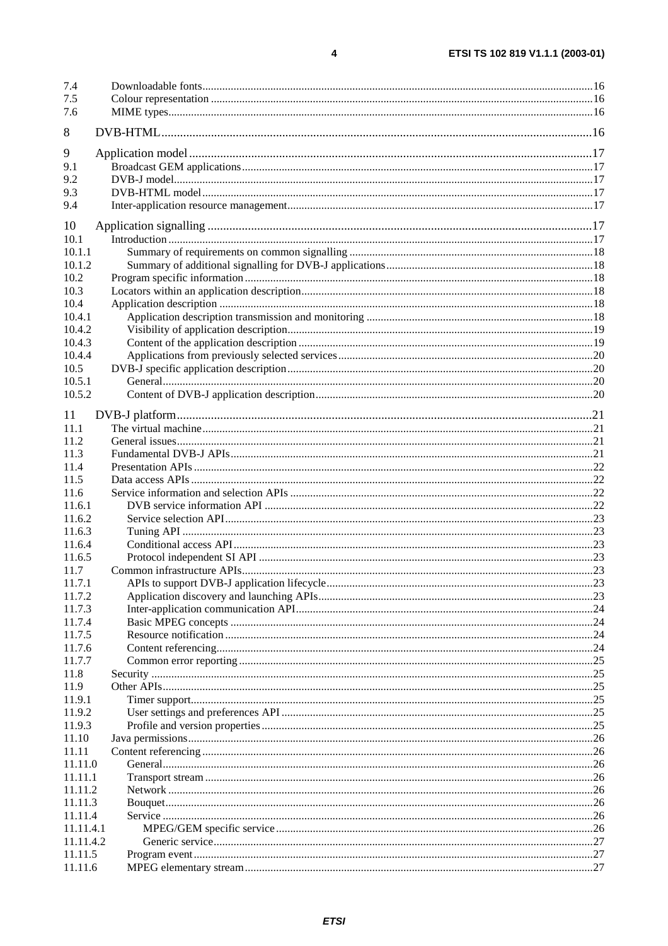| 7.4            |  |
|----------------|--|
| 7.5            |  |
| 7.6            |  |
| 8              |  |
| 9              |  |
| 9.1            |  |
| 9.2            |  |
| 9.3            |  |
| 9.4            |  |
| 10             |  |
| 10.1           |  |
| 10.1.1         |  |
| 10.1.2         |  |
| 10.2           |  |
| 10.3<br>10.4   |  |
| 10.4.1         |  |
| 10.4.2         |  |
| 10.4.3         |  |
| 10.4.4         |  |
| 10.5           |  |
| 10.5.1         |  |
| 10.5.2         |  |
| 11             |  |
| 11.1           |  |
| 11.2           |  |
| 11.3           |  |
| 11.4           |  |
| 11.5           |  |
| 11.6           |  |
| 11.6.1         |  |
| 11.6.2         |  |
| 11.6.3         |  |
| 11.6.4         |  |
| 11.6.5<br>11.7 |  |
| 11.7.1         |  |
| 11.7.2         |  |
| 11.7.3         |  |
| 11.7.4         |  |
| 11.7.5         |  |
| 11.7.6         |  |
| 11.7.7         |  |
| 11.8           |  |
| 11.9           |  |
| 11.9.1         |  |
| 11.9.2         |  |
| 11.9.3         |  |
| 11.10<br>11.11 |  |
| 11.11.0        |  |
| 11.11.1        |  |
| 11.11.2        |  |
| 11.11.3        |  |
| 11.11.4        |  |
| 11.11.4.1      |  |
| 11.11.4.2      |  |
| 11.11.5        |  |
| 11.11.6        |  |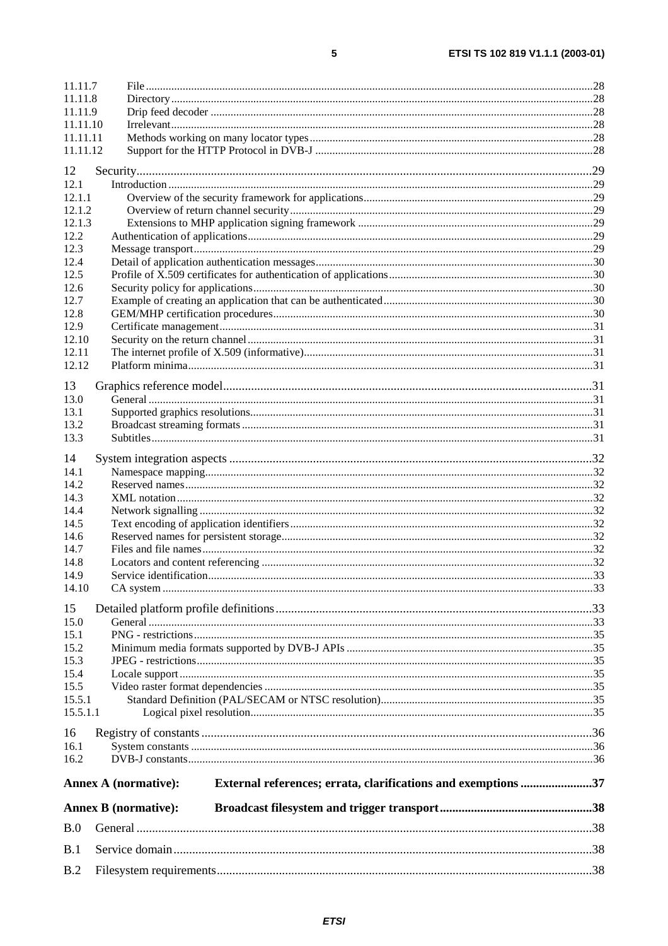| 11.11.7            |                                                                                              |  |  |
|--------------------|----------------------------------------------------------------------------------------------|--|--|
| 11.11.8<br>11.11.9 |                                                                                              |  |  |
| 11.11.10           |                                                                                              |  |  |
| 11.11.11           |                                                                                              |  |  |
| 11.11.12           |                                                                                              |  |  |
| 12                 |                                                                                              |  |  |
| 12.1               |                                                                                              |  |  |
| 12.1.1             |                                                                                              |  |  |
| 12.1.2             |                                                                                              |  |  |
| 12.1.3             |                                                                                              |  |  |
| 12.2<br>12.3       |                                                                                              |  |  |
| 12.4               |                                                                                              |  |  |
| 12.5               |                                                                                              |  |  |
| 12.6               |                                                                                              |  |  |
| 12.7               |                                                                                              |  |  |
| 12.8               |                                                                                              |  |  |
| 12.9               |                                                                                              |  |  |
| 12.10              |                                                                                              |  |  |
| 12.11              |                                                                                              |  |  |
| 12.12              |                                                                                              |  |  |
| 13                 |                                                                                              |  |  |
| 13.0               |                                                                                              |  |  |
| 13.1               |                                                                                              |  |  |
| 13.2               |                                                                                              |  |  |
| 13.3               |                                                                                              |  |  |
| 14                 |                                                                                              |  |  |
| 14.1               |                                                                                              |  |  |
| 14.2               |                                                                                              |  |  |
| 14.3               |                                                                                              |  |  |
| 14.4               |                                                                                              |  |  |
| 14.5<br>14.6       |                                                                                              |  |  |
| 14.7               |                                                                                              |  |  |
| 14.8               |                                                                                              |  |  |
| 14.9               |                                                                                              |  |  |
| 14.10              |                                                                                              |  |  |
| 15                 |                                                                                              |  |  |
| 15.0               |                                                                                              |  |  |
| 15.1               |                                                                                              |  |  |
| 15.2               |                                                                                              |  |  |
| 15.3               |                                                                                              |  |  |
| 15.4               |                                                                                              |  |  |
| 15.5               |                                                                                              |  |  |
| 15.5.1             |                                                                                              |  |  |
| 15.5.1.1           |                                                                                              |  |  |
| 16                 |                                                                                              |  |  |
| 16.1               |                                                                                              |  |  |
| 16.2               |                                                                                              |  |  |
|                    | External references; errata, clarifications and exemptions 37<br><b>Annex A (normative):</b> |  |  |
|                    | <b>Annex B</b> (normative):                                                                  |  |  |
| B.0                |                                                                                              |  |  |
| B.1                |                                                                                              |  |  |
| B.2                |                                                                                              |  |  |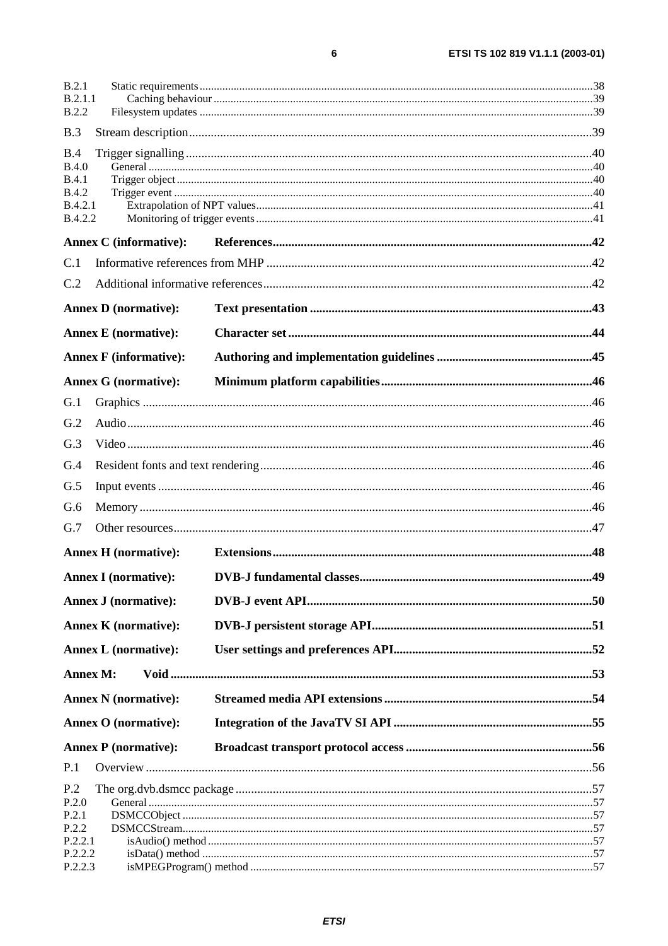| B.2.1<br>B.2.1.1             |                               |  |
|------------------------------|-------------------------------|--|
| <b>B.2.2</b>                 |                               |  |
| B.3                          |                               |  |
| B.4                          |                               |  |
| <b>B.4.0</b>                 |                               |  |
| <b>B.4.1</b><br><b>B.4.2</b> |                               |  |
| B.4.2.1                      |                               |  |
| <b>B.4.2.2</b>               |                               |  |
|                              | <b>Annex C</b> (informative): |  |
| C.1                          |                               |  |
| C.2                          |                               |  |
|                              | <b>Annex D</b> (normative):   |  |
|                              | <b>Annex E</b> (normative):   |  |
|                              | <b>Annex F</b> (informative): |  |
|                              | <b>Annex G</b> (normative):   |  |
| G.1                          |                               |  |
| G.2                          |                               |  |
| G.3                          |                               |  |
| G.4                          |                               |  |
| G.5                          |                               |  |
| G.6                          |                               |  |
| G.7                          |                               |  |
|                              | <b>Annex H</b> (normative):   |  |
|                              | <b>Annex I</b> (normative):   |  |
|                              | <b>Annex J (normative):</b>   |  |
|                              | <b>Annex K</b> (normative):   |  |
|                              | <b>Annex L</b> (normative):   |  |
|                              | Annex M:                      |  |
|                              | <b>Annex N</b> (normative):   |  |
|                              | <b>Annex O</b> (normative):   |  |
|                              | <b>Annex P</b> (normative):   |  |
| P.1                          |                               |  |
| P.2                          |                               |  |
| P.2.0                        |                               |  |
| P.2.1<br>P.2.2               |                               |  |
| P.2.2.1                      |                               |  |
| P.2.2.2                      |                               |  |
| P.2.2.3                      |                               |  |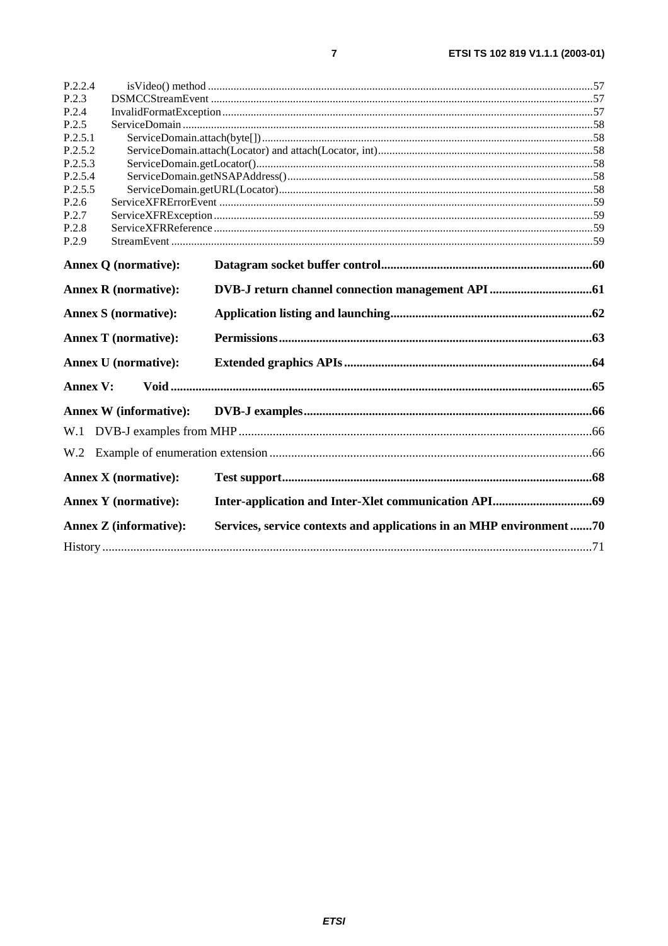| P.2.2.4         |                               |                                                                     |  |
|-----------------|-------------------------------|---------------------------------------------------------------------|--|
| P.2.3           |                               |                                                                     |  |
| P.2.4           |                               |                                                                     |  |
| P.2.5           |                               |                                                                     |  |
| P.2.5.1         |                               |                                                                     |  |
| P.2.5.2         |                               |                                                                     |  |
| P.2.5.3         |                               |                                                                     |  |
| P.2.5.4         |                               |                                                                     |  |
| P.2.5.5         |                               |                                                                     |  |
| P.2.6           |                               |                                                                     |  |
| P.2.7           |                               |                                                                     |  |
| P.2.8           |                               |                                                                     |  |
| P.2.9           |                               |                                                                     |  |
|                 | <b>Annex Q (normative):</b>   |                                                                     |  |
|                 | <b>Annex R</b> (normative):   |                                                                     |  |
|                 | <b>Annex S (normative):</b>   |                                                                     |  |
|                 | <b>Annex T</b> (normative):   |                                                                     |  |
|                 | <b>Annex U</b> (normative):   |                                                                     |  |
| <b>Annex V:</b> |                               |                                                                     |  |
|                 | <b>Annex W</b> (informative): |                                                                     |  |
|                 |                               |                                                                     |  |
| W.2             |                               |                                                                     |  |
|                 | <b>Annex X</b> (normative):   |                                                                     |  |
|                 | <b>Annex Y</b> (normative):   |                                                                     |  |
|                 | <b>Annex Z</b> (informative): | Services, service contexts and applications in an MHP environment70 |  |
|                 |                               |                                                                     |  |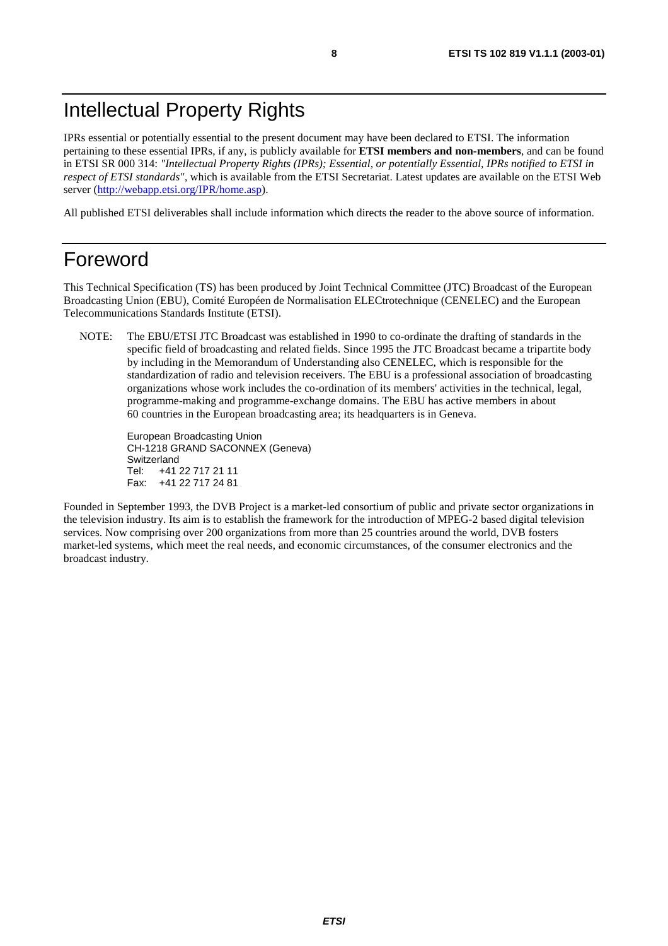## Intellectual Property Rights

IPRs essential or potentially essential to the present document may have been declared to ETSI. The information pertaining to these essential IPRs, if any, is publicly available for **ETSI members and non-members**, and can be found in ETSI SR 000 314: *"Intellectual Property Rights (IPRs); Essential, or potentially Essential, IPRs notified to ETSI in respect of ETSI standards"*, which is available from the ETSI Secretariat. Latest updates are available on the ETSI Web server ([http://webapp.etsi.org/IPR/home.asp\)](http://webapp.etsi.org/IPR/home.asp).

All published ETSI deliverables shall include information which directs the reader to the above source of information.

### Foreword

This Technical Specification (TS) has been produced by Joint Technical Committee (JTC) Broadcast of the European Broadcasting Union (EBU), Comité Européen de Normalisation ELECtrotechnique (CENELEC) and the European Telecommunications Standards Institute (ETSI).

NOTE: The EBU/ETSI JTC Broadcast was established in 1990 to co-ordinate the drafting of standards in the specific field of broadcasting and related fields. Since 1995 the JTC Broadcast became a tripartite body by including in the Memorandum of Understanding also CENELEC, which is responsible for the standardization of radio and television receivers. The EBU is a professional association of broadcasting organizations whose work includes the co-ordination of its members' activities in the technical, legal, programme-making and programme-exchange domains. The EBU has active members in about 60 countries in the European broadcasting area; its headquarters is in Geneva.

European Broadcasting Union CH-1218 GRAND SACONNEX (Geneva) Switzerland Tel: +41 22 717 21 11 Fax: +41 22 717 24 81

Founded in September 1993, the DVB Project is a market-led consortium of public and private sector organizations in the television industry. Its aim is to establish the framework for the introduction of MPEG-2 based digital television services. Now comprising over 200 organizations from more than 25 countries around the world, DVB fosters market-led systems, which meet the real needs, and economic circumstances, of the consumer electronics and the broadcast industry.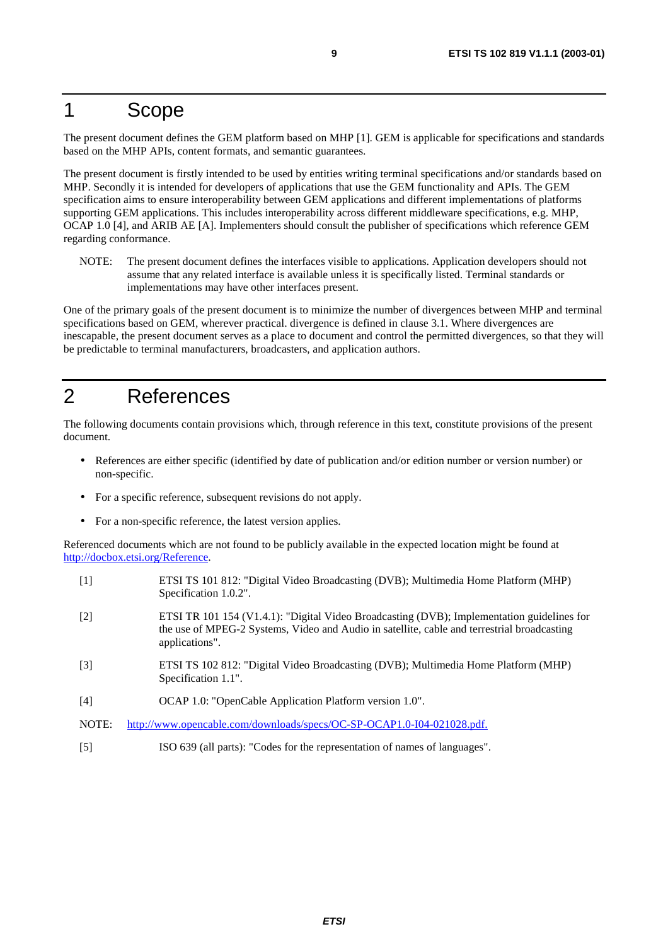### 1 Scope

The present document defines the GEM platform based on MHP [1]. GEM is applicable for specifications and standards based on the MHP APIs, content formats, and semantic guarantees.

The present document is firstly intended to be used by entities writing terminal specifications and/or standards based on MHP. Secondly it is intended for developers of applications that use the GEM functionality and APIs. The GEM specification aims to ensure interoperability between GEM applications and different implementations of platforms supporting GEM applications. This includes interoperability across different middleware specifications, e.g. MHP, OCAP 1.0 [4], and ARIB AE [A]. Implementers should consult the publisher of specifications which reference GEM regarding conformance.

NOTE: The present document defines the interfaces visible to applications. Application developers should not assume that any related interface is available unless it is specifically listed. Terminal standards or implementations may have other interfaces present.

One of the primary goals of the present document is to minimize the number of divergences between MHP and terminal specifications based on GEM, wherever practical. divergence is defined in clause 3.1. Where divergences are inescapable, the present document serves as a place to document and control the permitted divergences, so that they will be predictable to terminal manufacturers, broadcasters, and application authors.

## 2 References

The following documents contain provisions which, through reference in this text, constitute provisions of the present document.

- References are either specific (identified by date of publication and/or edition number or version number) or non-specific.
- For a specific reference, subsequent revisions do not apply.
- For a non-specific reference, the latest version applies.

Referenced documents which are not found to be publicly available in the expected location might be found at <http://docbox.etsi.org/Reference>.

- [1] ETSI TS 101 812: "Digital Video Broadcasting (DVB); Multimedia Home Platform (MHP) Specification 1.0.2".
- [2] ETSI TR 101 154 (V1.4.1): "Digital Video Broadcasting (DVB); Implementation guidelines for the use of MPEG-2 Systems, Video and Audio in satellite, cable and terrestrial broadcasting applications".
- [3] ETSI TS 102 812: "Digital Video Broadcasting (DVB); Multimedia Home Platform (MHP) Specification 1.1".
- [4] OCAP 1.0: "OpenCable Application Platform version 1.0".
- NOTE: [http://www.opencable.com/downloads/specs/OC-SP-OCAP1.0-I04-021028.pdf.](http://www.opencable.com/downloads/specs/OC-SP-OCAP1.0-I04-021028.pdf)
- [5] ISO 639 (all parts): "Codes for the representation of names of languages".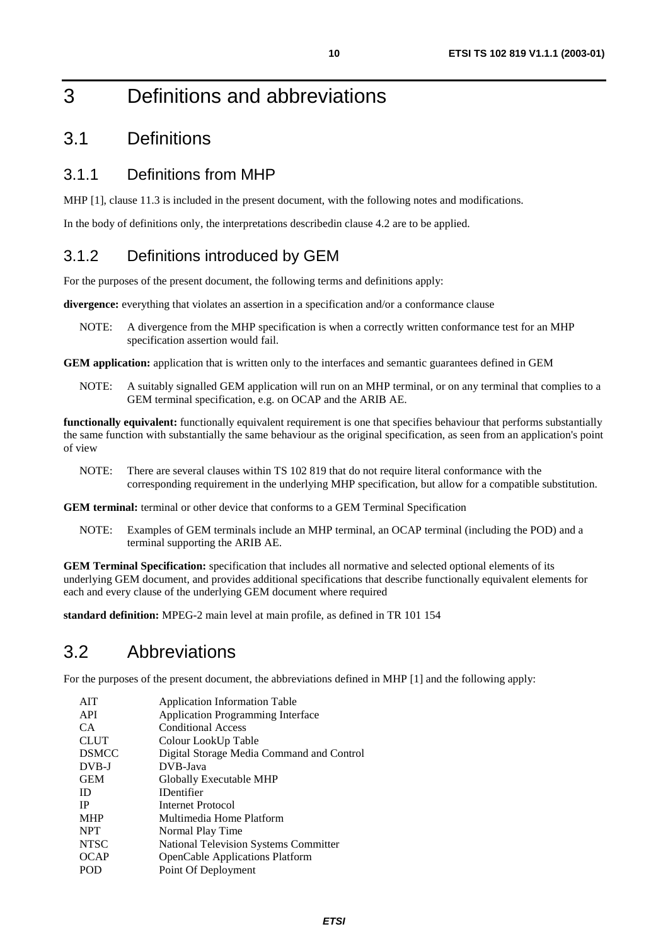## 3 Definitions and abbreviations

### 3.1 Definitions

#### 3.1.1 Definitions from MHP

MHP [1], clause 11.3 is included in the present document, with the following notes and modifications.

In the body of definitions only, the interpretations describedin clause 4.2 are to be applied.

#### 3.1.2 Definitions introduced by GEM

For the purposes of the present document, the following terms and definitions apply:

**divergence:** everything that violates an assertion in a specification and/or a conformance clause

NOTE: A divergence from the MHP specification is when a correctly written conformance test for an MHP specification assertion would fail.

**GEM application:** application that is written only to the interfaces and semantic guarantees defined in GEM

NOTE: A suitably signalled GEM application will run on an MHP terminal, or on any terminal that complies to a GEM terminal specification, e.g. on OCAP and the ARIB AE.

**functionally equivalent:** functionally equivalent requirement is one that specifies behaviour that performs substantially the same function with substantially the same behaviour as the original specification, as seen from an application's point of view

NOTE: There are several clauses within TS 102 819 that do not require literal conformance with the corresponding requirement in the underlying MHP specification, but allow for a compatible substitution.

**GEM terminal:** terminal or other device that conforms to a GEM Terminal Specification

NOTE: Examples of GEM terminals include an MHP terminal, an OCAP terminal (including the POD) and a terminal supporting the ARIB AE.

**GEM Terminal Specification:** specification that includes all normative and selected optional elements of its underlying GEM document, and provides additional specifications that describe functionally equivalent elements for each and every clause of the underlying GEM document where required

**standard definition:** MPEG-2 main level at main profile, as defined in TR 101 154

### 3.2 Abbreviations

For the purposes of the present document, the abbreviations defined in MHP [1] and the following apply:

| <b>AIT</b>   | <b>Application Information Table</b>         |
|--------------|----------------------------------------------|
| API          | <b>Application Programming Interface</b>     |
| CA.          | <b>Conditional Access</b>                    |
| <b>CLUT</b>  | Colour LookUp Table                          |
| <b>DSMCC</b> | Digital Storage Media Command and Control    |
| DVB-J        | DVB-Java                                     |
| <b>GEM</b>   | Globally Executable MHP                      |
| ID.          | <b>IDentifier</b>                            |
| <b>IP</b>    | Internet Protocol                            |
| <b>MHP</b>   | Multimedia Home Platform                     |
| <b>NPT</b>   | Normal Play Time                             |
| <b>NTSC</b>  | <b>National Television Systems Committer</b> |
| <b>OCAP</b>  | <b>OpenCable Applications Platform</b>       |
| POD          | Point Of Deployment                          |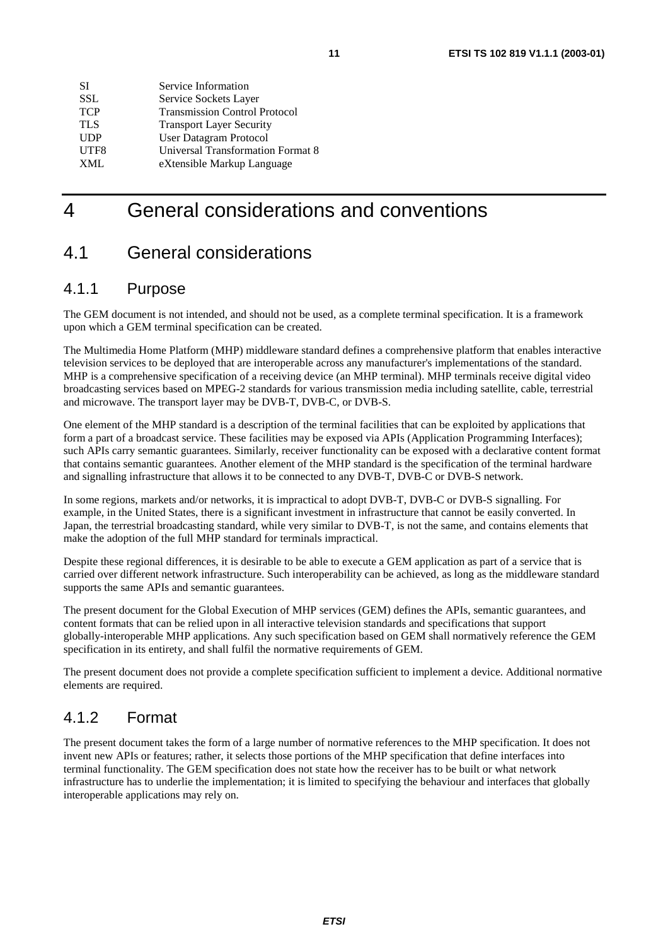| SІ         | Service Information                  |
|------------|--------------------------------------|
| <b>SSL</b> | Service Sockets Layer                |
| <b>TCP</b> | <b>Transmission Control Protocol</b> |
| <b>TLS</b> | <b>Transport Layer Security</b>      |
| <b>UDP</b> | User Datagram Protocol               |
| UTF8       | Universal Transformation Format 8    |
| XMI.       | eXtensible Markup Language           |

## 4 General considerations and conventions

### 4.1 General considerations

#### 4.1.1 Purpose

The GEM document is not intended, and should not be used, as a complete terminal specification. It is a framework upon which a GEM terminal specification can be created.

The Multimedia Home Platform (MHP) middleware standard defines a comprehensive platform that enables interactive television services to be deployed that are interoperable across any manufacturer's implementations of the standard. MHP is a comprehensive specification of a receiving device (an MHP terminal). MHP terminals receive digital video broadcasting services based on MPEG-2 standards for various transmission media including satellite, cable, terrestrial and microwave. The transport layer may be DVB-T, DVB-C, or DVB-S.

One element of the MHP standard is a description of the terminal facilities that can be exploited by applications that form a part of a broadcast service. These facilities may be exposed via APIs (Application Programming Interfaces); such APIs carry semantic guarantees. Similarly, receiver functionality can be exposed with a declarative content format that contains semantic guarantees. Another element of the MHP standard is the specification of the terminal hardware and signalling infrastructure that allows it to be connected to any DVB-T, DVB-C or DVB-S network.

In some regions, markets and/or networks, it is impractical to adopt DVB-T, DVB-C or DVB-S signalling. For example, in the United States, there is a significant investment in infrastructure that cannot be easily converted. In Japan, the terrestrial broadcasting standard, while very similar to DVB-T, is not the same, and contains elements that make the adoption of the full MHP standard for terminals impractical.

Despite these regional differences, it is desirable to be able to execute a GEM application as part of a service that is carried over different network infrastructure. Such interoperability can be achieved, as long as the middleware standard supports the same APIs and semantic guarantees.

The present document for the Global Execution of MHP services (GEM) defines the APIs, semantic guarantees, and content formats that can be relied upon in all interactive television standards and specifications that support globally-interoperable MHP applications. Any such specification based on GEM shall normatively reference the GEM specification in its entirety, and shall fulfil the normative requirements of GEM.

The present document does not provide a complete specification sufficient to implement a device. Additional normative elements are required.

#### 4.1.2 Format

The present document takes the form of a large number of normative references to the MHP specification. It does not invent new APIs or features; rather, it selects those portions of the MHP specification that define interfaces into terminal functionality. The GEM specification does not state how the receiver has to be built or what network infrastructure has to underlie the implementation; it is limited to specifying the behaviour and interfaces that globally interoperable applications may rely on.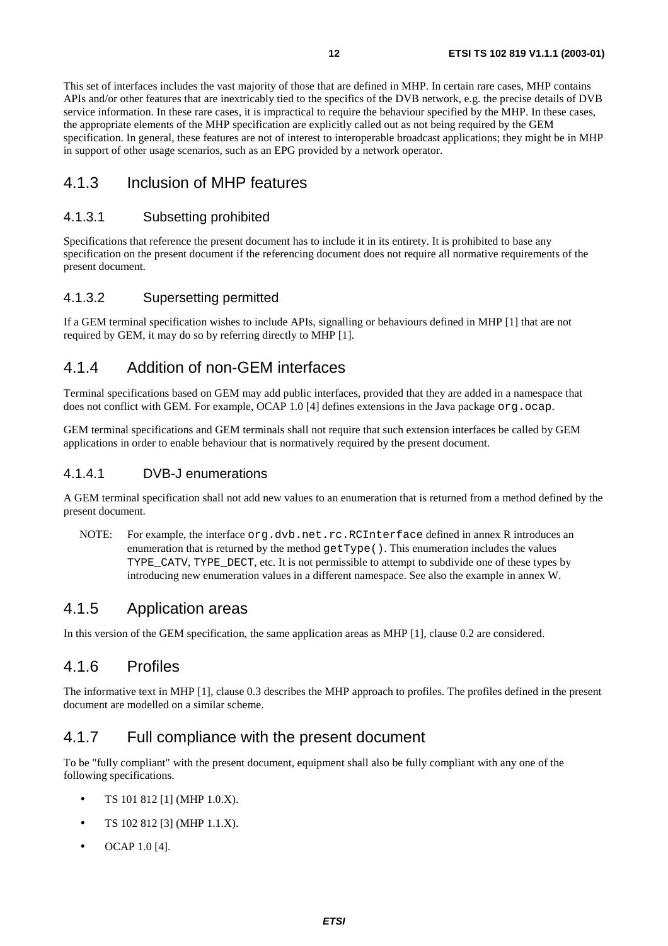This set of interfaces includes the vast majority of those that are defined in MHP. In certain rare cases, MHP contains APIs and/or other features that are inextricably tied to the specifics of the DVB network, e.g. the precise details of DVB service information. In these rare cases, it is impractical to require the behaviour specified by the MHP. In these cases, the appropriate elements of the MHP specification are explicitly called out as not being required by the GEM specification. In general, these features are not of interest to interoperable broadcast applications; they might be in MHP in support of other usage scenarios, such as an EPG provided by a network operator.

#### 4.1.3 Inclusion of MHP features

#### 4.1.3.1 Subsetting prohibited

Specifications that reference the present document has to include it in its entirety. It is prohibited to base any specification on the present document if the referencing document does not require all normative requirements of the present document.

#### 4.1.3.2 Supersetting permitted

If a GEM terminal specification wishes to include APIs, signalling or behaviours defined in MHP [1] that are not required by GEM, it may do so by referring directly to MHP [1].

#### 4.1.4 Addition of non-GEM interfaces

Terminal specifications based on GEM may add public interfaces, provided that they are added in a namespace that does not conflict with GEM. For example, OCAP 1.0 [4] defines extensions in the Java package org.ocap.

GEM terminal specifications and GEM terminals shall not require that such extension interfaces be called by GEM applications in order to enable behaviour that is normatively required by the present document.

#### 4.1.4.1 DVB-J enumerations

A GEM terminal specification shall not add new values to an enumeration that is returned from a method defined by the present document.

NOTE: For example, the interface org.dvb.net.rc.RCInterface defined in annex R introduces an enumeration that is returned by the method getType(). This enumeration includes the values TYPE\_CATV, TYPE\_DECT, etc. It is not permissible to attempt to subdivide one of these types by introducing new enumeration values in a different namespace. See also the example in annex W.

#### 4.1.5 Application areas

In this version of the GEM specification, the same application areas as MHP [1], clause 0.2 are considered.

#### 4.1.6 Profiles

The informative text in MHP [1], clause 0.3 describes the MHP approach to profiles. The profiles defined in the present document are modelled on a similar scheme.

#### 4.1.7 Full compliance with the present document

To be "fully compliant" with the present document, equipment shall also be fully compliant with any one of the following specifications.

- TS 101 812 [1] (MHP 1.0.X).
- TS 102 812 [3] (MHP 1.1.X).
- OCAP 1.0 [4].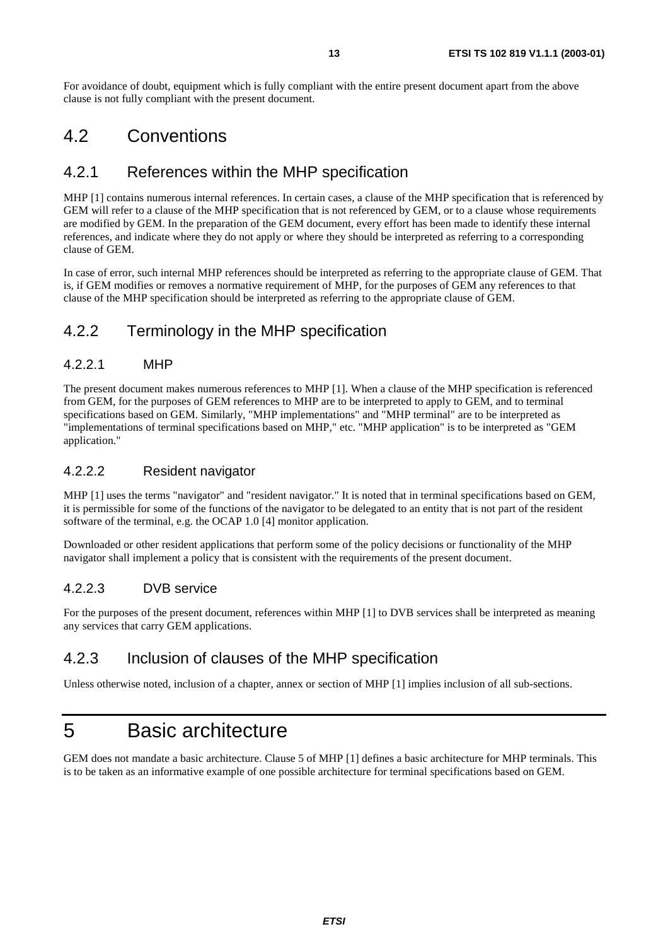For avoidance of doubt, equipment which is fully compliant with the entire present document apart from the above clause is not fully compliant with the present document.

### 4.2 Conventions

#### 4.2.1 References within the MHP specification

MHP [1] contains numerous internal references. In certain cases, a clause of the MHP specification that is referenced by GEM will refer to a clause of the MHP specification that is not referenced by GEM, or to a clause whose requirements are modified by GEM. In the preparation of the GEM document, every effort has been made to identify these internal references, and indicate where they do not apply or where they should be interpreted as referring to a corresponding clause of GEM.

In case of error, such internal MHP references should be interpreted as referring to the appropriate clause of GEM. That is, if GEM modifies or removes a normative requirement of MHP, for the purposes of GEM any references to that clause of the MHP specification should be interpreted as referring to the appropriate clause of GEM.

#### 4.2.2 Terminology in the MHP specification

#### 4.2.2.1 MHP

The present document makes numerous references to MHP [1]. When a clause of the MHP specification is referenced from GEM, for the purposes of GEM references to MHP are to be interpreted to apply to GEM, and to terminal specifications based on GEM. Similarly, "MHP implementations" and "MHP terminal" are to be interpreted as "implementations of terminal specifications based on MHP," etc. "MHP application" is to be interpreted as "GEM application."

#### 4.2.2.2 Resident navigator

MHP [1] uses the terms "navigator" and "resident navigator." It is noted that in terminal specifications based on GEM, it is permissible for some of the functions of the navigator to be delegated to an entity that is not part of the resident software of the terminal, e.g. the OCAP 1.0 [4] monitor application.

Downloaded or other resident applications that perform some of the policy decisions or functionality of the MHP navigator shall implement a policy that is consistent with the requirements of the present document.

#### 4.2.2.3 DVB service

For the purposes of the present document, references within MHP [1] to DVB services shall be interpreted as meaning any services that carry GEM applications.

#### 4.2.3 Inclusion of clauses of the MHP specification

Unless otherwise noted, inclusion of a chapter, annex or section of MHP [1] implies inclusion of all sub-sections.

## 5 Basic architecture

GEM does not mandate a basic architecture. Clause 5 of MHP [1] defines a basic architecture for MHP terminals. This is to be taken as an informative example of one possible architecture for terminal specifications based on GEM.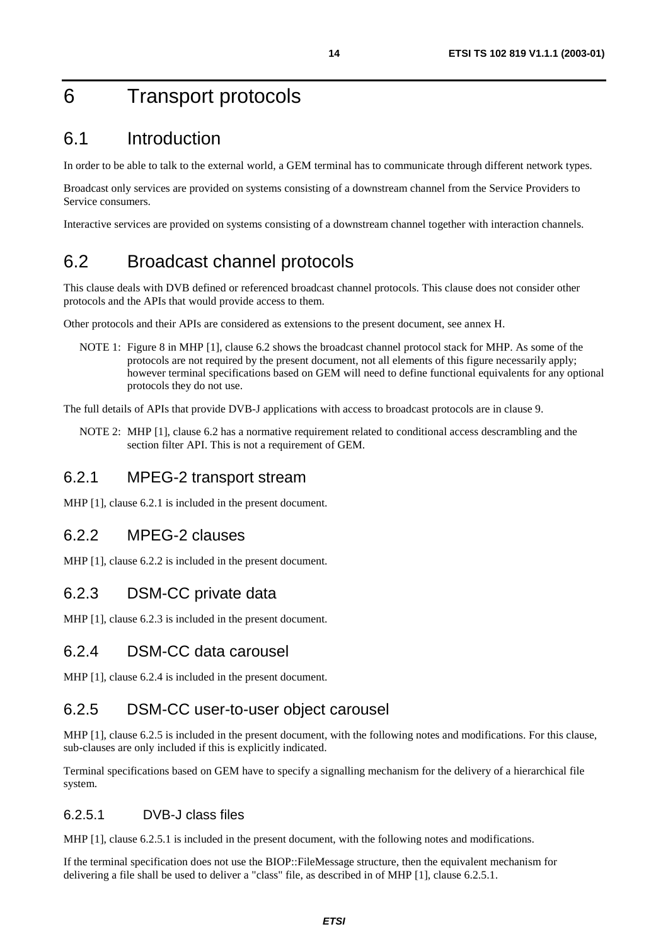## 6 Transport protocols

### 6.1 Introduction

In order to be able to talk to the external world, a GEM terminal has to communicate through different network types.

Broadcast only services are provided on systems consisting of a downstream channel from the Service Providers to Service consumers.

Interactive services are provided on systems consisting of a downstream channel together with interaction channels.

## 6.2 Broadcast channel protocols

This clause deals with DVB defined or referenced broadcast channel protocols. This clause does not consider other protocols and the APIs that would provide access to them.

Other protocols and their APIs are considered as extensions to the present document, see annex H.

NOTE 1: Figure 8 in MHP [1], clause 6.2 shows the broadcast channel protocol stack for MHP. As some of the protocols are not required by the present document, not all elements of this figure necessarily apply; however terminal specifications based on GEM will need to define functional equivalents for any optional protocols they do not use.

The full details of APIs that provide DVB-J applications with access to broadcast protocols are in clause 9.

NOTE 2: MHP [1], clause 6.2 has a normative requirement related to conditional access descrambling and the section filter API. This is not a requirement of GEM.

#### 6.2.1 MPEG-2 transport stream

MHP [1], clause 6.2.1 is included in the present document.

#### 6.2.2 MPEG-2 clauses

MHP [1], clause 6.2.2 is included in the present document.

#### 6.2.3 DSM-CC private data

MHP [1], clause 6.2.3 is included in the present document.

#### 6.2.4 DSM-CC data carousel

MHP [1], clause 6.2.4 is included in the present document.

#### 6.2.5 DSM-CC user-to-user object carousel

MHP [1], clause 6.2.5 is included in the present document, with the following notes and modifications. For this clause, sub-clauses are only included if this is explicitly indicated.

Terminal specifications based on GEM have to specify a signalling mechanism for the delivery of a hierarchical file system.

#### 6.2.5.1 DVB-J class files

MHP [1], clause 6.2.5.1 is included in the present document, with the following notes and modifications.

If the terminal specification does not use the BIOP::FileMessage structure, then the equivalent mechanism for delivering a file shall be used to deliver a "class" file, as described in of MHP [1], clause 6.2.5.1.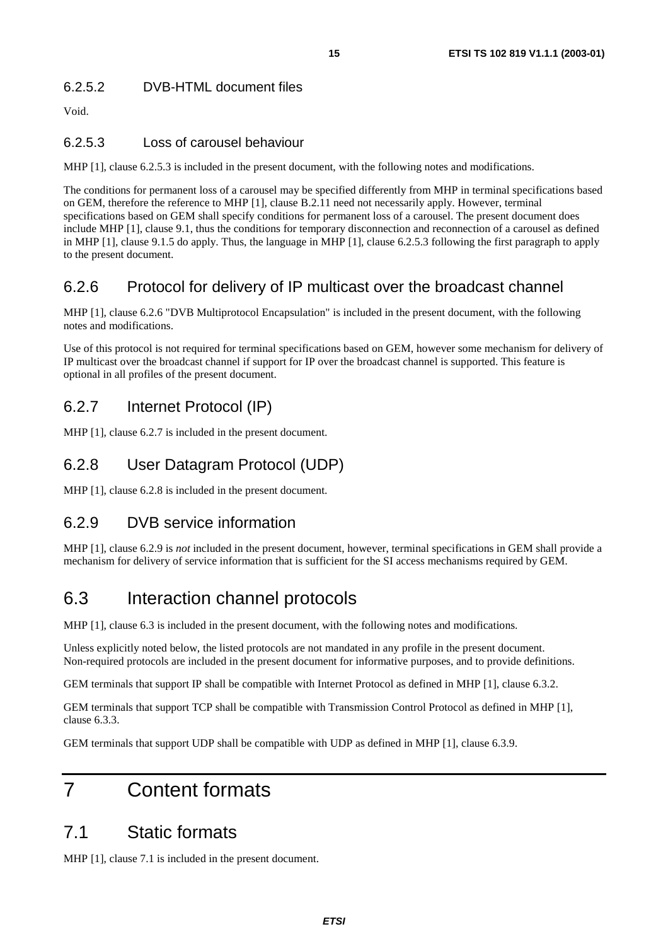#### 6.2.5.2 DVB-HTML document files

Void.

#### 6.2.5.3 Loss of carousel behaviour

MHP [1], clause 6.2.5.3 is included in the present document, with the following notes and modifications.

The conditions for permanent loss of a carousel may be specified differently from MHP in terminal specifications based on GEM, therefore the reference to MHP [1], clause B.2.11 need not necessarily apply. However, terminal specifications based on GEM shall specify conditions for permanent loss of a carousel. The present document does include MHP [1], clause 9.1, thus the conditions for temporary disconnection and reconnection of a carousel as defined in MHP [1], clause 9.1.5 do apply. Thus, the language in MHP [1], clause 6.2.5.3 following the first paragraph to apply to the present document.

#### 6.2.6 Protocol for delivery of IP multicast over the broadcast channel

MHP [1], clause 6.2.6 "DVB Multiprotocol Encapsulation" is included in the present document, with the following notes and modifications.

Use of this protocol is not required for terminal specifications based on GEM, however some mechanism for delivery of IP multicast over the broadcast channel if support for IP over the broadcast channel is supported. This feature is optional in all profiles of the present document.

### 6.2.7 Internet Protocol (IP)

MHP [1], clause 6.2.7 is included in the present document.

#### 6.2.8 User Datagram Protocol (UDP)

MHP [1], clause 6.2.8 is included in the present document.

### 6.2.9 DVB service information

MHP [1], clause 6.2.9 is *not* included in the present document, however, terminal specifications in GEM shall provide a mechanism for delivery of service information that is sufficient for the SI access mechanisms required by GEM.

### 6.3 Interaction channel protocols

MHP [1], clause 6.3 is included in the present document, with the following notes and modifications.

Unless explicitly noted below, the listed protocols are not mandated in any profile in the present document. Non-required protocols are included in the present document for informative purposes, and to provide definitions.

GEM terminals that support IP shall be compatible with Internet Protocol as defined in MHP [1], clause 6.3.2.

GEM terminals that support TCP shall be compatible with Transmission Control Protocol as defined in MHP [1], clause 6.3.3.

GEM terminals that support UDP shall be compatible with UDP as defined in MHP [1], clause 6.3.9.

## 7 Content formats

### 7.1 Static formats

MHP [1], clause 7.1 is included in the present document.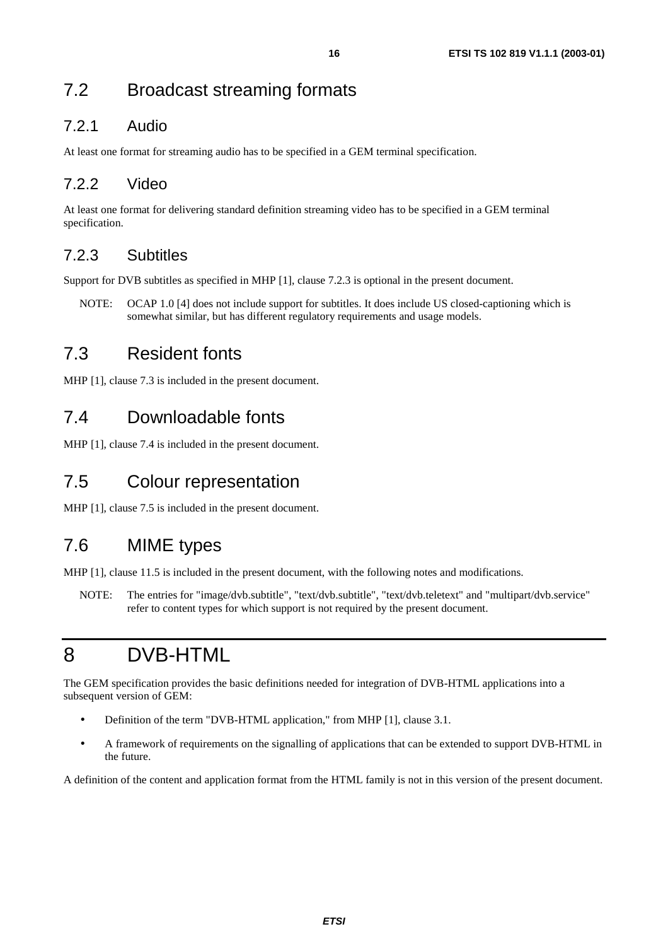## 7.2 Broadcast streaming formats

#### 7.2.1 Audio

At least one format for streaming audio has to be specified in a GEM terminal specification.

### 7.2.2 Video

At least one format for delivering standard definition streaming video has to be specified in a GEM terminal specification.

#### 7.2.3 Subtitles

Support for DVB subtitles as specified in MHP [1], clause 7.2.3 is optional in the present document.

NOTE: OCAP 1.0 [4] does not include support for subtitles. It does include US closed-captioning which is somewhat similar, but has different regulatory requirements and usage models.

## 7.3 Resident fonts

MHP [1], clause 7.3 is included in the present document.

## 7.4 Downloadable fonts

MHP [1], clause 7.4 is included in the present document.

## 7.5 Colour representation

MHP [1], clause 7.5 is included in the present document.

## 7.6 MIME types

MHP [1], clause 11.5 is included in the present document, with the following notes and modifications.

NOTE: The entries for "image/dvb.subtitle", "text/dvb.subtitle", "text/dvb.teletext" and "multipart/dvb.service" refer to content types for which support is not required by the present document.

## 8 DVB-HTML

The GEM specification provides the basic definitions needed for integration of DVB-HTML applications into a subsequent version of GEM:

- Definition of the term "DVB-HTML application," from MHP [1], clause 3.1.
- A framework of requirements on the signalling of applications that can be extended to support DVB-HTML in the future.

A definition of the content and application format from the HTML family is not in this version of the present document.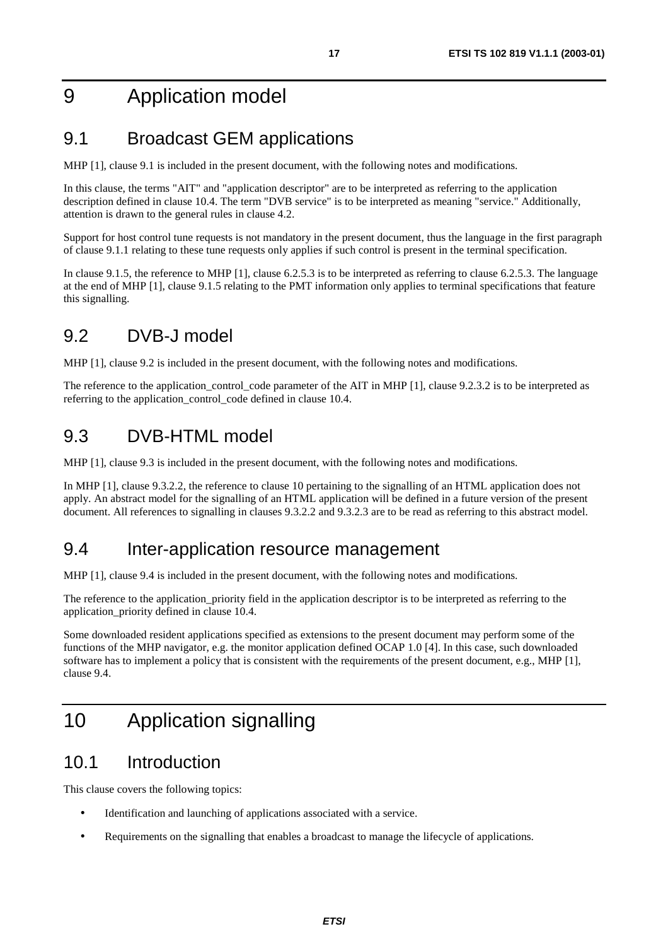## 9 Application model

## 9.1 Broadcast GEM applications

MHP [1], clause 9.1 is included in the present document, with the following notes and modifications.

In this clause, the terms "AIT" and "application descriptor" are to be interpreted as referring to the application description defined in clause 10.4. The term "DVB service" is to be interpreted as meaning "service." Additionally, attention is drawn to the general rules in clause 4.2.

Support for host control tune requests is not mandatory in the present document, thus the language in the first paragraph of clause 9.1.1 relating to these tune requests only applies if such control is present in the terminal specification.

In clause 9.1.5, the reference to MHP [1], clause 6.2.5.3 is to be interpreted as referring to clause 6.2.5.3. The language at the end of MHP [1], clause 9.1.5 relating to the PMT information only applies to terminal specifications that feature this signalling.

## 9.2 DVB-J model

MHP [1], clause 9.2 is included in the present document, with the following notes and modifications.

The reference to the application\_control\_code parameter of the AIT in MHP [1], clause 9.2.3.2 is to be interpreted as referring to the application\_control\_code defined in clause 10.4.

### 9.3 DVB-HTML model

MHP [1], clause 9.3 is included in the present document, with the following notes and modifications.

In MHP [1], clause 9.3.2.2, the reference to clause 10 pertaining to the signalling of an HTML application does not apply. An abstract model for the signalling of an HTML application will be defined in a future version of the present document. All references to signalling in clauses 9.3.2.2 and 9.3.2.3 are to be read as referring to this abstract model.

### 9.4 Inter-application resource management

MHP [1], clause 9.4 is included in the present document, with the following notes and modifications.

The reference to the application priority field in the application descriptor is to be interpreted as referring to the application\_priority defined in clause 10.4.

Some downloaded resident applications specified as extensions to the present document may perform some of the functions of the MHP navigator, e.g. the monitor application defined OCAP 1.0 [4]. In this case, such downloaded software has to implement a policy that is consistent with the requirements of the present document, e.g., MHP [1], clause 9.4.

## 10 Application signalling

### 10.1 Introduction

This clause covers the following topics:

- Identification and launching of applications associated with a service.
- Requirements on the signalling that enables a broadcast to manage the lifecycle of applications.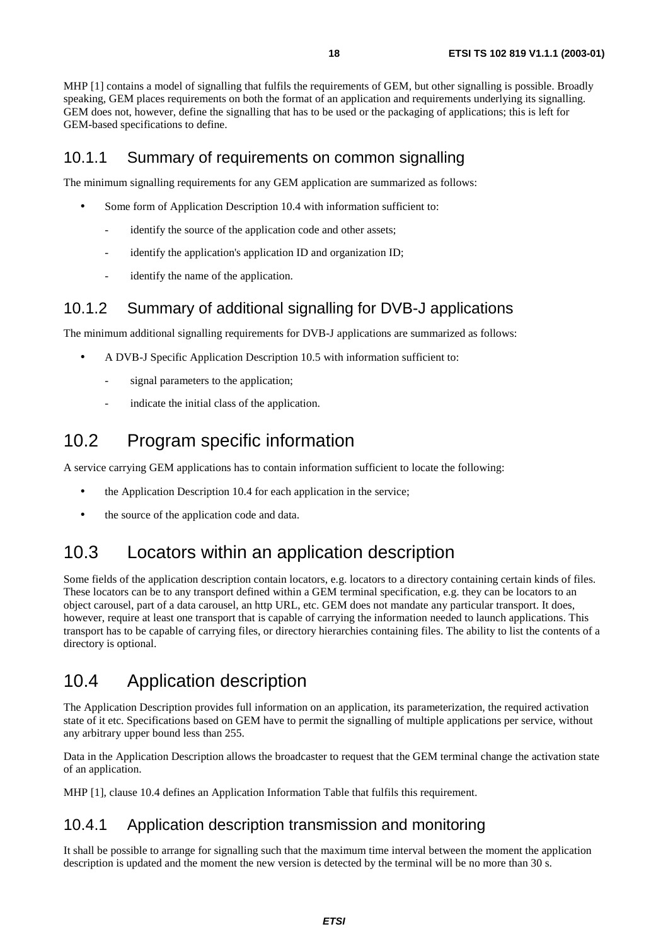MHP [1] contains a model of signalling that fulfils the requirements of GEM, but other signalling is possible. Broadly speaking, GEM places requirements on both the format of an application and requirements underlying its signalling. GEM does not, however, define the signalling that has to be used or the packaging of applications; this is left for GEM-based specifications to define.

#### 10.1.1 Summary of requirements on common signalling

The minimum signalling requirements for any GEM application are summarized as follows:

- Some form of Application Description 10.4 with information sufficient to:
	- identify the source of the application code and other assets;
	- identify the application's application ID and organization ID;
	- identify the name of the application.

#### 10.1.2 Summary of additional signalling for DVB-J applications

The minimum additional signalling requirements for DVB-J applications are summarized as follows:

- A DVB-J Specific Application Description 10.5 with information sufficient to:
	- signal parameters to the application;
	- indicate the initial class of the application.

### 10.2 Program specific information

A service carrying GEM applications has to contain information sufficient to locate the following:

- the Application Description 10.4 for each application in the service;
- the source of the application code and data.

### 10.3 Locators within an application description

Some fields of the application description contain locators, e.g. locators to a directory containing certain kinds of files. These locators can be to any transport defined within a GEM terminal specification, e.g. they can be locators to an object carousel, part of a data carousel, an http URL, etc. GEM does not mandate any particular transport. It does, however, require at least one transport that is capable of carrying the information needed to launch applications. This transport has to be capable of carrying files, or directory hierarchies containing files. The ability to list the contents of a directory is optional.

### 10.4 Application description

The Application Description provides full information on an application, its parameterization, the required activation state of it etc. Specifications based on GEM have to permit the signalling of multiple applications per service, without any arbitrary upper bound less than 255.

Data in the Application Description allows the broadcaster to request that the GEM terminal change the activation state of an application.

MHP [1], clause 10.4 defines an Application Information Table that fulfils this requirement.

#### 10.4.1 Application description transmission and monitoring

It shall be possible to arrange for signalling such that the maximum time interval between the moment the application description is updated and the moment the new version is detected by the terminal will be no more than 30 s.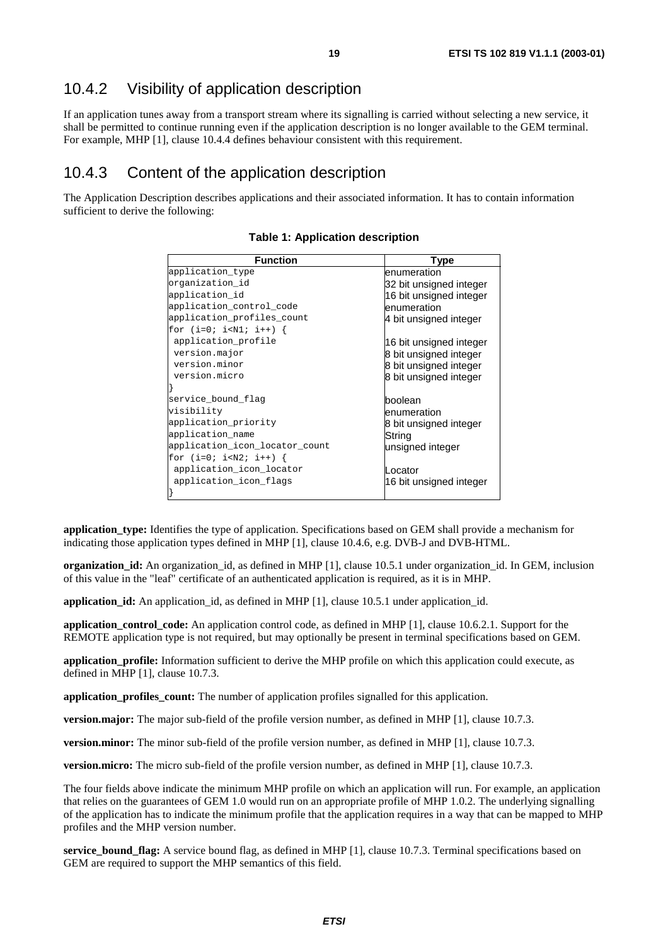#### 10.4.2 Visibility of application description

If an application tunes away from a transport stream where its signalling is carried without selecting a new service, it shall be permitted to continue running even if the application description is no longer available to the GEM terminal. For example, MHP [1], clause 10.4.4 defines behaviour consistent with this requirement.

#### 10.4.3 Content of the application description

The Application Description describes applications and their associated information. It has to contain information sufficient to derive the following:

| <b>Function</b>                | <b>Type</b>             |
|--------------------------------|-------------------------|
| application_type               | enumeration             |
| organization_id                | 32 bit unsigned integer |
| application_id                 | 16 bit unsigned integer |
| application_control_code       | enumeration             |
| application_profiles_count     | 4 bit unsigned integer  |
| for $(i=0; i {$                |                         |
| application_profile            | 16 bit unsigned integer |
| version.major                  | 8 bit unsigned integer  |
| version.minor                  | 8 bit unsigned integer  |
| version.micro                  | 8 bit unsigned integer  |
|                                |                         |
| service_bound_flag             | boolean                 |
| visibility                     | lenumeration            |
| application_priority           | 8 bit unsigned integer  |
| application_name               | String                  |
| application_icon_locator_count | unsigned integer        |
| for $(i=0; i {$                |                         |
| application_icon_locator       | _ocator                 |
| application_icon_flags         | 16 bit unsigned integer |
|                                |                         |

#### **Table 1: Application description**

**application** type: Identifies the type of application. Specifications based on GEM shall provide a mechanism for indicating those application types defined in MHP [1], clause 10.4.6, e.g. DVB-J and DVB-HTML.

**organization\_id:** An organization\_id, as defined in MHP [1], clause 10.5.1 under organization\_id. In GEM, inclusion of this value in the "leaf" certificate of an authenticated application is required, as it is in MHP.

**application id:** An application id, as defined in MHP [1], clause 10.5.1 under application id.

**application\_control\_code:** An application control code, as defined in MHP [1], clause 10.6.2.1. Support for the REMOTE application type is not required, but may optionally be present in terminal specifications based on GEM.

**application profile:** Information sufficient to derive the MHP profile on which this application could execute, as defined in MHP [1], clause 10.7.3.

**application** profiles count: The number of application profiles signalled for this application.

**version.major:** The major sub-field of the profile version number, as defined in MHP [1], clause 10.7.3.

**version.minor:** The minor sub-field of the profile version number, as defined in MHP [1], clause 10.7.3.

**version.micro:** The micro sub-field of the profile version number, as defined in MHP [1], clause 10.7.3.

The four fields above indicate the minimum MHP profile on which an application will run. For example, an application that relies on the guarantees of GEM 1.0 would run on an appropriate profile of MHP 1.0.2. The underlying signalling of the application has to indicate the minimum profile that the application requires in a way that can be mapped to MHP profiles and the MHP version number.

**service\_bound\_flag:** A service bound flag, as defined in MHP [1], clause 10.7.3. Terminal specifications based on GEM are required to support the MHP semantics of this field.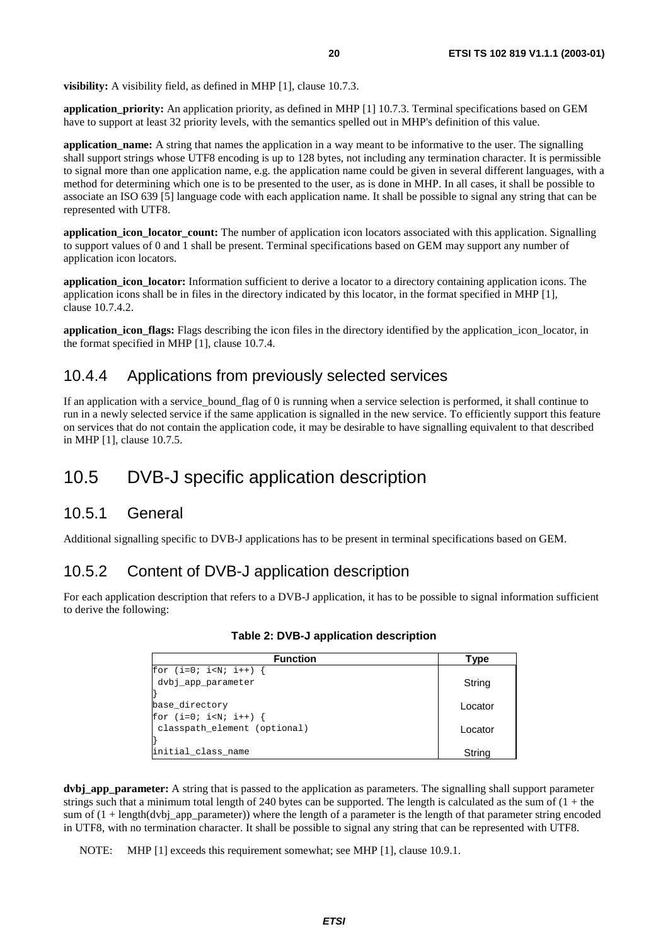**visibility:** A visibility field, as defined in MHP [1], clause 10.7.3.

**application\_priority:** An application priority, as defined in MHP [1] 10.7.3. Terminal specifications based on GEM have to support at least 32 priority levels, with the semantics spelled out in MHP's definition of this value.

**application name:** A string that names the application in a way meant to be informative to the user. The signalling shall support strings whose UTF8 encoding is up to 128 bytes, not including any termination character. It is permissible to signal more than one application name, e.g. the application name could be given in several different languages, with a method for determining which one is to be presented to the user, as is done in MHP. In all cases, it shall be possible to associate an ISO 639 [5] language code with each application name. It shall be possible to signal any string that can be represented with UTF8.

**application icon locator count:** The number of application icon locators associated with this application. Signalling to support values of 0 and 1 shall be present. Terminal specifications based on GEM may support any number of application icon locators.

**application\_icon\_locator:** Information sufficient to derive a locator to a directory containing application icons. The application icons shall be in files in the directory indicated by this locator, in the format specified in MHP [1], clause 10.7.4.2.

**application icon flags:** Flags describing the icon files in the directory identified by the application icon locator, in the format specified in MHP [1], clause 10.7.4.

#### 10.4.4 Applications from previously selected services

If an application with a service\_bound\_flag of 0 is running when a service selection is performed, it shall continue to run in a newly selected service if the same application is signalled in the new service. To efficiently support this feature on services that do not contain the application code, it may be desirable to have signalling equivalent to that described in MHP [1], clause 10.7.5.

### 10.5 DVB-J specific application description

#### 10.5.1 General

Additional signalling specific to DVB-J applications has to be present in terminal specifications based on GEM.

#### 10.5.2 Content of DVB-J application description

For each application description that refers to a DVB-J application, it has to be possible to signal information sufficient to derive the following:

| <b>Function</b>              | Type    |
|------------------------------|---------|
| for $(i=0; i {$              |         |
| dvbj_app_parameter           | String  |
|                              |         |
| base directory               | Locator |
| for $(i=0; i {$              |         |
| classpath element (optional) | Locator |
|                              |         |
| initial class name           | String  |

#### **Table 2: DVB-J application description**

**dvbj\_app\_parameter:** A string that is passed to the application as parameters. The signalling shall support parameter strings such that a minimum total length of 240 bytes can be supported. The length is calculated as the sum of  $(1 +$  the sum of  $(1 + \text{length}(dvb) \text{\_app\_parameter})$  where the length of a parameter is the length of that parameter string encoded in UTF8, with no termination character. It shall be possible to signal any string that can be represented with UTF8.

NOTE: MHP [1] exceeds this requirement somewhat; see MHP [1], clause 10.9.1.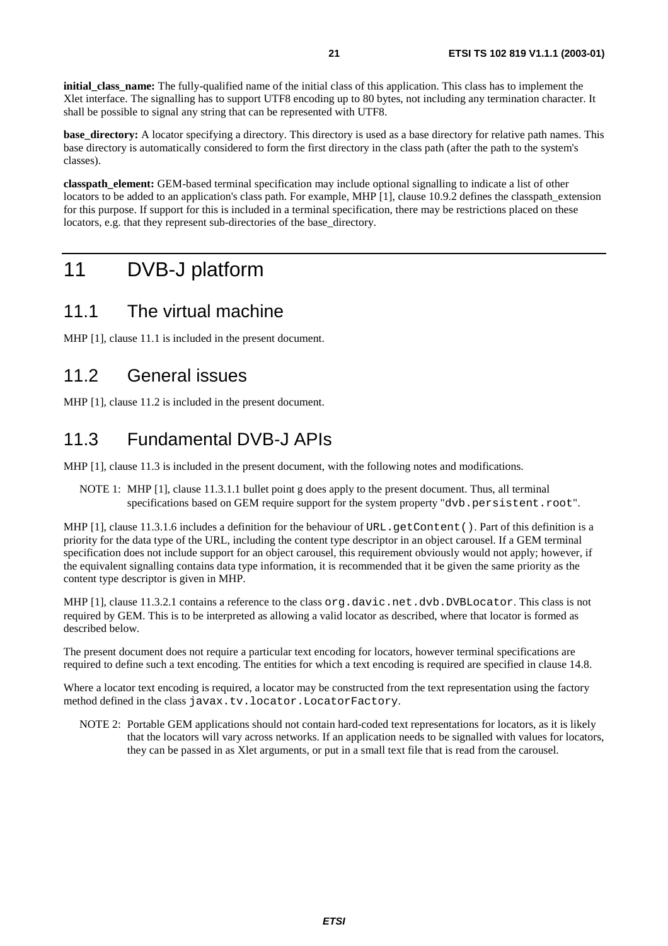**initial class name:** The fully-qualified name of the initial class of this application. This class has to implement the Xlet interface. The signalling has to support UTF8 encoding up to 80 bytes, not including any termination character. It shall be possible to signal any string that can be represented with UTF8.

**base** directory: A locator specifying a directory. This directory is used as a base directory for relative path names. This base directory is automatically considered to form the first directory in the class path (after the path to the system's classes).

**classpath** element: GEM-based terminal specification may include optional signalling to indicate a list of other locators to be added to an application's class path. For example, MHP [1], clause 10.9.2 defines the classpath\_extension for this purpose. If support for this is included in a terminal specification, there may be restrictions placed on these locators, e.g. that they represent sub-directories of the base\_directory.

## 11 DVB-J platform

### 11.1 The virtual machine

MHP [1], clause 11.1 is included in the present document.

### 11.2 General issues

MHP [1], clause 11.2 is included in the present document.

## 11.3 Fundamental DVB-J APIs

MHP [1], clause 11.3 is included in the present document, with the following notes and modifications.

NOTE 1: MHP [1], clause 11.3.1.1 bullet point g does apply to the present document. Thus, all terminal specifications based on GEM require support for the system property "dvb.persistent.root".

MHP [1], clause 11.3.1.6 includes a definition for the behaviour of URL. getContent (). Part of this definition is a priority for the data type of the URL, including the content type descriptor in an object carousel. If a GEM terminal specification does not include support for an object carousel, this requirement obviously would not apply; however, if the equivalent signalling contains data type information, it is recommended that it be given the same priority as the content type descriptor is given in MHP.

MHP [1], clause 11.3.2.1 contains a reference to the class org.davic.net.dvb.DVBLocator. This class is not required by GEM. This is to be interpreted as allowing a valid locator as described, where that locator is formed as described below.

The present document does not require a particular text encoding for locators, however terminal specifications are required to define such a text encoding. The entities for which a text encoding is required are specified in clause 14.8.

Where a locator text encoding is required, a locator may be constructed from the text representation using the factory method defined in the class javax.tv.locator.LocatorFactory.

NOTE 2: Portable GEM applications should not contain hard-coded text representations for locators, as it is likely that the locators will vary across networks. If an application needs to be signalled with values for locators, they can be passed in as Xlet arguments, or put in a small text file that is read from the carousel.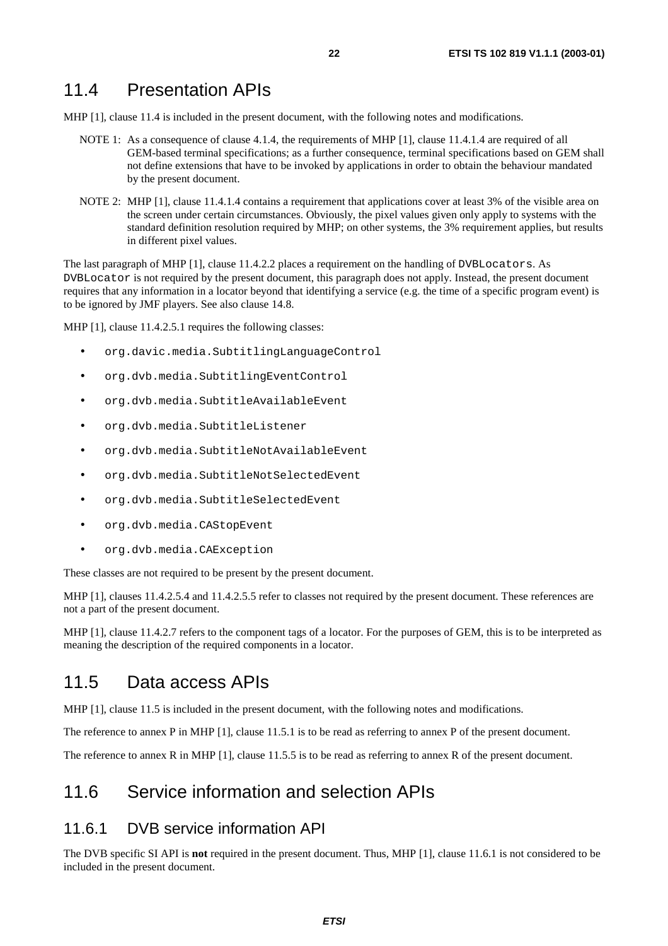#### 11.4 Presentation APIs

MHP [1], clause 11.4 is included in the present document, with the following notes and modifications.

- NOTE 1: As a consequence of clause 4.1.4, the requirements of MHP [1], clause 11.4.1.4 are required of all GEM-based terminal specifications; as a further consequence, terminal specifications based on GEM shall not define extensions that have to be invoked by applications in order to obtain the behaviour mandated by the present document.
- NOTE 2: MHP [1], clause 11.4.1.4 contains a requirement that applications cover at least 3% of the visible area on the screen under certain circumstances. Obviously, the pixel values given only apply to systems with the standard definition resolution required by MHP; on other systems, the 3% requirement applies, but results in different pixel values.

The last paragraph of MHP [1], clause 11.4.2.2 places a requirement on the handling of DVBLocators. As DVBLocator is not required by the present document, this paragraph does not apply. Instead, the present document requires that any information in a locator beyond that identifying a service (e.g. the time of a specific program event) is to be ignored by JMF players. See also clause 14.8.

MHP [1], clause 11.4.2.5.1 requires the following classes:

- org.davic.media.SubtitlingLanguageControl
- org.dvb.media.SubtitlingEventControl
- org.dvb.media.SubtitleAvailableEvent
- org.dvb.media.SubtitleListener
- org.dvb.media.SubtitleNotAvailableEvent
- org.dvb.media.SubtitleNotSelectedEvent
- org.dvb.media.SubtitleSelectedEvent
- org.dvb.media.CAStopEvent
- org.dvb.media.CAException

These classes are not required to be present by the present document.

MHP [1], clauses 11.4.2.5.4 and 11.4.2.5.5 refer to classes not required by the present document. These references are not a part of the present document.

MHP [1], clause 11.4.2.7 refers to the component tags of a locator. For the purposes of GEM, this is to be interpreted as meaning the description of the required components in a locator.

#### 11.5 Data access APIs

MHP [1], clause 11.5 is included in the present document, with the following notes and modifications.

The reference to annex P in MHP [1], clause 11.5.1 is to be read as referring to annex P of the present document.

The reference to annex R in MHP [1], clause 11.5.5 is to be read as referring to annex R of the present document.

#### 11.6 Service information and selection APIs

#### 11.6.1 DVB service information API

The DVB specific SI API is **not** required in the present document. Thus, MHP [1], clause 11.6.1 is not considered to be included in the present document.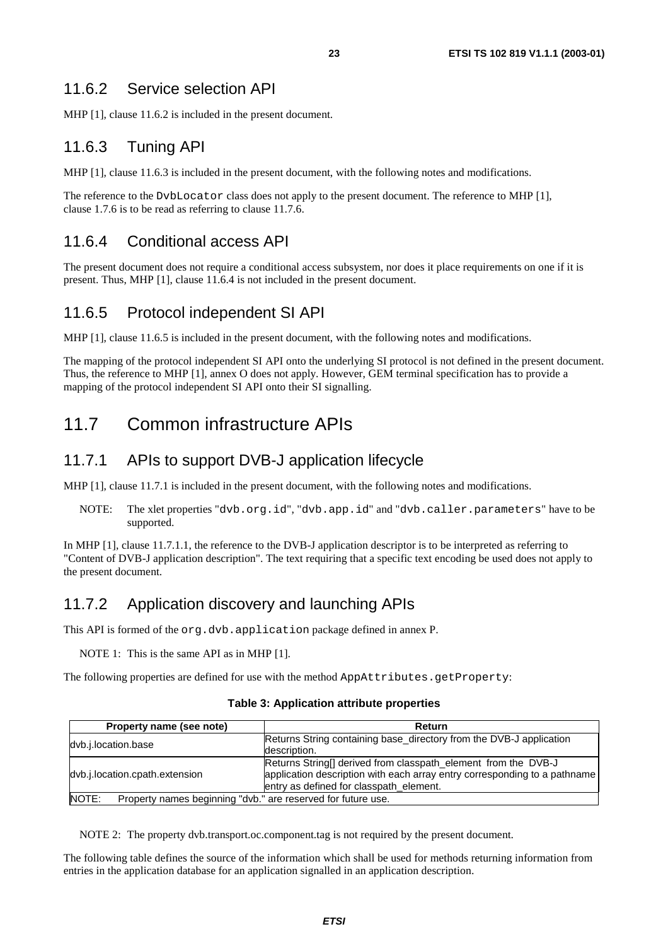#### 11.6.2 Service selection API

MHP [1], clause 11.6.2 is included in the present document.

### 11.6.3 Tuning API

MHP [1], clause 11.6.3 is included in the present document, with the following notes and modifications.

The reference to the DvbLocator class does not apply to the present document. The reference to MHP [1], clause 1.7.6 is to be read as referring to clause 11.7.6.

#### 11.6.4 Conditional access API

The present document does not require a conditional access subsystem, nor does it place requirements on one if it is present. Thus, MHP [1], clause 11.6.4 is not included in the present document.

#### 11.6.5 Protocol independent SI API

MHP [1], clause 11.6.5 is included in the present document, with the following notes and modifications.

The mapping of the protocol independent SI API onto the underlying SI protocol is not defined in the present document. Thus, the reference to MHP [1], annex O does not apply. However, GEM terminal specification has to provide a mapping of the protocol independent SI API onto their SI signalling.

## 11.7 Common infrastructure APIs

#### 11.7.1 APIs to support DVB-J application lifecycle

MHP [1], clause 11.7.1 is included in the present document, with the following notes and modifications.

NOTE: The xlet properties "dvb.org.id", "dvb.app.id" and "dvb.caller.parameters" have to be supported.

In MHP [1], clause 11.7.1.1, the reference to the DVB-J application descriptor is to be interpreted as referring to "Content of DVB-J application description". The text requiring that a specific text encoding be used does not apply to the present document.

### 11.7.2 Application discovery and launching APIs

This API is formed of the org.dvb.application package defined in annex P.

NOTE 1: This is the same API as in MHP [1].

The following properties are defined for use with the method AppAttributes.getProperty:

#### **Table 3: Application attribute properties**

| Property name (see note)       | Return                                                                    |
|--------------------------------|---------------------------------------------------------------------------|
| dvb.j.location.base            | Returns String containing base_directory from the DVB-J application       |
|                                | description.                                                              |
|                                | Returns String[] derived from classpath_element from the DVB-J            |
| dvb.j.location.cpath.extension | application description with each array entry corresponding to a pathname |
|                                | lentry as defined for classpath_element.                                  |
| NOTE:                          | Property names beginning "dvb." are reserved for future use.              |

NOTE 2: The property dvb.transport.oc.component.tag is not required by the present document.

The following table defines the source of the information which shall be used for methods returning information from entries in the application database for an application signalled in an application description.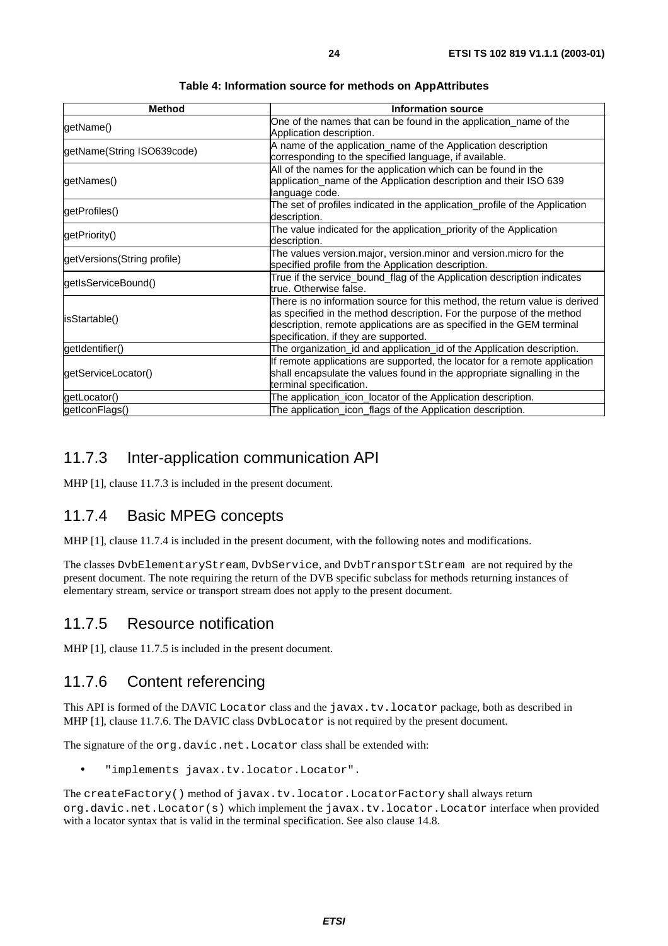| <b>Method</b>               | <b>Information source</b>                                                                                                                                                                                                                                              |
|-----------------------------|------------------------------------------------------------------------------------------------------------------------------------------------------------------------------------------------------------------------------------------------------------------------|
| getName()                   | One of the names that can be found in the application_name of the<br>Application description.                                                                                                                                                                          |
| getName(String ISO639code)  | A name of the application_name of the Application description<br>corresponding to the specified language, if available.                                                                                                                                                |
| getNames()                  | All of the names for the application which can be found in the<br>application_name of the Application description and their ISO 639<br>language code.                                                                                                                  |
| getProfiles()               | The set of profiles indicated in the application_profile of the Application<br>description.                                                                                                                                                                            |
| getPriority()               | The value indicated for the application_priority of the Application<br>description.                                                                                                                                                                                    |
| getVersions(String profile) | The values version.major, version.minor and version.micro for the<br>specified profile from the Application description.                                                                                                                                               |
| getIsServiceBound()         | True if the service_bound_flag of the Application description indicates<br>true. Otherwise false.                                                                                                                                                                      |
| isStartable()               | There is no information source for this method, the return value is derived<br>as specified in the method description. For the purpose of the method<br>description, remote applications are as specified in the GEM terminal<br>specification, if they are supported. |
| getIdentifier()             | The organization_id and application_id of the Application description.                                                                                                                                                                                                 |
| getServiceLocator()         | If remote applications are supported, the locator for a remote application<br>shall encapsulate the values found in the appropriate signalling in the<br>terminal specification.                                                                                       |
| getLocator()                | The application_icon_locator of the Application description.                                                                                                                                                                                                           |
| getIconFlags()              | The application_icon_flags of the Application description.                                                                                                                                                                                                             |

**Table 4: Information source for methods on AppAttributes** 

#### 11.7.3 Inter-application communication API

MHP [1], clause 11.7.3 is included in the present document.

#### 11.7.4 Basic MPEG concepts

MHP [1], clause 11.7.4 is included in the present document, with the following notes and modifications.

The classes DvbElementaryStream, DvbService, and DvbTransportStream are not required by the present document. The note requiring the return of the DVB specific subclass for methods returning instances of elementary stream, service or transport stream does not apply to the present document.

#### 11.7.5 Resource notification

MHP [1], clause 11.7.5 is included in the present document.

#### 11.7.6 Content referencing

This API is formed of the DAVIC Locator class and the javax.tv.locator package, both as described in MHP [1], clause 11.7.6. The DAVIC class DvbLocator is not required by the present document.

The signature of the org.davic.net.Locator class shall be extended with:

• "implements javax.tv.locator.Locator".

The createFactory() method of javax.tv.locator.LocatorFactory shall always return org.davic.net.Locator(s) which implement the javax.tv.locator.Locator interface when provided with a locator syntax that is valid in the terminal specification. See also clause 14.8.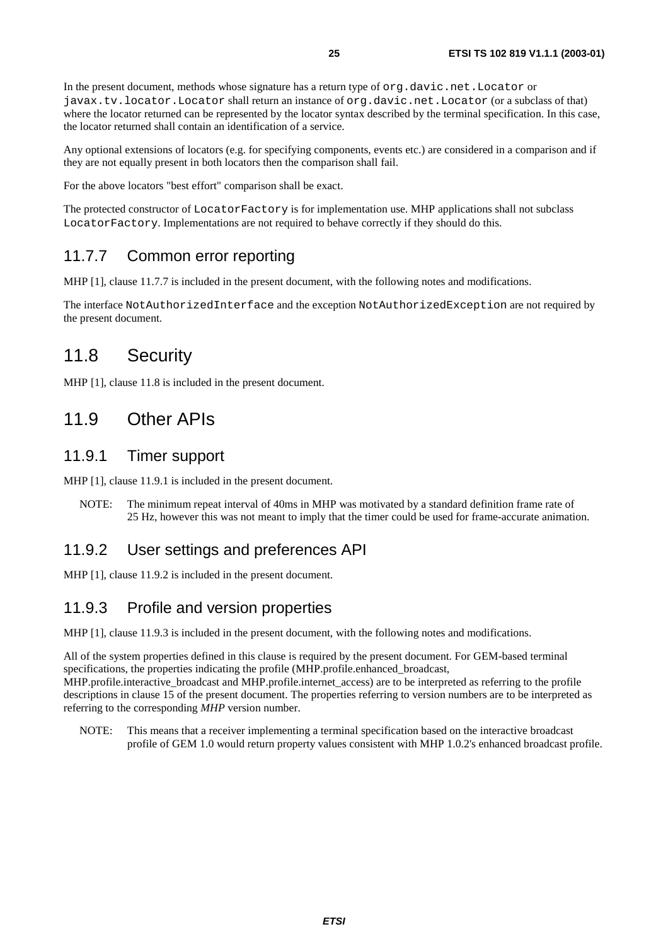In the present document, methods whose signature has a return type of org.davic.net.Locator or javax.tv.locator.Locator shall return an instance of org.davic.net.Locator (or a subclass of that) where the locator returned can be represented by the locator syntax described by the terminal specification. In this case, the locator returned shall contain an identification of a service.

Any optional extensions of locators (e.g. for specifying components, events etc.) are considered in a comparison and if they are not equally present in both locators then the comparison shall fail.

For the above locators "best effort" comparison shall be exact.

The protected constructor of LocatorFactory is for implementation use. MHP applications shall not subclass LocatorFactory. Implementations are not required to behave correctly if they should do this.

#### 11.7.7 Common error reporting

MHP [1], clause 11.7.7 is included in the present document, with the following notes and modifications.

The interface NotAuthorizedInterface and the exception NotAuthorizedException are not required by the present document.

### 11.8 Security

MHP [1], clause 11.8 is included in the present document.

### 11.9 Other APIs

#### 11.9.1 Timer support

MHP [1], clause 11.9.1 is included in the present document.

NOTE: The minimum repeat interval of 40ms in MHP was motivated by a standard definition frame rate of 25 Hz, however this was not meant to imply that the timer could be used for frame-accurate animation.

#### 11.9.2 User settings and preferences API

MHP [1], clause 11.9.2 is included in the present document.

#### 11.9.3 Profile and version properties

MHP [1], clause 11.9.3 is included in the present document, with the following notes and modifications.

All of the system properties defined in this clause is required by the present document. For GEM-based terminal specifications, the properties indicating the profile (MHP.profile.enhanced\_broadcast, MHP.profile.interactive\_broadcast and MHP.profile.internet\_access) are to be interpreted as referring to the profile descriptions in clause 15 of the present document. The properties referring to version numbers are to be interpreted as referring to the corresponding *MHP* version number.

NOTE: This means that a receiver implementing a terminal specification based on the interactive broadcast profile of GEM 1.0 would return property values consistent with MHP 1.0.2's enhanced broadcast profile.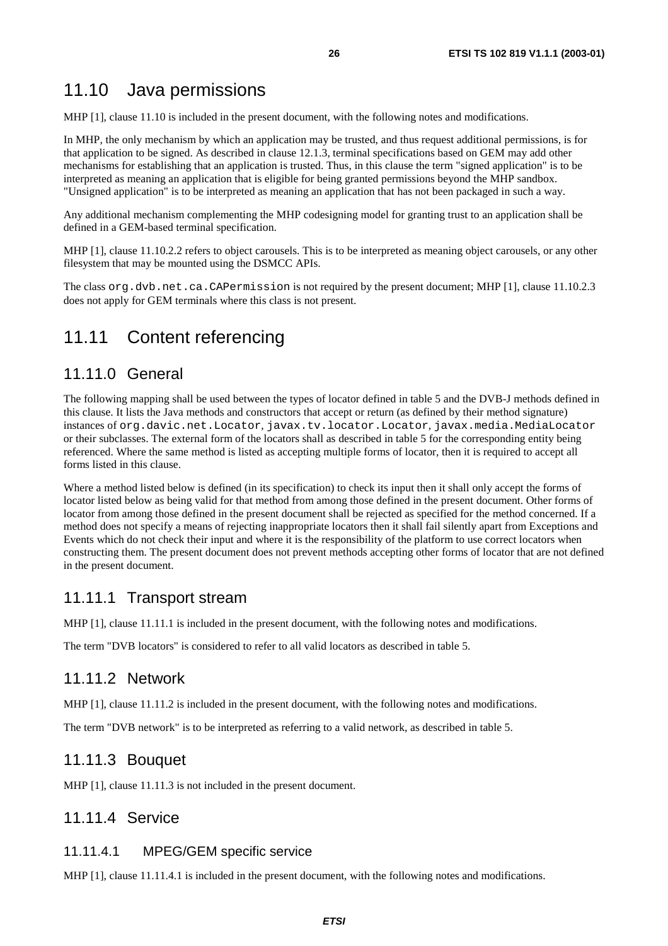#### 11.10 Java permissions

MHP [1], clause 11.10 is included in the present document, with the following notes and modifications.

In MHP, the only mechanism by which an application may be trusted, and thus request additional permissions, is for that application to be signed. As described in clause 12.1.3, terminal specifications based on GEM may add other mechanisms for establishing that an application is trusted. Thus, in this clause the term "signed application" is to be interpreted as meaning an application that is eligible for being granted permissions beyond the MHP sandbox. "Unsigned application" is to be interpreted as meaning an application that has not been packaged in such a way.

Any additional mechanism complementing the MHP codesigning model for granting trust to an application shall be defined in a GEM-based terminal specification.

MHP [1], clause 11.10.2.2 refers to object carousels. This is to be interpreted as meaning object carousels, or any other filesystem that may be mounted using the DSMCC APIs.

The class org.dvb.net.ca.CAPermission is not required by the present document; MHP [1], clause 11.10.2.3 does not apply for GEM terminals where this class is not present.

#### 11.11 Content referencing

#### 11.11.0 General

The following mapping shall be used between the types of locator defined in table 5 and the DVB-J methods defined in this clause. It lists the Java methods and constructors that accept or return (as defined by their method signature) instances of org.davic.net.Locator, javax.tv.locator.Locator, javax.media.MediaLocator or their subclasses. The external form of the locators shall as described in table 5 for the corresponding entity being referenced. Where the same method is listed as accepting multiple forms of locator, then it is required to accept all forms listed in this clause.

Where a method listed below is defined (in its specification) to check its input then it shall only accept the forms of locator listed below as being valid for that method from among those defined in the present document. Other forms of locator from among those defined in the present document shall be rejected as specified for the method concerned. If a method does not specify a means of rejecting inappropriate locators then it shall fail silently apart from Exceptions and Events which do not check their input and where it is the responsibility of the platform to use correct locators when constructing them. The present document does not prevent methods accepting other forms of locator that are not defined in the present document.

#### 11.11.1 Transport stream

MHP [1], clause 11.11.1 is included in the present document, with the following notes and modifications.

The term "DVB locators" is considered to refer to all valid locators as described in table 5.

#### 11.11.2 Network

MHP [1], clause 11.11.2 is included in the present document, with the following notes and modifications.

The term "DVB network" is to be interpreted as referring to a valid network, as described in table 5.

#### 11.11.3 Bouquet

MHP [1], clause 11.11.3 is not included in the present document.

#### 11.11.4 Service

#### 11.11.4.1 MPEG/GEM specific service

MHP [1], clause 11.11.4.1 is included in the present document, with the following notes and modifications.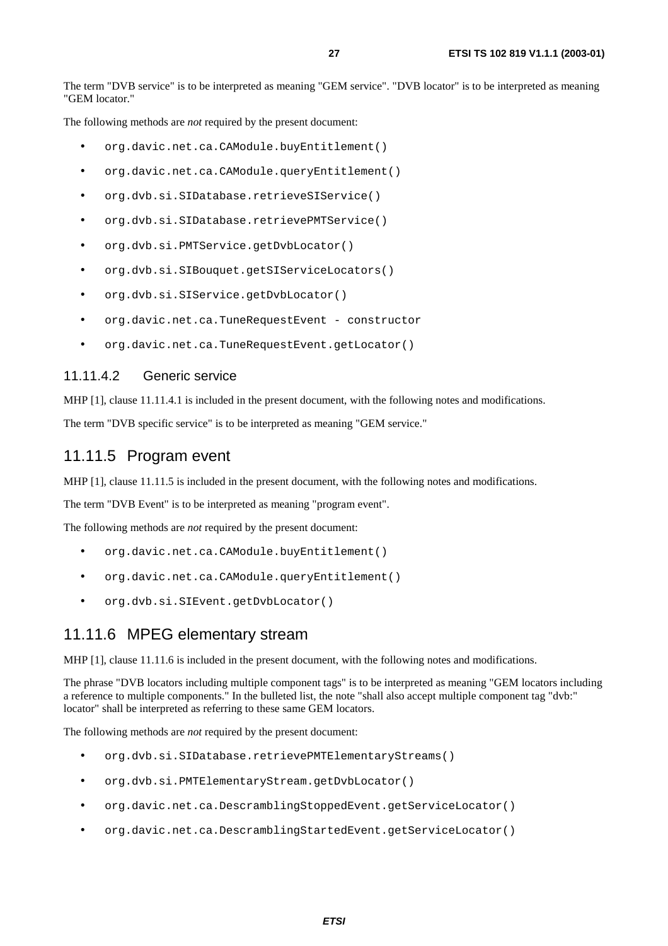The term "DVB service" is to be interpreted as meaning "GEM service". "DVB locator" is to be interpreted as meaning "GEM locator."

The following methods are *not* required by the present document:

- org.davic.net.ca.CAModule.buyEntitlement()
- org.davic.net.ca.CAModule.queryEntitlement()
- org.dvb.si.SIDatabase.retrieveSIService()
- org.dvb.si.SIDatabase.retrievePMTService()
- org.dvb.si.PMTService.getDvbLocator()
- org.dvb.si.SIBouquet.getSIServiceLocators()
- org.dvb.si.SIService.getDvbLocator()
- org.davic.net.ca.TuneRequestEvent constructor
- org.davic.net.ca.TuneRequestEvent.getLocator()

#### 11.11.4.2 Generic service

MHP [1], clause 11.11.4.1 is included in the present document, with the following notes and modifications.

The term "DVB specific service" is to be interpreted as meaning "GEM service."

#### 11.11.5 Program event

MHP [1], clause 11.11.5 is included in the present document, with the following notes and modifications.

The term "DVB Event" is to be interpreted as meaning "program event".

The following methods are *not* required by the present document:

- org.davic.net.ca.CAModule.buyEntitlement()
- org.davic.net.ca.CAModule.queryEntitlement()
- org.dvb.si.SIEvent.getDvbLocator()

#### 11.11.6 MPEG elementary stream

MHP [1], clause 11.11.6 is included in the present document, with the following notes and modifications.

The phrase "DVB locators including multiple component tags" is to be interpreted as meaning "GEM locators including a reference to multiple components." In the bulleted list, the note "shall also accept multiple component tag "dvb:" locator" shall be interpreted as referring to these same GEM locators.

The following methods are *not* required by the present document:

- org.dvb.si.SIDatabase.retrievePMTElementaryStreams()
- org.dvb.si.PMTElementaryStream.getDvbLocator()
- org.davic.net.ca.DescramblingStoppedEvent.getServiceLocator()
- org.davic.net.ca.DescramblingStartedEvent.getServiceLocator()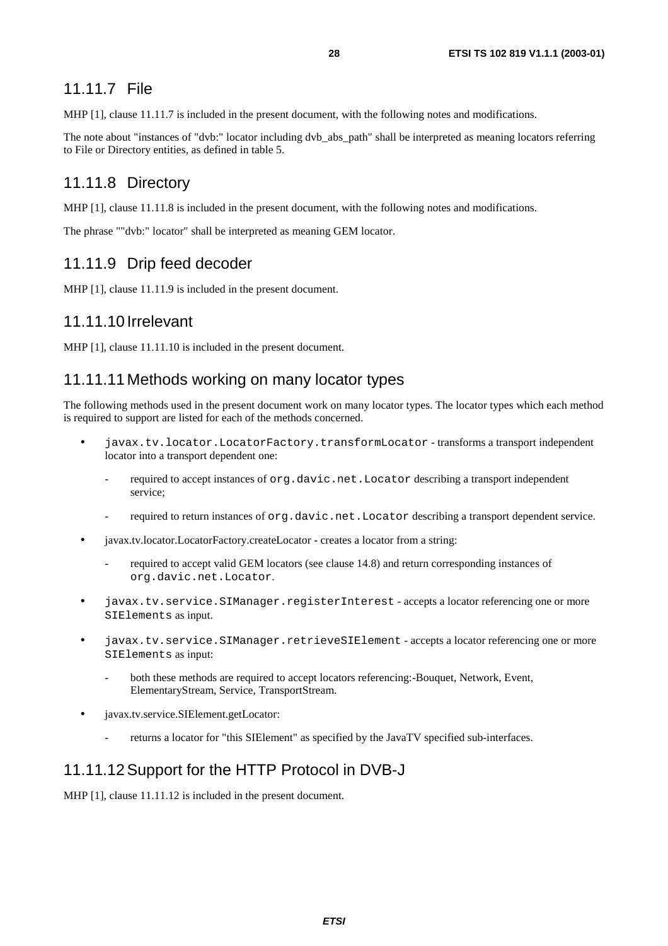#### 11.11.7 File

MHP [1], clause 11.11.7 is included in the present document, with the following notes and modifications.

The note about "instances of "dvb:" locator including dvb abs path" shall be interpreted as meaning locators referring to File or Directory entities, as defined in table 5.

#### 11.11.8 Directory

MHP [1], clause 11.11.8 is included in the present document, with the following notes and modifications.

The phrase ""dvb:" locator" shall be interpreted as meaning GEM locator.

#### 11.11.9 Drip feed decoder

MHP [1], clause 11.11.9 is included in the present document.

#### 11.11.10 Irrelevant

MHP [1], clause 11.11.10 is included in the present document.

#### 11.11.11 Methods working on many locator types

The following methods used in the present document work on many locator types. The locator types which each method is required to support are listed for each of the methods concerned.

- javax.tv.locator.LocatorFactory.transformLocator transforms a transport independent locator into a transport dependent one:
	- required to accept instances of org.davic.net.Locator describing a transport independent service;
	- required to return instances of org.davic.net.Locator describing a transport dependent service.
- javax.tv.locator.LocatorFactory.createLocator creates a locator from a string:
	- required to accept valid GEM locators (see clause 14.8) and return corresponding instances of org.davic.net.Locator.
- javax.tv.service.SIManager.registerInterest accepts a locator referencing one or more SIElements as input.
- javax.tv.service.SIManager.retrieveSIElement accepts a locator referencing one or more SIElements as input:
	- both these methods are required to accept locators referencing:-Bouquet, Network, Event, ElementaryStream, Service, TransportStream.
- javax.tv.service.SIElement.getLocator:
	- returns a locator for "this SIElement" as specified by the JavaTV specified sub-interfaces.

#### 11.11.12 Support for the HTTP Protocol in DVB-J

MHP [1], clause 11.11.12 is included in the present document.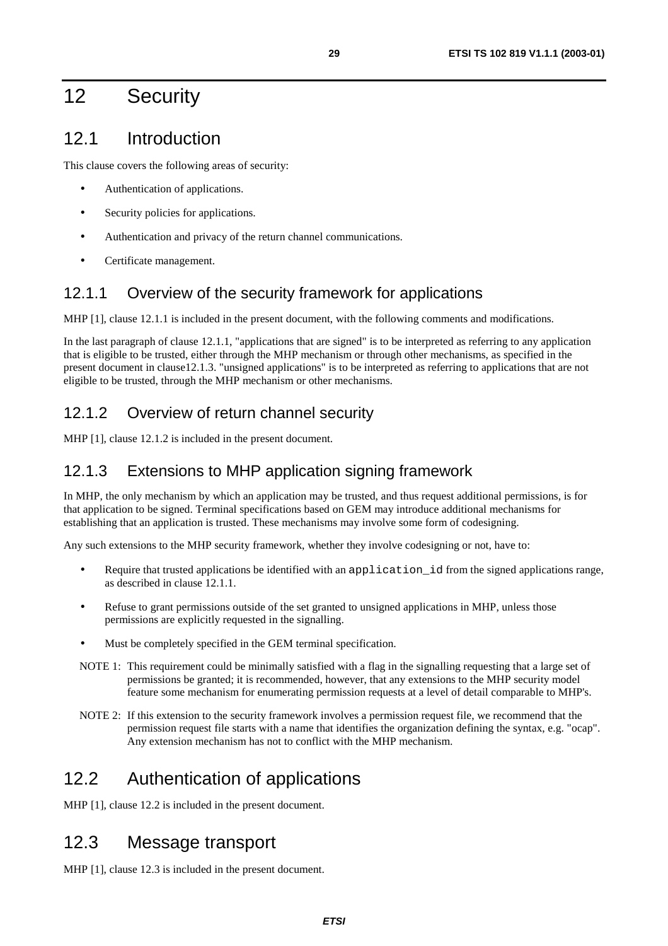## 12 Security

### 12.1 Introduction

This clause covers the following areas of security:

- Authentication of applications.
- Security policies for applications.
- Authentication and privacy of the return channel communications.
- Certificate management.

#### 12.1.1 Overview of the security framework for applications

MHP [1], clause 12.1.1 is included in the present document, with the following comments and modifications.

In the last paragraph of clause 12.1.1, "applications that are signed" is to be interpreted as referring to any application that is eligible to be trusted, either through the MHP mechanism or through other mechanisms, as specified in the present document in clause12.1.3. "unsigned applications" is to be interpreted as referring to applications that are not eligible to be trusted, through the MHP mechanism or other mechanisms.

### 12.1.2 Overview of return channel security

MHP [1], clause 12.1.2 is included in the present document.

#### 12.1.3 Extensions to MHP application signing framework

In MHP, the only mechanism by which an application may be trusted, and thus request additional permissions, is for that application to be signed. Terminal specifications based on GEM may introduce additional mechanisms for establishing that an application is trusted. These mechanisms may involve some form of codesigning.

Any such extensions to the MHP security framework, whether they involve codesigning or not, have to:

- Require that trusted applications be identified with an application\_id from the signed applications range, as described in clause 12.1.1.
- Refuse to grant permissions outside of the set granted to unsigned applications in MHP, unless those permissions are explicitly requested in the signalling.
- Must be completely specified in the GEM terminal specification.
- NOTE 1: This requirement could be minimally satisfied with a flag in the signalling requesting that a large set of permissions be granted; it is recommended, however, that any extensions to the MHP security model feature some mechanism for enumerating permission requests at a level of detail comparable to MHP's.
- NOTE 2: If this extension to the security framework involves a permission request file, we recommend that the permission request file starts with a name that identifies the organization defining the syntax, e.g. "ocap". Any extension mechanism has not to conflict with the MHP mechanism.

## 12.2 Authentication of applications

MHP [1], clause 12.2 is included in the present document.

## 12.3 Message transport

MHP [1], clause 12.3 is included in the present document.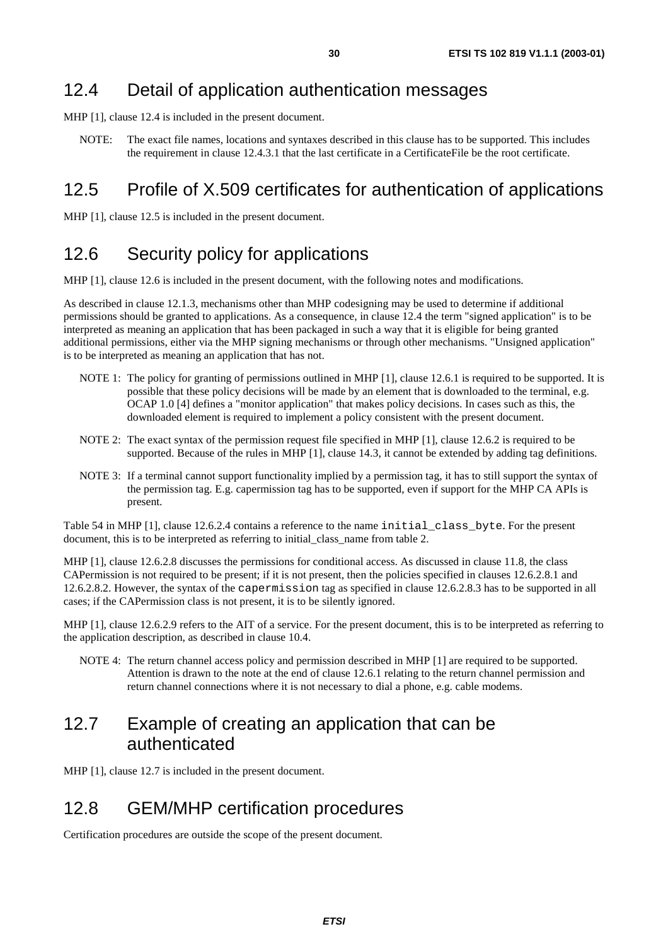### 12.4 Detail of application authentication messages

MHP [1], clause 12.4 is included in the present document.

NOTE: The exact file names, locations and syntaxes described in this clause has to be supported. This includes the requirement in clause 12.4.3.1 that the last certificate in a CertificateFile be the root certificate.

## 12.5 Profile of X.509 certificates for authentication of applications

MHP [1], clause 12.5 is included in the present document.

### 12.6 Security policy for applications

MHP [1], clause 12.6 is included in the present document, with the following notes and modifications.

As described in clause 12.1.3, mechanisms other than MHP codesigning may be used to determine if additional permissions should be granted to applications. As a consequence, in clause 12.4 the term "signed application" is to be interpreted as meaning an application that has been packaged in such a way that it is eligible for being granted additional permissions, either via the MHP signing mechanisms or through other mechanisms. "Unsigned application" is to be interpreted as meaning an application that has not.

- NOTE 1: The policy for granting of permissions outlined in MHP [1], clause 12.6.1 is required to be supported. It is possible that these policy decisions will be made by an element that is downloaded to the terminal, e.g. OCAP 1.0 [4] defines a "monitor application" that makes policy decisions. In cases such as this, the downloaded element is required to implement a policy consistent with the present document.
- NOTE 2: The exact syntax of the permission request file specified in MHP [1], clause 12.6.2 is required to be supported. Because of the rules in MHP [1], clause 14.3, it cannot be extended by adding tag definitions.
- NOTE 3: If a terminal cannot support functionality implied by a permission tag, it has to still support the syntax of the permission tag. E.g. capermission tag has to be supported, even if support for the MHP CA APIs is present.

Table 54 in MHP [1], clause 12.6.2.4 contains a reference to the name initial\_class\_byte. For the present document, this is to be interpreted as referring to initial class name from table 2.

MHP [1], clause 12.6.2.8 discusses the permissions for conditional access. As discussed in clause 11.8, the class CAPermission is not required to be present; if it is not present, then the policies specified in clauses 12.6.2.8.1 and 12.6.2.8.2. However, the syntax of the capermission tag as specified in clause 12.6.2.8.3 has to be supported in all cases; if the CAPermission class is not present, it is to be silently ignored.

MHP [1], clause 12.6.2.9 refers to the AIT of a service. For the present document, this is to be interpreted as referring to the application description, as described in clause 10.4.

NOTE 4: The return channel access policy and permission described in MHP [1] are required to be supported. Attention is drawn to the note at the end of clause 12.6.1 relating to the return channel permission and return channel connections where it is not necessary to dial a phone, e.g. cable modems.

### 12.7 Example of creating an application that can be authenticated

MHP [1], clause 12.7 is included in the present document.

### 12.8 GEM/MHP certification procedures

Certification procedures are outside the scope of the present document.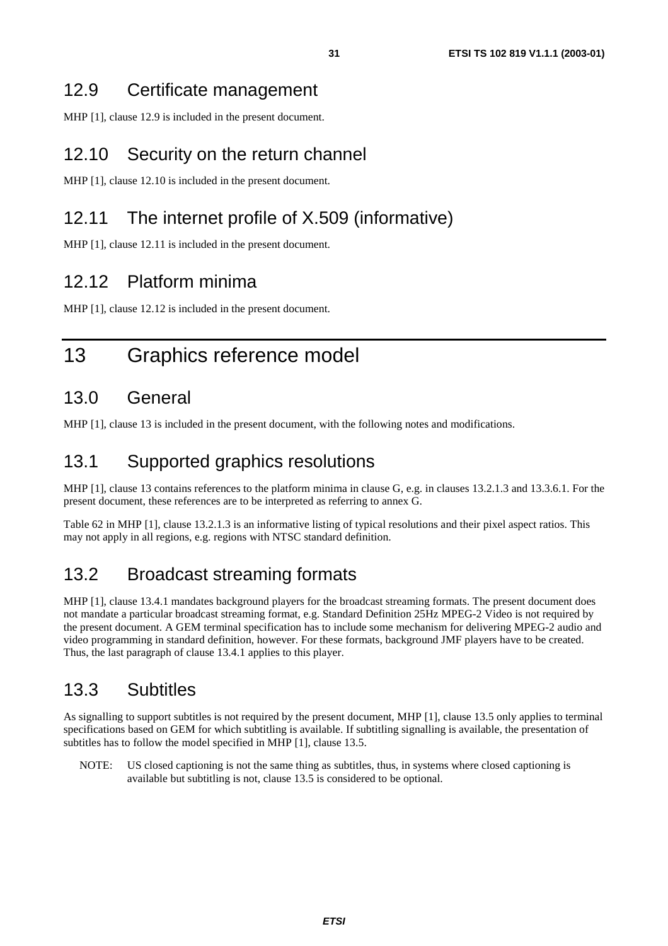### 12.9 Certificate management

MHP [1], clause 12.9 is included in the present document.

### 12.10 Security on the return channel

MHP [1], clause 12.10 is included in the present document.

## 12.11 The internet profile of X.509 (informative)

MHP [1], clause 12.11 is included in the present document.

### 12.12 Platform minima

MHP [1], clause 12.12 is included in the present document.

## 13 Graphics reference model

### 13.0 General

MHP [1], clause 13 is included in the present document, with the following notes and modifications.

#### 13.1 Supported graphics resolutions

MHP [1], clause 13 contains references to the platform minima in clause G, e.g. in clauses 13.2.1.3 and 13.3.6.1. For the present document, these references are to be interpreted as referring to annex G.

Table 62 in MHP [1], clause 13.2.1.3 is an informative listing of typical resolutions and their pixel aspect ratios. This may not apply in all regions, e.g. regions with NTSC standard definition.

### 13.2 Broadcast streaming formats

MHP [1], clause 13.4.1 mandates background players for the broadcast streaming formats. The present document does not mandate a particular broadcast streaming format, e.g. Standard Definition 25Hz MPEG-2 Video is not required by the present document. A GEM terminal specification has to include some mechanism for delivering MPEG-2 audio and video programming in standard definition, however. For these formats, background JMF players have to be created. Thus, the last paragraph of clause 13.4.1 applies to this player.

### 13.3 Subtitles

As signalling to support subtitles is not required by the present document, MHP [1], clause 13.5 only applies to terminal specifications based on GEM for which subtitling is available. If subtitling signalling is available, the presentation of subtitles has to follow the model specified in MHP [1], clause 13.5.

NOTE: US closed captioning is not the same thing as subtitles, thus, in systems where closed captioning is available but subtitling is not, clause 13.5 is considered to be optional.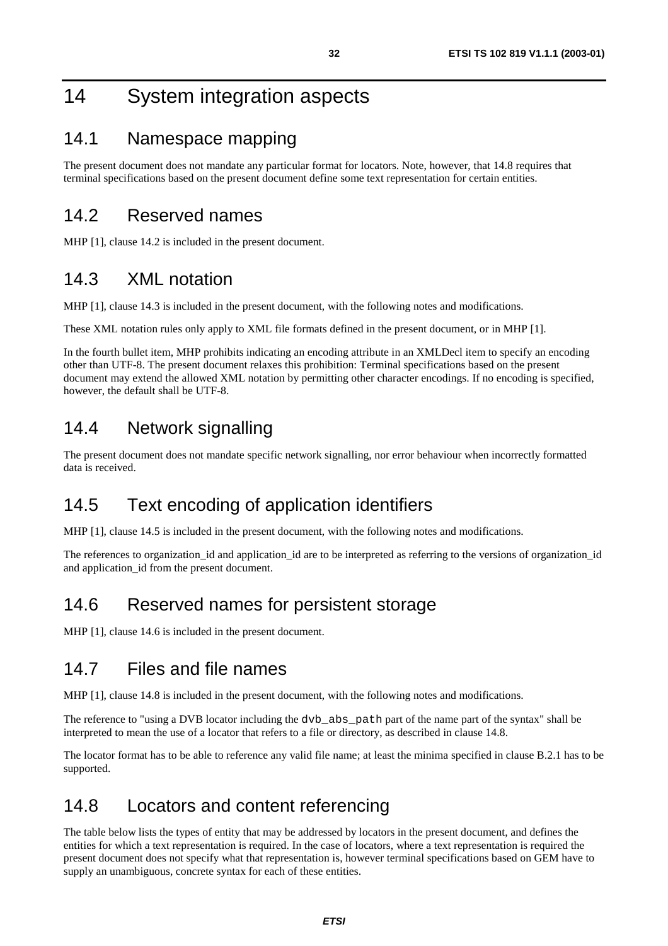## 14 System integration aspects

### 14.1 Namespace mapping

The present document does not mandate any particular format for locators. Note, however, that 14.8 requires that terminal specifications based on the present document define some text representation for certain entities.

### 14.2 Reserved names

MHP [1], clause 14.2 is included in the present document.

### 14.3 XML notation

MHP [1], clause 14.3 is included in the present document, with the following notes and modifications.

These XML notation rules only apply to XML file formats defined in the present document, or in MHP [1].

In the fourth bullet item, MHP prohibits indicating an encoding attribute in an XMLDecl item to specify an encoding other than UTF-8. The present document relaxes this prohibition: Terminal specifications based on the present document may extend the allowed XML notation by permitting other character encodings. If no encoding is specified, however, the default shall be UTF-8.

### 14.4 Network signalling

The present document does not mandate specific network signalling, nor error behaviour when incorrectly formatted data is received.

## 14.5 Text encoding of application identifiers

MHP [1], clause 14.5 is included in the present document, with the following notes and modifications.

The references to organization\_id and application\_id are to be interpreted as referring to the versions of organization\_id and application id from the present document.

## 14.6 Reserved names for persistent storage

MHP [1], clause 14.6 is included in the present document.

### 14.7 Files and file names

MHP [1], clause 14.8 is included in the present document, with the following notes and modifications.

The reference to "using a DVB locator including the dvb\_abs\_path part of the name part of the syntax" shall be interpreted to mean the use of a locator that refers to a file or directory, as described in clause 14.8.

The locator format has to be able to reference any valid file name; at least the minima specified in clause B.2.1 has to be supported.

### 14.8 Locators and content referencing

The table below lists the types of entity that may be addressed by locators in the present document, and defines the entities for which a text representation is required. In the case of locators, where a text representation is required the present document does not specify what that representation is, however terminal specifications based on GEM have to supply an unambiguous, concrete syntax for each of these entities.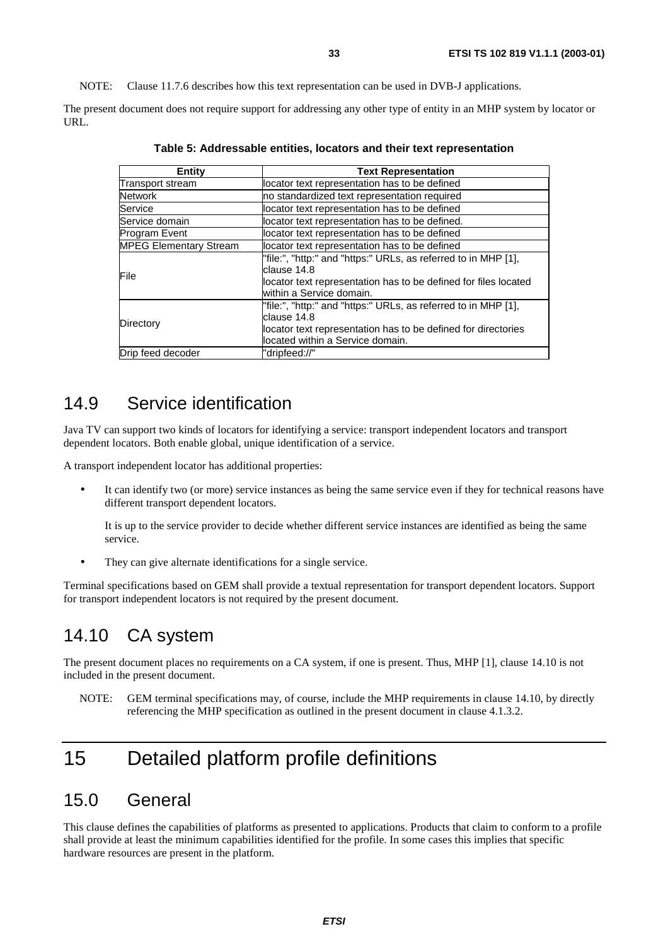NOTE: Clause 11.7.6 describes how this text representation can be used in DVB-J applications.

The present document does not require support for addressing any other type of entity in an MHP system by locator or URL.

| Entity                        | <b>Text Representation</b>                                                                                                                                                         |
|-------------------------------|------------------------------------------------------------------------------------------------------------------------------------------------------------------------------------|
| Transport stream              | locator text representation has to be defined                                                                                                                                      |
| <b>Network</b>                | no standardized text representation required                                                                                                                                       |
| Service                       | locator text representation has to be defined                                                                                                                                      |
| Service domain                | locator text representation has to be defined.                                                                                                                                     |
| <b>Program Event</b>          | locator text representation has to be defined                                                                                                                                      |
| <b>MPEG Elementary Stream</b> | locator text representation has to be defined                                                                                                                                      |
| File                          | "file:", "http:" and "https:" URLs, as referred to in MHP [1],<br>clause 14.8<br>llocator text representation has to be defined for files located<br>within a Service domain.      |
| Directory                     | "file:", "http:" and "https:" URLs, as referred to in MHP [1],<br>clause 14.8<br>locator text representation has to be defined for directories<br>located within a Service domain. |
| Drip feed decoder             | "dripfeed://"                                                                                                                                                                      |

**Table 5: Addressable entities, locators and their text representation** 

### 14.9 Service identification

Java TV can support two kinds of locators for identifying a service: transport independent locators and transport dependent locators. Both enable global, unique identification of a service.

A transport independent locator has additional properties:

It can identify two (or more) service instances as being the same service even if they for technical reasons have different transport dependent locators.

 It is up to the service provider to decide whether different service instances are identified as being the same service.

• They can give alternate identifications for a single service.

Terminal specifications based on GEM shall provide a textual representation for transport dependent locators. Support for transport independent locators is not required by the present document.

### 14.10 CA system

The present document places no requirements on a CA system, if one is present. Thus, MHP [1], clause 14.10 is not included in the present document.

NOTE: GEM terminal specifications may, of course, include the MHP requirements in clause 14.10, by directly referencing the MHP specification as outlined in the present document in clause 4.1.3.2.

## 15 Detailed platform profile definitions

#### 15.0 General

This clause defines the capabilities of platforms as presented to applications. Products that claim to conform to a profile shall provide at least the minimum capabilities identified for the profile. In some cases this implies that specific hardware resources are present in the platform.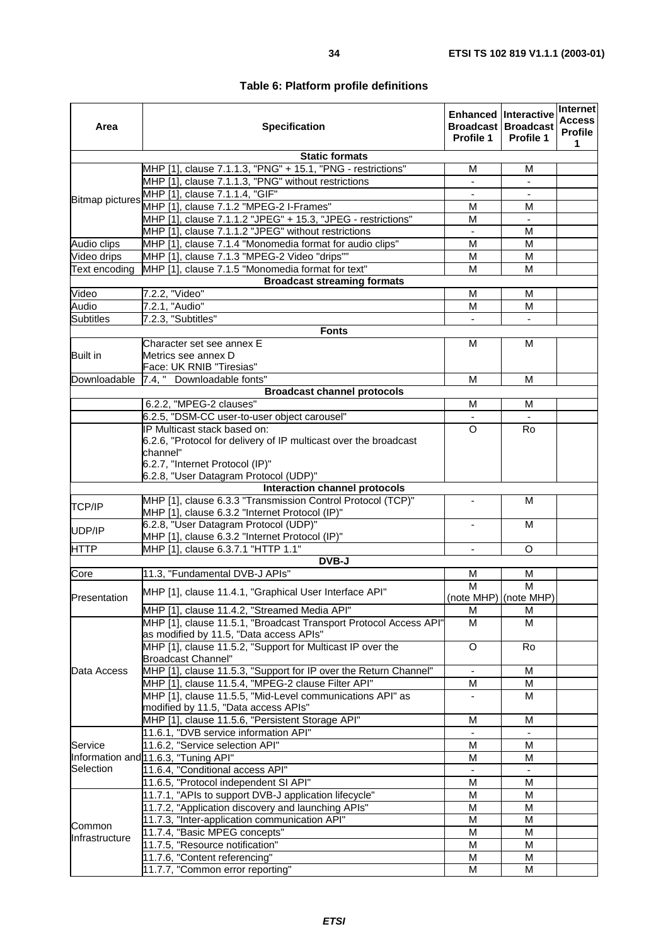| Area                                          | <b>Specification</b>                                                     | Profile 1                | <b>Enhanced Interactive</b><br><b>Broadcast Broadcast</b><br>Profile 1 | Internet<br><b>Access</b><br>Profile<br>1 |
|-----------------------------------------------|--------------------------------------------------------------------------|--------------------------|------------------------------------------------------------------------|-------------------------------------------|
|                                               | <b>Static formats</b>                                                    |                          |                                                                        |                                           |
|                                               | MHP [1], clause 7.1.1.3, "PNG" + 15.1, "PNG - restrictions"              | M                        | М                                                                      |                                           |
|                                               | MHP [1], clause 7.1.1.3, "PNG" without restrictions                      | $\blacksquare$           | $\blacksquare$                                                         |                                           |
| <b>Bitmap pictures</b>                        | MHP [1], clause 7.1.1.4, "GIF"                                           |                          |                                                                        |                                           |
|                                               | MHP [1], clause 7.1.2 "MPEG-2 I-Frames"                                  | M                        | м                                                                      |                                           |
|                                               | MHP [1], clause 7.1.1.2 "JPEG" + 15.3, "JPEG - restrictions"             | М                        | $\overline{\phantom{a}}$                                               |                                           |
|                                               | MHP [1], clause 7.1.1.2 "JPEG" without restrictions                      |                          | М                                                                      |                                           |
| Audio clips                                   | MHP [1], clause 7.1.4 "Monomedia format for audio clips"                 | M                        | M                                                                      |                                           |
| Video drips                                   | MHP [1], clause 7.1.3 "MPEG-2 Video "drips""                             | M                        | M                                                                      |                                           |
| Text encoding                                 | MHP [1], clause 7.1.5 "Monomedia format for text"                        | M                        | М                                                                      |                                           |
|                                               | <b>Broadcast streaming formats</b>                                       |                          |                                                                        |                                           |
| Video                                         | $7.2.2$ , "Video"                                                        | M                        | М                                                                      |                                           |
| Audio                                         | 7.2.1, "Audio"                                                           | M                        | M                                                                      |                                           |
| <b>Subtitles</b>                              | 7.2.3, "Subtitles"                                                       |                          |                                                                        |                                           |
|                                               | <b>Fonts</b>                                                             |                          |                                                                        |                                           |
|                                               | Character set see annex E                                                | M                        | м                                                                      |                                           |
| <b>Built in</b>                               | Metrics see annex D                                                      |                          |                                                                        |                                           |
|                                               | Face: UK RNIB "Tiresias"                                                 |                          |                                                                        |                                           |
| Downloadable                                  | 7.4, " Downloadable fonts"                                               | M                        | M                                                                      |                                           |
|                                               | <b>Broadcast channel protocols</b>                                       |                          |                                                                        |                                           |
|                                               | 6.2.2, "MPEG-2 clauses"                                                  | м                        | м                                                                      |                                           |
|                                               | 6.2.5, "DSM-CC user-to-user object carousel"                             |                          |                                                                        |                                           |
|                                               | IP Multicast stack based on:                                             | $\Omega$                 | Ro                                                                     |                                           |
|                                               | 6.2.6, "Protocol for delivery of IP multicast over the broadcast         |                          |                                                                        |                                           |
|                                               | channel"                                                                 |                          |                                                                        |                                           |
|                                               | 6.2.7, "Internet Protocol (IP)"<br>6.2.8, "User Datagram Protocol (UDP)" |                          |                                                                        |                                           |
|                                               | Interaction channel protocols                                            |                          |                                                                        |                                           |
|                                               | MHP [1], clause 6.3.3 "Transmission Control Protocol (TCP)"              |                          | м                                                                      |                                           |
| TCP/IP                                        | MHP [1], clause 6.3.2 "Internet Protocol (IP)"                           |                          |                                                                        |                                           |
| UDP/IP                                        | 6.2.8, "User Datagram Protocol (UDP)"                                    |                          | м                                                                      |                                           |
|                                               | MHP [1], clause 6.3.2 "Internet Protocol (IP)"                           |                          |                                                                        |                                           |
| <b>HTTP</b>                                   | MHP [1], clause 6.3.7.1 "HTTP 1.1"                                       | $\overline{\phantom{a}}$ | O                                                                      |                                           |
|                                               | DVB-J                                                                    |                          |                                                                        |                                           |
| Core                                          | 11.3, "Fundamental DVB-J APIs"                                           | M<br>M                   | М<br>M                                                                 |                                           |
| Presentation                                  | MHP [1], clause 11.4.1, "Graphical User Interface API"                   | (note MHP) (note MHP)    |                                                                        |                                           |
|                                               | MHP [1], clause 11.4.2, "Streamed Media API"                             |                          |                                                                        |                                           |
|                                               | MHP [1], clause 11.5.1, "Broadcast Transport Protocol Access API"        | M<br>M                   | М<br>M                                                                 |                                           |
|                                               | as modified by 11.5, "Data access APIs"                                  |                          |                                                                        |                                           |
|                                               | MHP [1], clause 11.5.2, "Support for Multicast IP over the               | O                        | <b>Ro</b>                                                              |                                           |
|                                               | Broadcast Channel"                                                       |                          |                                                                        |                                           |
| Data Access                                   | MHP [1], clause 11.5.3, "Support for IP over the Return Channel"         | $\blacksquare$           | M                                                                      |                                           |
|                                               | MHP [1], clause 11.5.4, "MPEG-2 clause Filter API"                       | M                        | м                                                                      |                                           |
|                                               | MHP [1], clause 11.5.5, "Mid-Level communications API" as                |                          | м                                                                      |                                           |
|                                               | modified by 11.5, "Data access APIs"                                     |                          |                                                                        |                                           |
|                                               | MHP [1], clause 11.5.6, "Persistent Storage API"                         | M                        | м                                                                      |                                           |
|                                               | 11.6.1, "DVB service information API"                                    | $\mathbf{r}$             | $\omega$                                                               |                                           |
| Service                                       | 11.6.2, "Service selection API"                                          | M                        | M                                                                      |                                           |
|                                               | Information and 11.6.3, "Tuning API"                                     | M                        | м                                                                      |                                           |
| Selection<br>11.6.4, "Conditional access API" |                                                                          |                          |                                                                        |                                           |
|                                               | 11.6.5, "Protocol independent SI API"                                    | M                        | M                                                                      |                                           |
|                                               | 11.7.1, "APIs to support DVB-J application lifecycle"                    | M                        | M                                                                      |                                           |
|                                               | 11.7.2, "Application discovery and launching APIs"                       | M                        | M                                                                      |                                           |
|                                               | 11.7.3, "Inter-application communication API"                            | M                        | M                                                                      |                                           |
| Common                                        | 11.7.4, "Basic MPEG concepts"                                            | M                        | M                                                                      |                                           |
| Infrastructure                                | 11.7.5, "Resource notification"                                          | M                        | м                                                                      |                                           |
|                                               | 11.7.6, "Content referencing"                                            | M                        | М                                                                      |                                           |
|                                               | 11.7.7, "Common error reporting"                                         | M                        | M                                                                      |                                           |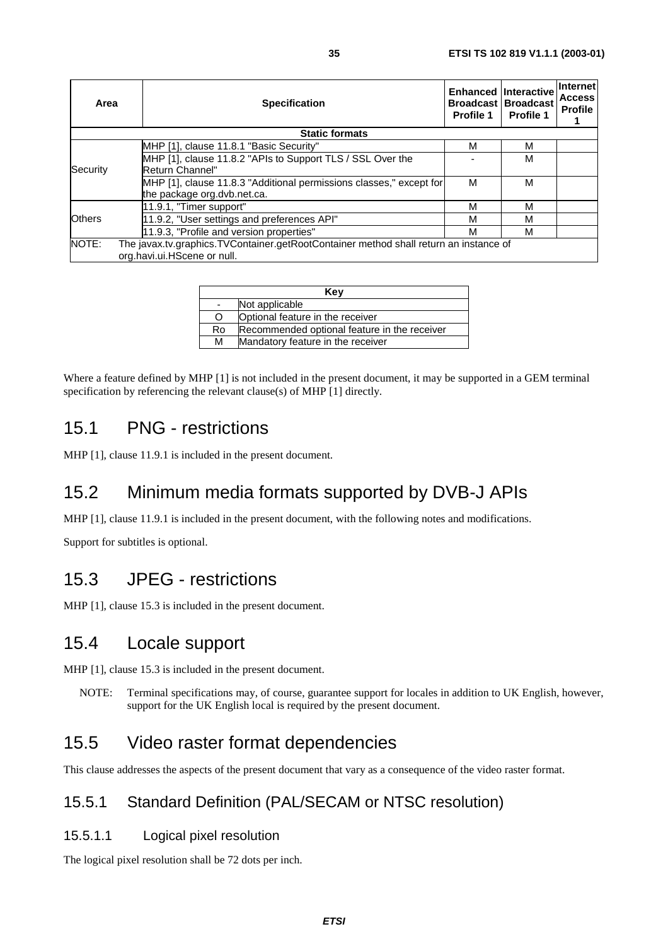| Area                                                                | <b>Specification</b>                                                                                                 | Profile 1 | Enhanced Interactive<br><b>Broadcast Broadcast</b><br><b>Profile 1</b> | <b>Internet</b><br><b>Access</b><br>Profile |
|---------------------------------------------------------------------|----------------------------------------------------------------------------------------------------------------------|-----------|------------------------------------------------------------------------|---------------------------------------------|
|                                                                     | <b>Static formats</b>                                                                                                |           |                                                                        |                                             |
|                                                                     | MHP [1], clause 11.8.1 "Basic Security"                                                                              | м         | м                                                                      |                                             |
|                                                                     | MHP [1], clause 11.8.2 "APIs to Support TLS / SSL Over the                                                           |           | м                                                                      |                                             |
| Security                                                            | Return Channel"                                                                                                      |           |                                                                        |                                             |
| MHP [1], clause 11.8.3 "Additional permissions classes," except for |                                                                                                                      | M         | м                                                                      |                                             |
|                                                                     | the package org.dvb.net.ca.                                                                                          |           |                                                                        |                                             |
|                                                                     | 11.9.1, "Timer support"                                                                                              | M         | м                                                                      |                                             |
| <b>Others</b>                                                       | 11.9.2, "User settings and preferences API"                                                                          | М         | м                                                                      |                                             |
|                                                                     | 11.9.3, "Profile and version properties"                                                                             | М         | м                                                                      |                                             |
| NOTE:                                                               | The javax.tv.graphics.TVContainer.getRootContainer method shall return an instance of<br>org.havi.ui.HScene or null. |           |                                                                        |                                             |

| Key |                                              |  |
|-----|----------------------------------------------|--|
|     | Not applicable                               |  |
| O   | Optional feature in the receiver             |  |
| Ro  | Recommended optional feature in the receiver |  |
| М   | Mandatory feature in the receiver            |  |

Where a feature defined by MHP [1] is not included in the present document, it may be supported in a GEM terminal specification by referencing the relevant clause(s) of MHP [1] directly.

## 15.1 PNG - restrictions

MHP [1], clause 11.9.1 is included in the present document.

## 15.2 Minimum media formats supported by DVB-J APIs

MHP [1], clause 11.9.1 is included in the present document, with the following notes and modifications.

Support for subtitles is optional.

### 15.3 JPEG - restrictions

MHP [1], clause 15.3 is included in the present document.

### 15.4 Locale support

MHP [1], clause 15.3 is included in the present document.

NOTE: Terminal specifications may, of course, guarantee support for locales in addition to UK English, however, support for the UK English local is required by the present document.

## 15.5 Video raster format dependencies

This clause addresses the aspects of the present document that vary as a consequence of the video raster format.

### 15.5.1 Standard Definition (PAL/SECAM or NTSC resolution)

#### 15.5.1.1 Logical pixel resolution

The logical pixel resolution shall be 72 dots per inch.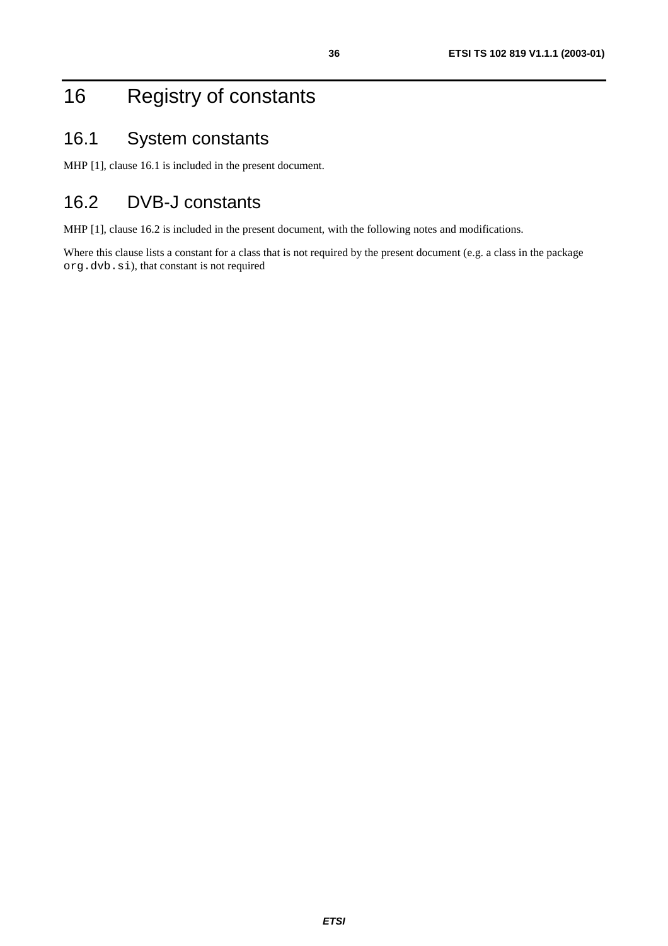## 16 Registry of constants

## 16.1 System constants

MHP [1], clause 16.1 is included in the present document.

## 16.2 DVB-J constants

MHP [1], clause 16.2 is included in the present document, with the following notes and modifications.

Where this clause lists a constant for a class that is not required by the present document (e.g. a class in the package org.dvb.si), that constant is not required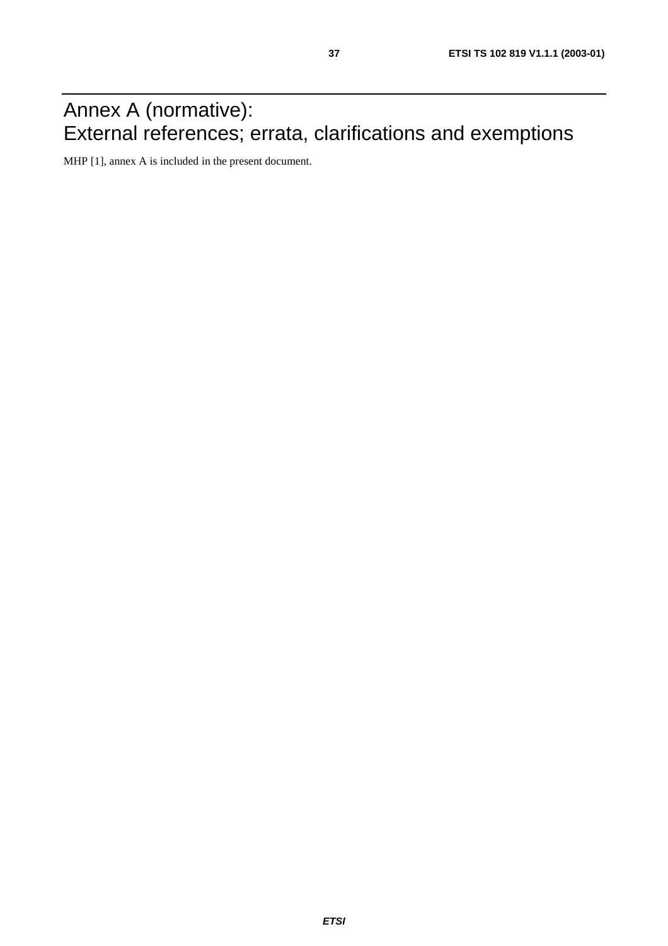## Annex A (normative): External references; errata, clarifications and exemptions

MHP [1], annex A is included in the present document.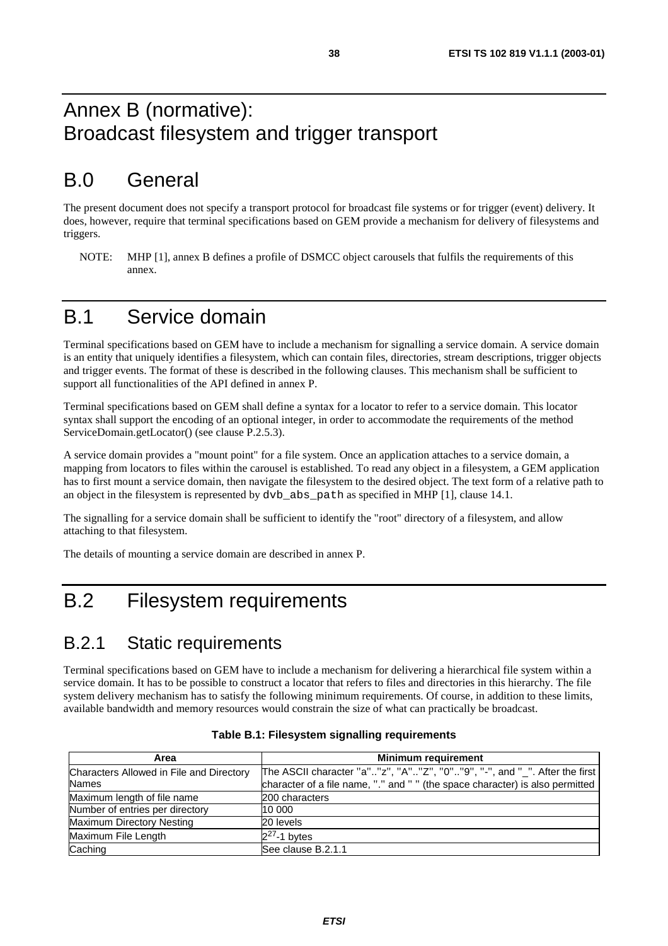## Annex B (normative): Broadcast filesystem and trigger transport

## B.0 General

The present document does not specify a transport protocol for broadcast file systems or for trigger (event) delivery. It does, however, require that terminal specifications based on GEM provide a mechanism for delivery of filesystems and triggers.

NOTE: MHP [1], annex B defines a profile of DSMCC object carousels that fulfils the requirements of this annex.

## B.1 Service domain

Terminal specifications based on GEM have to include a mechanism for signalling a service domain. A service domain is an entity that uniquely identifies a filesystem, which can contain files, directories, stream descriptions, trigger objects and trigger events. The format of these is described in the following clauses. This mechanism shall be sufficient to support all functionalities of the API defined in annex P.

Terminal specifications based on GEM shall define a syntax for a locator to refer to a service domain. This locator syntax shall support the encoding of an optional integer, in order to accommodate the requirements of the method ServiceDomain.getLocator() (see clause P.2.5.3).

A service domain provides a "mount point" for a file system. Once an application attaches to a service domain, a mapping from locators to files within the carousel is established. To read any object in a filesystem, a GEM application has to first mount a service domain, then navigate the filesystem to the desired object. The text form of a relative path to an object in the filesystem is represented by dvb\_abs\_path as specified in MHP [1], clause 14.1.

The signalling for a service domain shall be sufficient to identify the "root" directory of a filesystem, and allow attaching to that filesystem.

The details of mounting a service domain are described in annex P.

## B.2 Filesystem requirements

### B.2.1 Static requirements

Terminal specifications based on GEM have to include a mechanism for delivering a hierarchical file system within a service domain. It has to be possible to construct a locator that refers to files and directories in this hierarchy. The file system delivery mechanism has to satisfy the following minimum requirements. Of course, in addition to these limits, available bandwidth and memory resources would constrain the size of what can practically be broadcast.

| Area                                     | <b>Minimum requirement</b>                                                    |  |
|------------------------------------------|-------------------------------------------------------------------------------|--|
| Characters Allowed in File and Directory | The ASCII character "a""z", "A""Z", "0""9", "-", and "_". After the first     |  |
| <b>Names</b>                             | character of a file name, "." and " " (the space character) is also permitted |  |
| Maximum length of file name              | 200 characters                                                                |  |
| Number of entries per directory          | 10 000                                                                        |  |
| Maximum Directory Nesting                | 20 levels                                                                     |  |
| Maximum File Length                      | $2^{27}$ -1 bytes                                                             |  |
| Caching                                  | See clause B.2.1.1                                                            |  |

| Table B.1: Filesystem signalling requirements |  |  |
|-----------------------------------------------|--|--|
|-----------------------------------------------|--|--|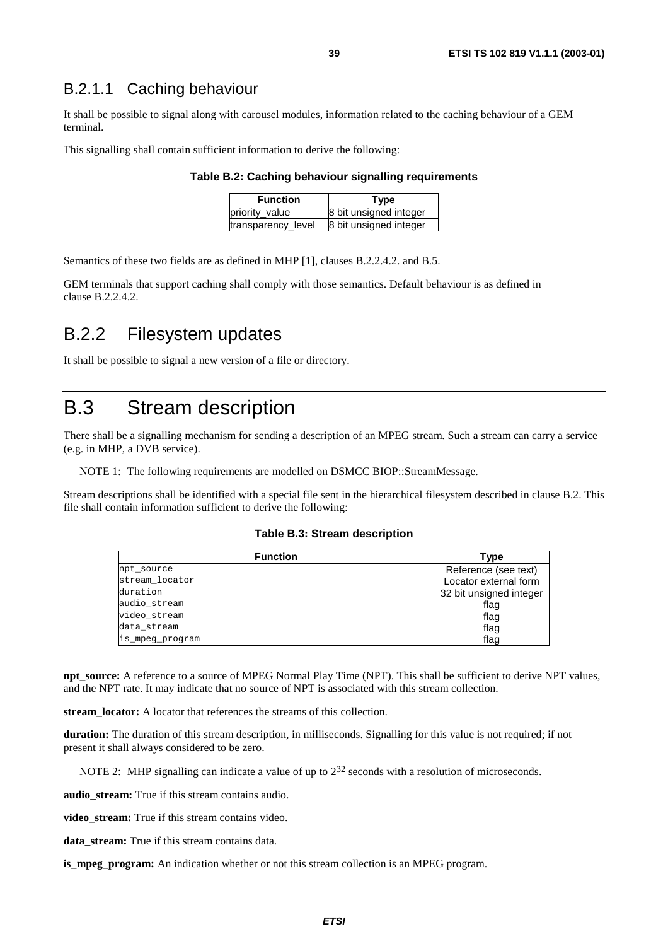#### B.2.1.1 Caching behaviour

It shall be possible to signal along with carousel modules, information related to the caching behaviour of a GEM terminal.

This signalling shall contain sufficient information to derive the following:

#### **Table B.2: Caching behaviour signalling requirements**

| <b>Function</b>    | Type                   |  |
|--------------------|------------------------|--|
| priority value     | 8 bit unsigned integer |  |
| transparency_level | 8 bit unsigned integer |  |

Semantics of these two fields are as defined in MHP [1], clauses B.2.2.4.2. and B.5.

GEM terminals that support caching shall comply with those semantics. Default behaviour is as defined in clause B.2.2.4.2.

### B.2.2 Filesystem updates

It shall be possible to signal a new version of a file or directory.

## B.3 Stream description

There shall be a signalling mechanism for sending a description of an MPEG stream. Such a stream can carry a service (e.g. in MHP, a DVB service).

NOTE 1: The following requirements are modelled on DSMCC BIOP::StreamMessage.

Stream descriptions shall be identified with a special file sent in the hierarchical filesystem described in clause B.2. This file shall contain information sufficient to derive the following:

#### **Table B.3: Stream description**

| <b>Function</b> | Type                    |
|-----------------|-------------------------|
| npt_source      | Reference (see text)    |
| stream locator  | Locator external form   |
| duration        | 32 bit unsigned integer |
| audio stream    | flag                    |
| video stream    | flag                    |
| data_stream     | flag                    |
| is_mpeg_program | flag                    |

**npt\_source:** A reference to a source of MPEG Normal Play Time (NPT). This shall be sufficient to derive NPT values, and the NPT rate. It may indicate that no source of NPT is associated with this stream collection.

**stream\_locator:** A locator that references the streams of this collection.

**duration:** The duration of this stream description, in milliseconds. Signalling for this value is not required; if not present it shall always considered to be zero.

NOTE 2: MHP signalling can indicate a value of up to  $2^{32}$  seconds with a resolution of microseconds.

**audio** stream: True if this stream contains audio.

video stream: True if this stream contains video.

**data\_stream:** True if this stream contains data.

**is\_mpeg\_program:** An indication whether or not this stream collection is an MPEG program.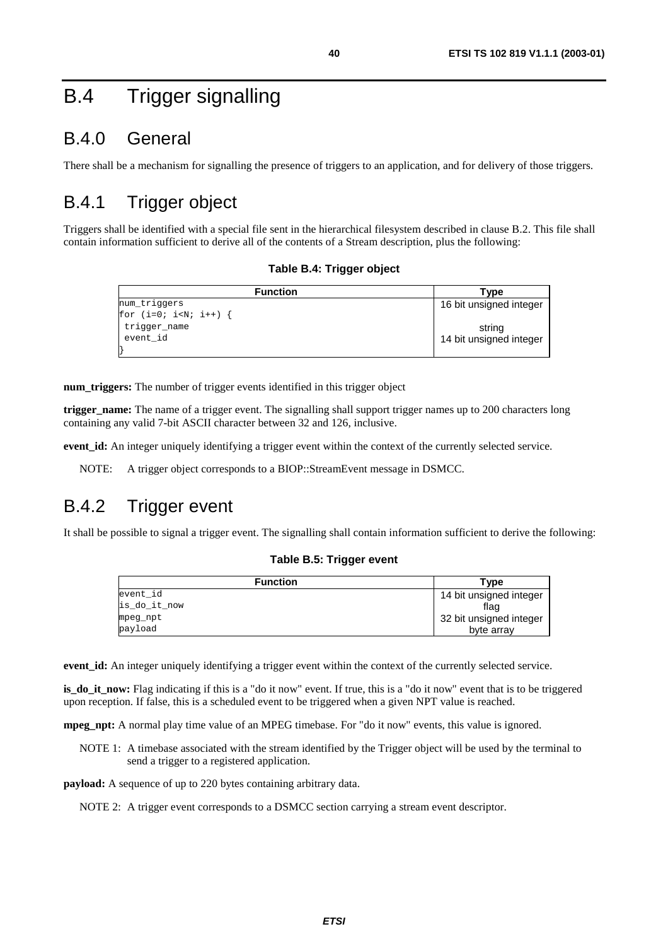## B.4 Trigger signalling

## B.4.0 General

There shall be a mechanism for signalling the presence of triggers to an application, and for delivery of those triggers.

## B.4.1 Trigger object

Triggers shall be identified with a special file sent in the hierarchical filesystem described in clause B.2. This file shall contain information sufficient to derive all of the contents of a Stream description, plus the following:

#### **Table B.4: Trigger object**

| <b>Function</b> | Type                    |
|-----------------|-------------------------|
| num_triggers    | 16 bit unsigned integer |
| for $(i=0; i {$ |                         |
| trigger_name    | string                  |
| event id        | 14 bit unsigned integer |
|                 |                         |

**num\_triggers:** The number of trigger events identified in this trigger object

**trigger\_name:** The name of a trigger event. The signalling shall support trigger names up to 200 characters long containing any valid 7-bit ASCII character between 32 and 126, inclusive.

**event\_id:** An integer uniquely identifying a trigger event within the context of the currently selected service.

NOTE: A trigger object corresponds to a BIOP::StreamEvent message in DSMCC.

## B.4.2 Trigger event

It shall be possible to signal a trigger event. The signalling shall contain information sufficient to derive the following:

#### **Table B.5: Trigger event**

| <b>Function</b> | Type                    |
|-----------------|-------------------------|
| event id        | 14 bit unsigned integer |
| is_do_it_now    | flag                    |
| mpeg_npt        | 32 bit unsigned integer |
| payload         | byte array              |

**event\_id:** An integer uniquely identifying a trigger event within the context of the currently selected service.

**is do it now:** Flag indicating if this is a "do it now" event. If true, this is a "do it now" event that is to be triggered upon reception. If false, this is a scheduled event to be triggered when a given NPT value is reached.

**mpeg\_npt:** A normal play time value of an MPEG timebase. For "do it now" events, this value is ignored.

NOTE 1: A timebase associated with the stream identified by the Trigger object will be used by the terminal to send a trigger to a registered application.

**payload:** A sequence of up to 220 bytes containing arbitrary data.

NOTE 2: A trigger event corresponds to a DSMCC section carrying a stream event descriptor.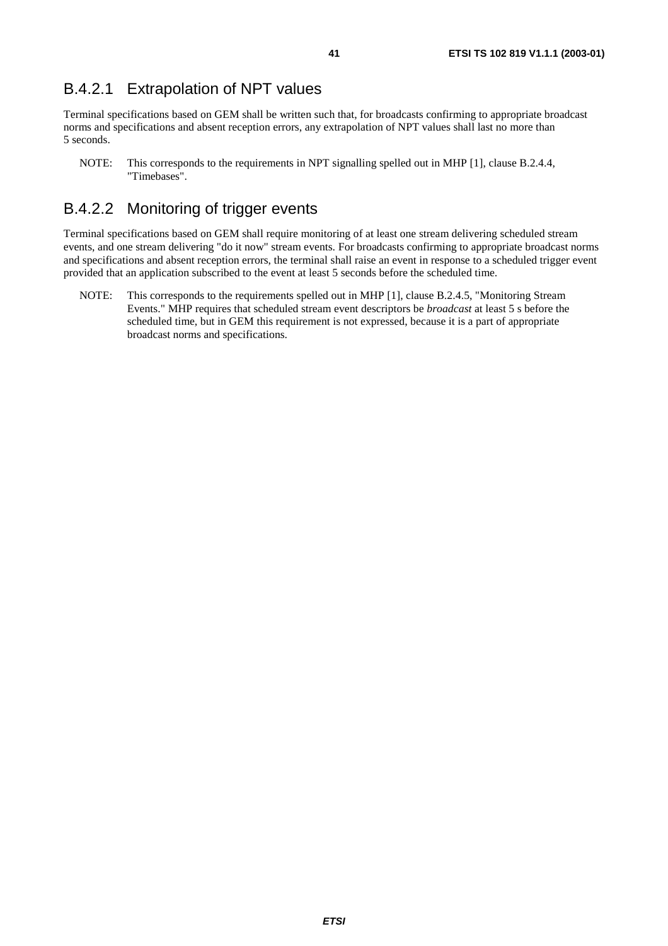#### B.4.2.1 Extrapolation of NPT values

Terminal specifications based on GEM shall be written such that, for broadcasts confirming to appropriate broadcast norms and specifications and absent reception errors, any extrapolation of NPT values shall last no more than 5 seconds.

NOTE: This corresponds to the requirements in NPT signalling spelled out in MHP [1], clause B.2.4.4, "Timebases".

#### B.4.2.2 Monitoring of trigger events

Terminal specifications based on GEM shall require monitoring of at least one stream delivering scheduled stream events, and one stream delivering "do it now" stream events. For broadcasts confirming to appropriate broadcast norms and specifications and absent reception errors, the terminal shall raise an event in response to a scheduled trigger event provided that an application subscribed to the event at least 5 seconds before the scheduled time.

NOTE: This corresponds to the requirements spelled out in MHP [1], clause B.2.4.5, "Monitoring Stream Events." MHP requires that scheduled stream event descriptors be *broadcast* at least 5 s before the scheduled time, but in GEM this requirement is not expressed, because it is a part of appropriate broadcast norms and specifications.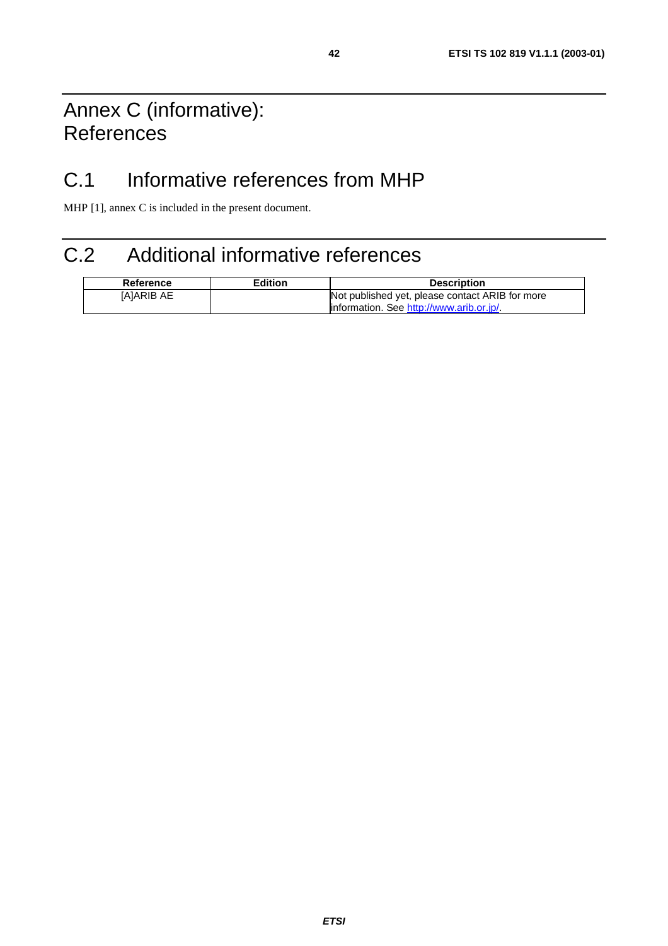## Annex C (informative): **References**

## C.1 Informative references from MHP

MHP [1], annex C is included in the present document.

## C.2 Additional informative references

| Reference  | <b>Edition</b> | <b>Description</b>                              |
|------------|----------------|-------------------------------------------------|
| IAIARIB AE |                | Not published yet, please contact ARIB for more |
|            |                | information. See http://www.arib.or.jp/         |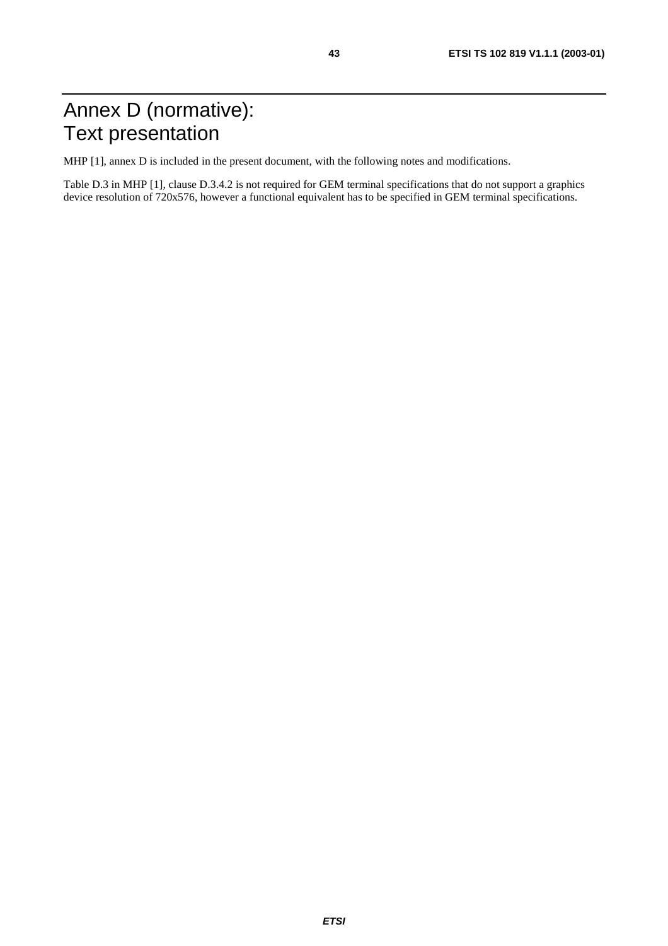MHP [1], annex D is included in the present document, with the following notes and modifications.

Table D.3 in MHP [1], clause D.3.4.2 is not required for GEM terminal specifications that do not support a graphics device resolution of 720x576, however a functional equivalent has to be specified in GEM terminal specifications.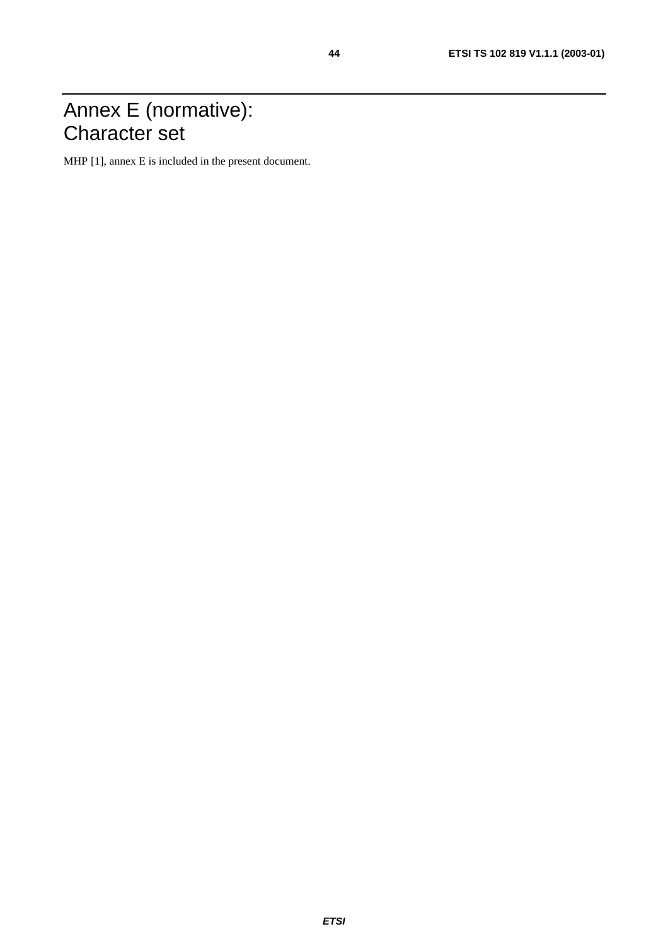## Annex E (normative): Character set

MHP [1], annex E is included in the present document.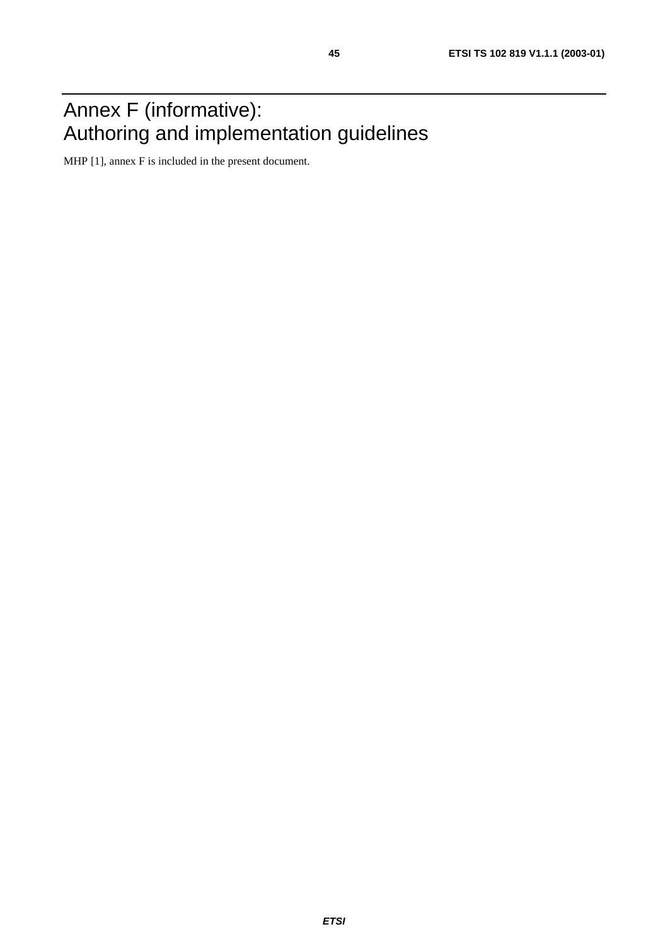## Annex F (informative): Authoring and implementation guidelines

MHP [1], annex F is included in the present document.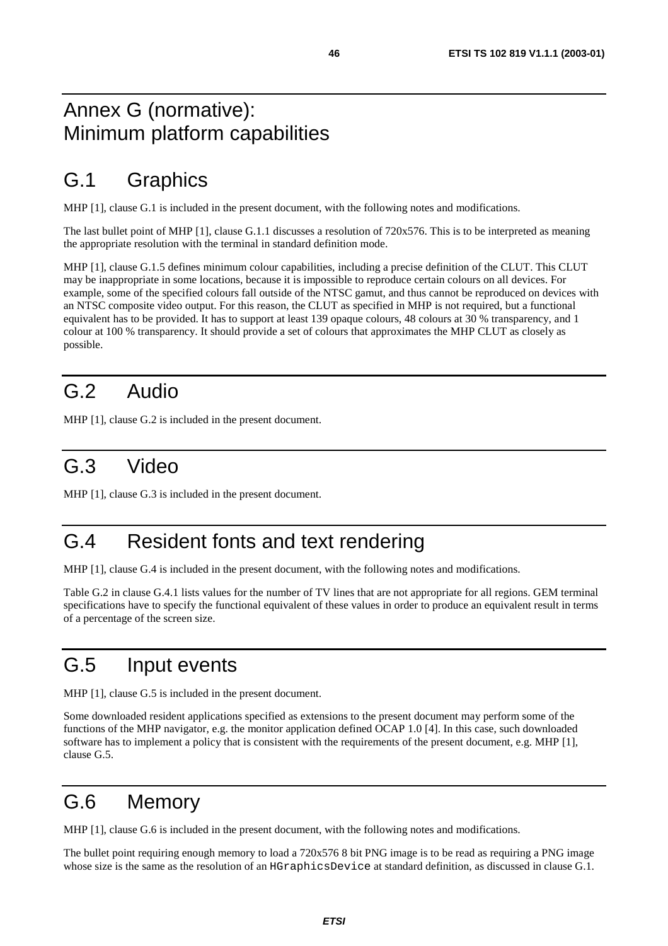## Annex G (normative): Minimum platform capabilities

## G.1 Graphics

MHP [1], clause G.1 is included in the present document, with the following notes and modifications.

The last bullet point of MHP [1], clause G.1.1 discusses a resolution of 720x576. This is to be interpreted as meaning the appropriate resolution with the terminal in standard definition mode.

MHP [1], clause G.1.5 defines minimum colour capabilities, including a precise definition of the CLUT. This CLUT may be inappropriate in some locations, because it is impossible to reproduce certain colours on all devices. For example, some of the specified colours fall outside of the NTSC gamut, and thus cannot be reproduced on devices with an NTSC composite video output. For this reason, the CLUT as specified in MHP is not required, but a functional equivalent has to be provided. It has to support at least 139 opaque colours, 48 colours at 30 % transparency, and 1 colour at 100 % transparency. It should provide a set of colours that approximates the MHP CLUT as closely as possible.

## G.2 Audio

MHP [1], clause G.2 is included in the present document.

## G.3 Video

MHP [1], clause G.3 is included in the present document.

## G.4 Resident fonts and text rendering

MHP [1], clause G.4 is included in the present document, with the following notes and modifications.

Table G.2 in clause G.4.1 lists values for the number of TV lines that are not appropriate for all regions. GEM terminal specifications have to specify the functional equivalent of these values in order to produce an equivalent result in terms of a percentage of the screen size.

## G.5 Input events

MHP [1], clause G.5 is included in the present document.

Some downloaded resident applications specified as extensions to the present document may perform some of the functions of the MHP navigator, e.g. the monitor application defined OCAP 1.0 [4]. In this case, such downloaded software has to implement a policy that is consistent with the requirements of the present document, e.g. MHP [1], clause G.5.

## G.6 Memory

MHP [1], clause G.6 is included in the present document, with the following notes and modifications.

The bullet point requiring enough memory to load a 720x576 8 bit PNG image is to be read as requiring a PNG image whose size is the same as the resolution of an HGraphicsDevice at standard definition, as discussed in clause G.1.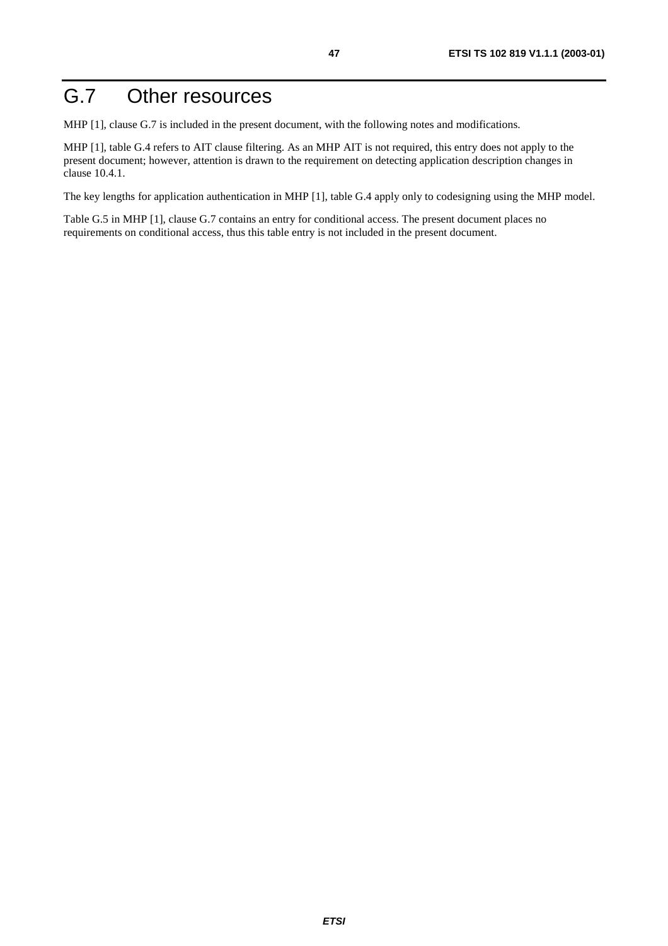## G.7 Other resources

MHP [1], clause G.7 is included in the present document, with the following notes and modifications.

MHP [1], table G.4 refers to AIT clause filtering. As an MHP AIT is not required, this entry does not apply to the present document; however, attention is drawn to the requirement on detecting application description changes in clause 10.4.1.

The key lengths for application authentication in MHP [1], table G.4 apply only to codesigning using the MHP model.

Table G.5 in MHP [1], clause G.7 contains an entry for conditional access. The present document places no requirements on conditional access, thus this table entry is not included in the present document.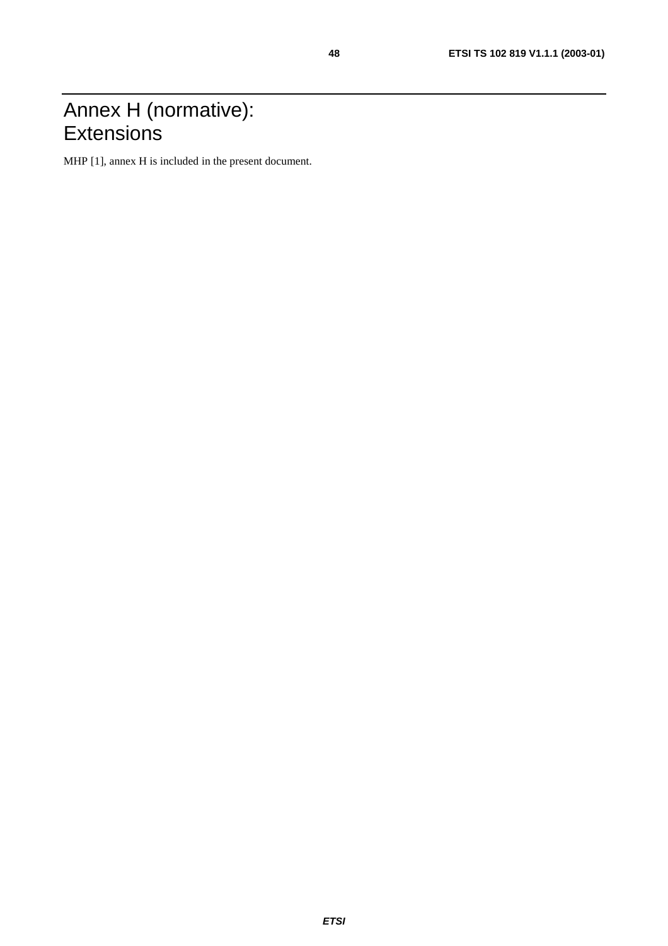## Annex H (normative): **Extensions**

MHP [1], annex H is included in the present document.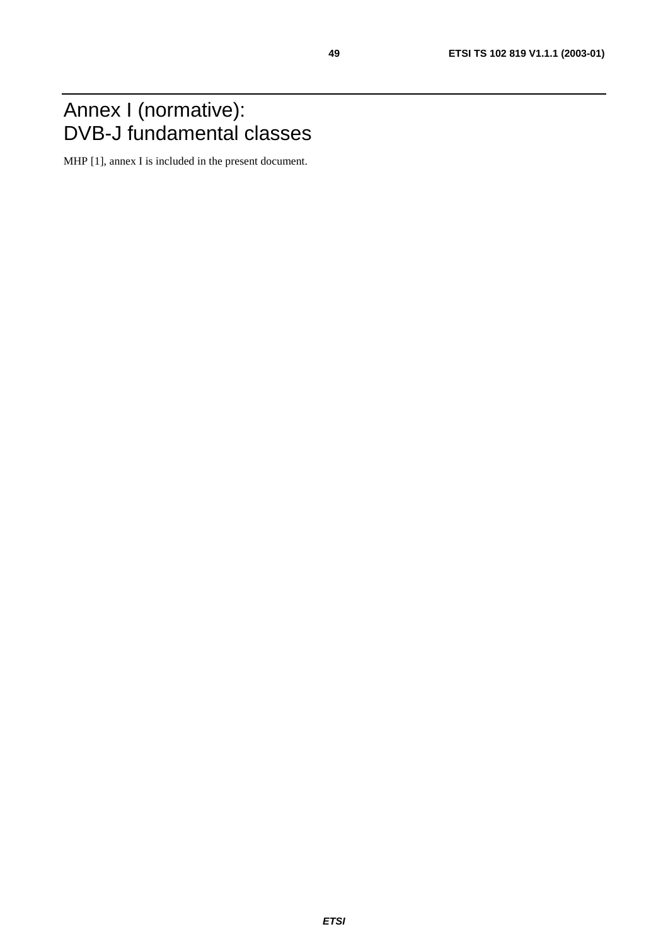## Annex I (normative): DVB-J fundamental classes

MHP [1], annex I is included in the present document.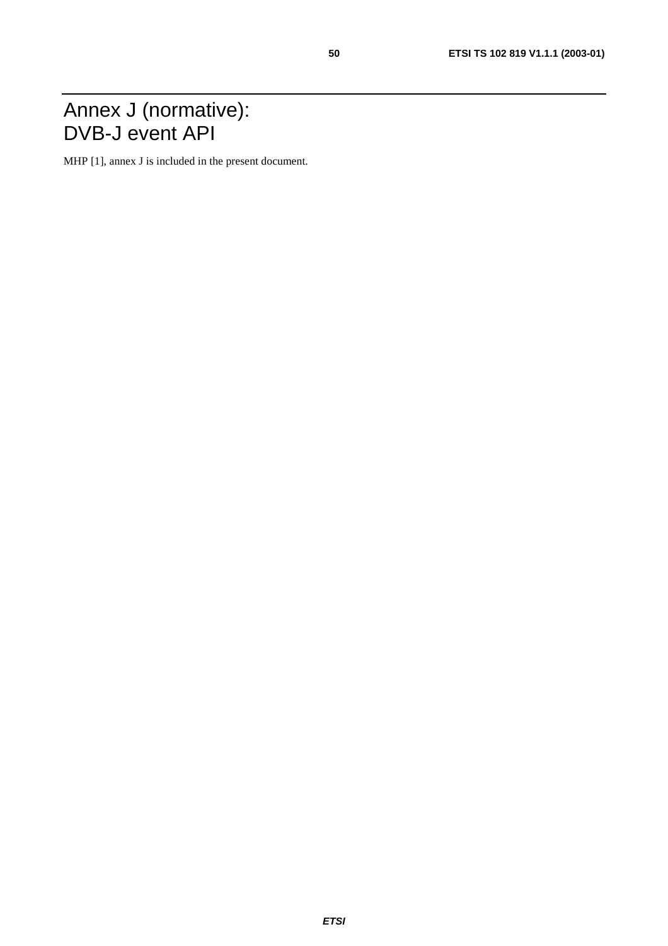## Annex J (normative): DVB-J event API

MHP [1], annex J is included in the present document.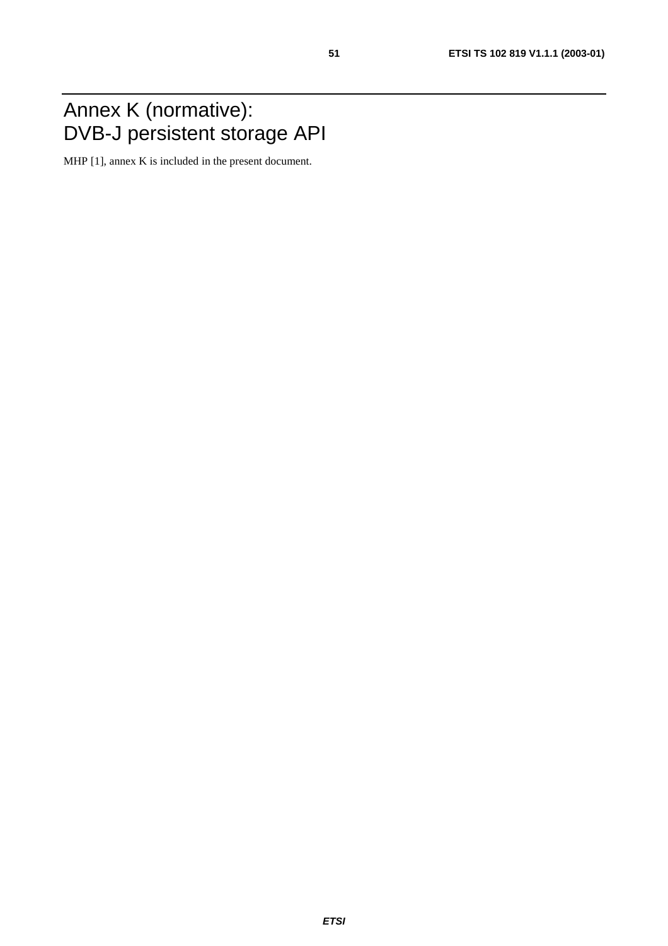## Annex K (normative): DVB-J persistent storage API

MHP [1], annex K is included in the present document.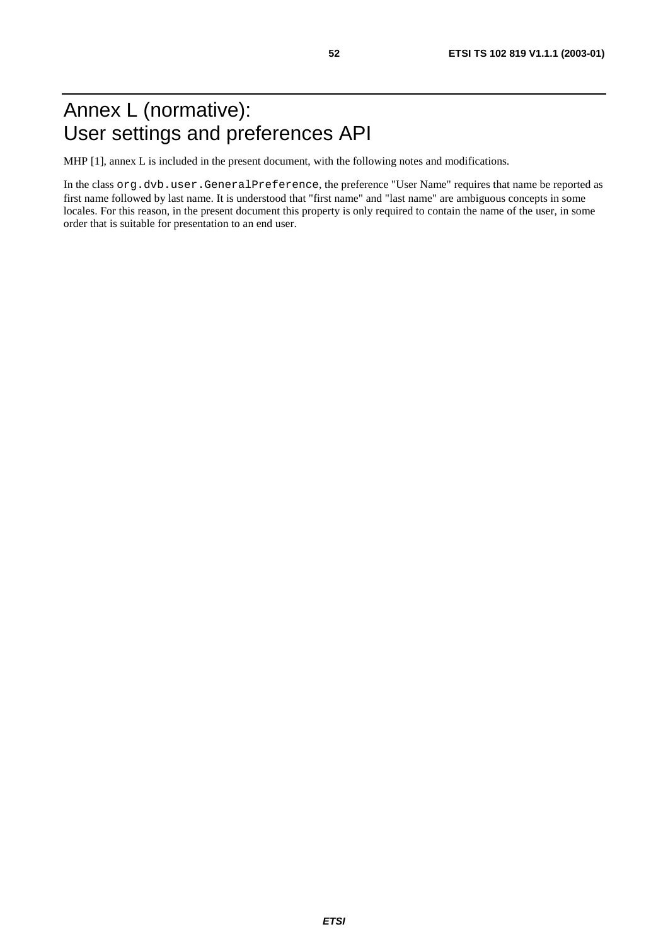## Annex L (normative): User settings and preferences API

MHP [1], annex L is included in the present document, with the following notes and modifications.

In the class org.dvb.user.GeneralPreference, the preference "User Name" requires that name be reported as first name followed by last name. It is understood that "first name" and "last name" are ambiguous concepts in some locales. For this reason, in the present document this property is only required to contain the name of the user, in some order that is suitable for presentation to an end user.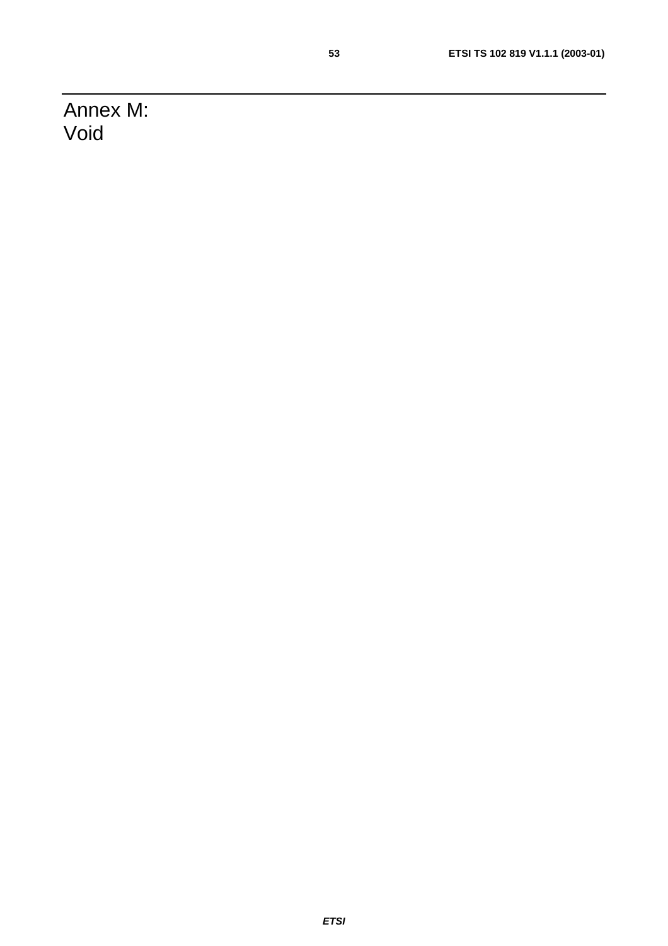Annex M: Void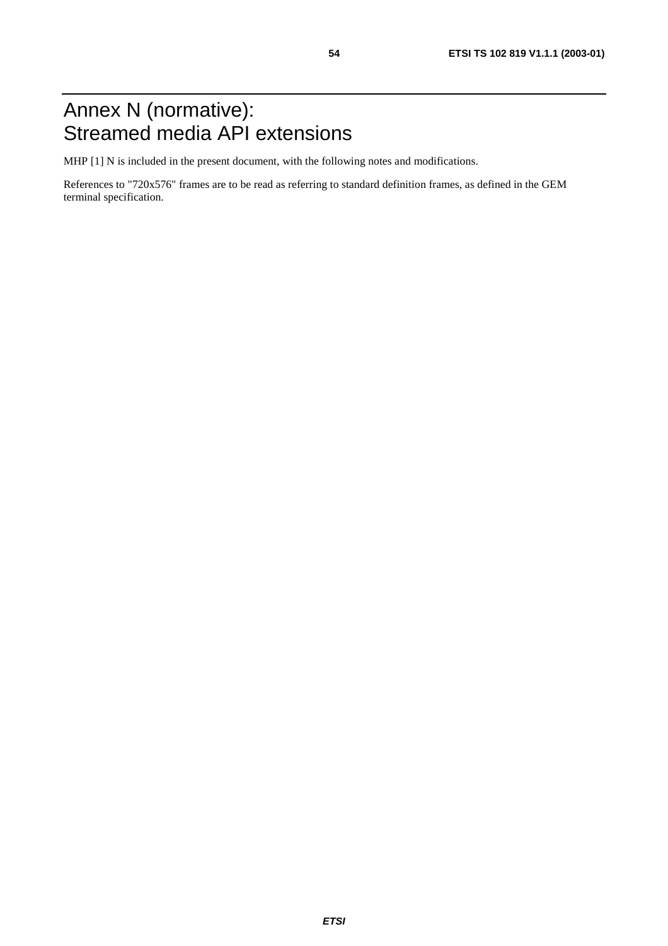MHP [1] N is included in the present document, with the following notes and modifications.

References to "720x576" frames are to be read as referring to standard definition frames, as defined in the GEM terminal specification.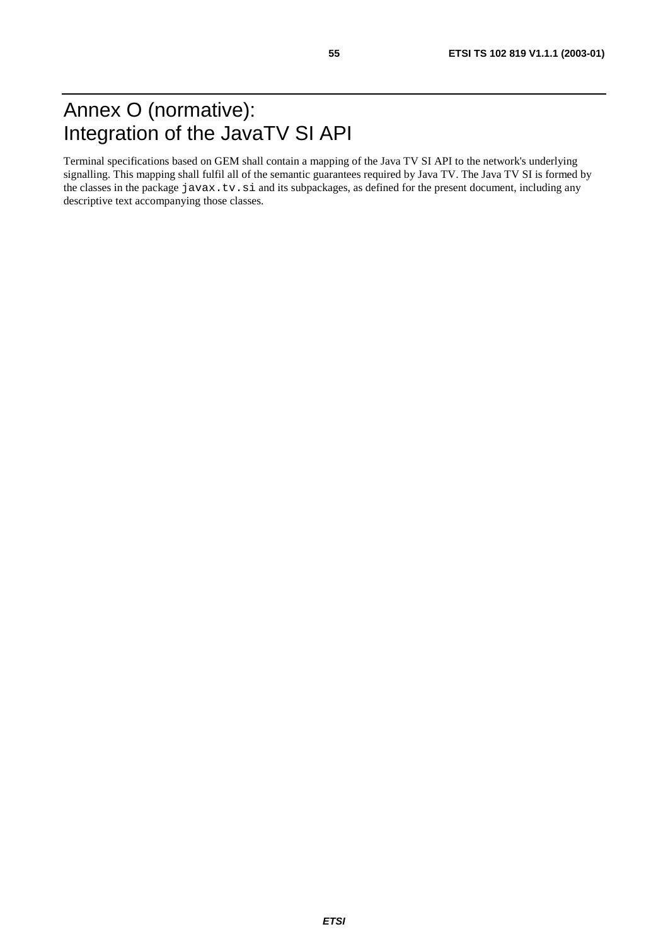Terminal specifications based on GEM shall contain a mapping of the Java TV SI API to the network's underlying signalling. This mapping shall fulfil all of the semantic guarantees required by Java TV. The Java TV SI is formed by the classes in the package javax.tv.si and its subpackages, as defined for the present document, including any descriptive text accompanying those classes.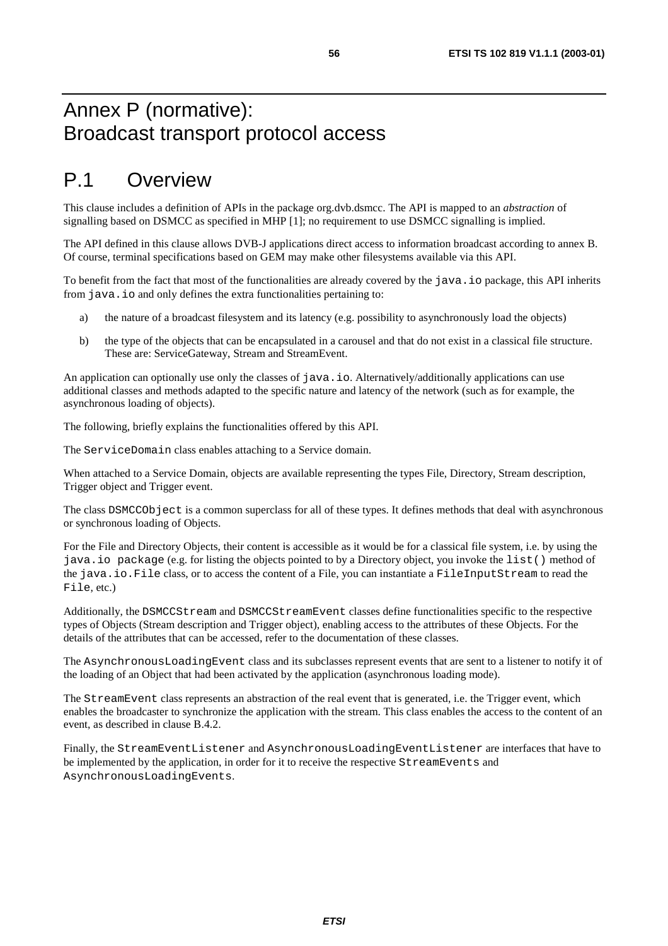## Annex P (normative): Broadcast transport protocol access

## P.1 Overview

This clause includes a definition of APIs in the package org.dvb.dsmcc. The API is mapped to an *abstraction* of signalling based on DSMCC as specified in MHP [1]; no requirement to use DSMCC signalling is implied.

The API defined in this clause allows DVB-J applications direct access to information broadcast according to annex B. Of course, terminal specifications based on GEM may make other filesystems available via this API.

To benefit from the fact that most of the functionalities are already covered by the java.io package, this API inherits from java.io and only defines the extra functionalities pertaining to:

- a) the nature of a broadcast filesystem and its latency (e.g. possibility to asynchronously load the objects)
- b) the type of the objects that can be encapsulated in a carousel and that do not exist in a classical file structure. These are: ServiceGateway, Stream and StreamEvent.

An application can optionally use only the classes of java.io. Alternatively/additionally applications can use additional classes and methods adapted to the specific nature and latency of the network (such as for example, the asynchronous loading of objects).

The following, briefly explains the functionalities offered by this API.

The ServiceDomain class enables attaching to a Service domain.

When attached to a Service Domain, objects are available representing the types File, Directory, Stream description, Trigger object and Trigger event.

The class DSMCCObject is a common superclass for all of these types. It defines methods that deal with asynchronous or synchronous loading of Objects.

For the File and Directory Objects, their content is accessible as it would be for a classical file system, i.e. by using the java.io package (e.g. for listing the objects pointed to by a Directory object, you invoke the list() method of the java.io.File class, or to access the content of a File, you can instantiate a FileInputStream to read the File, etc.)

Additionally, the DSMCCStream and DSMCCStreamEvent classes define functionalities specific to the respective types of Objects (Stream description and Trigger object), enabling access to the attributes of these Objects. For the details of the attributes that can be accessed, refer to the documentation of these classes.

The AsynchronousLoadingEvent class and its subclasses represent events that are sent to a listener to notify it of the loading of an Object that had been activated by the application (asynchronous loading mode).

The StreamEvent class represents an abstraction of the real event that is generated, i.e. the Trigger event, which enables the broadcaster to synchronize the application with the stream. This class enables the access to the content of an event, as described in clause B.4.2.

Finally, the StreamEventListener and AsynchronousLoadingEventListener are interfaces that have to be implemented by the application, in order for it to receive the respective StreamEvents and AsynchronousLoadingEvents.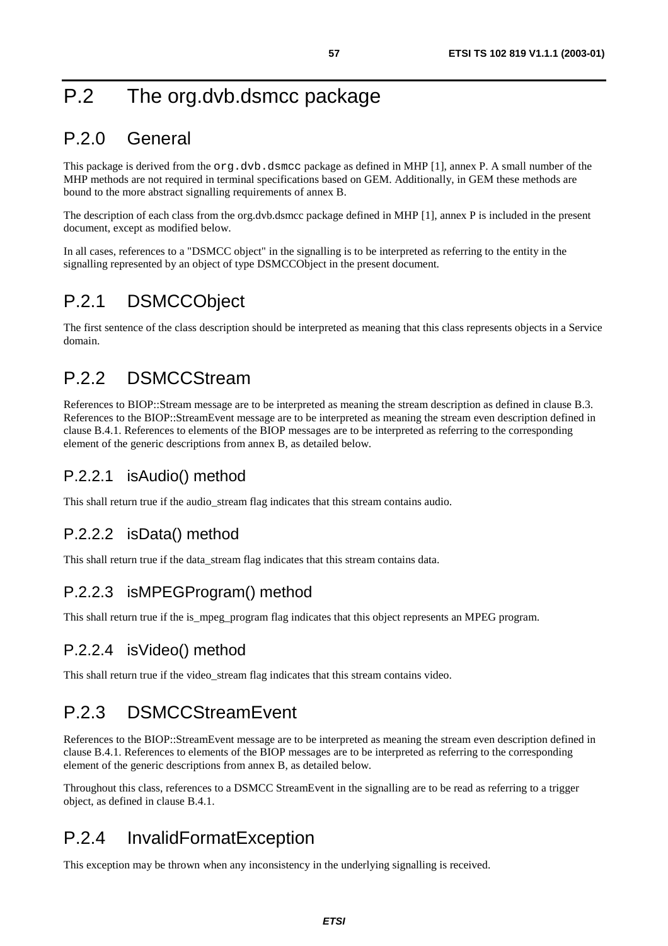## P.2 The org.dvb.dsmcc package

## P.2.0 General

This package is derived from the  $\text{org.dvb.dsmcc package}$  as defined in MHP [1], annex P. A small number of the MHP methods are not required in terminal specifications based on GEM. Additionally, in GEM these methods are bound to the more abstract signalling requirements of annex B.

The description of each class from the org.dvb.dsmcc package defined in MHP [1], annex P is included in the present document, except as modified below.

In all cases, references to a "DSMCC object" in the signalling is to be interpreted as referring to the entity in the signalling represented by an object of type DSMCCObject in the present document.

## P.2.1 DSMCCObject

The first sentence of the class description should be interpreted as meaning that this class represents objects in a Service domain.

## P.2.2 DSMCCStream

References to BIOP::Stream message are to be interpreted as meaning the stream description as defined in clause B.3. References to the BIOP::StreamEvent message are to be interpreted as meaning the stream even description defined in clause B.4.1. References to elements of the BIOP messages are to be interpreted as referring to the corresponding element of the generic descriptions from annex B, as detailed below.

### P.2.2.1 isAudio() method

This shall return true if the audio\_stream flag indicates that this stream contains audio.

### P.2.2.2 isData() method

This shall return true if the data\_stream flag indicates that this stream contains data.

#### P.2.2.3 isMPEGProgram() method

This shall return true if the is mpeg program flag indicates that this object represents an MPEG program.

### P.2.2.4 isVideo() method

This shall return true if the video stream flag indicates that this stream contains video.

## P.2.3 DSMCCStreamEvent

References to the BIOP::StreamEvent message are to be interpreted as meaning the stream even description defined in clause B.4.1. References to elements of the BIOP messages are to be interpreted as referring to the corresponding element of the generic descriptions from annex B, as detailed below.

Throughout this class, references to a DSMCC StreamEvent in the signalling are to be read as referring to a trigger object, as defined in clause B.4.1.

## P.2.4 InvalidFormatException

This exception may be thrown when any inconsistency in the underlying signalling is received.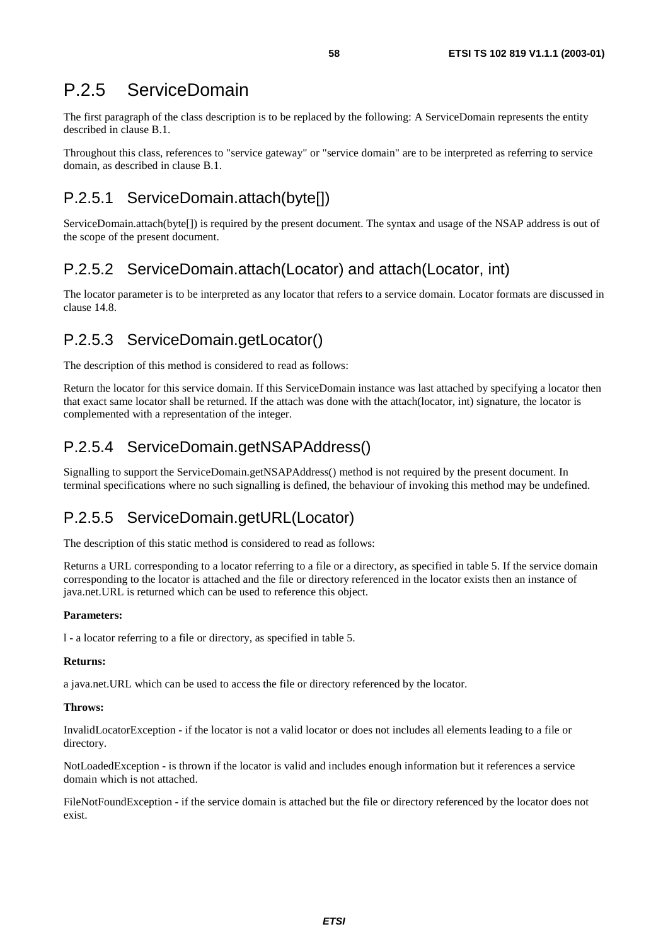### P.2.5 ServiceDomain

The first paragraph of the class description is to be replaced by the following: A ServiceDomain represents the entity described in clause B.1.

Throughout this class, references to "service gateway" or "service domain" are to be interpreted as referring to service domain, as described in clause B.1.

### P.2.5.1 ServiceDomain.attach(byte[])

ServiceDomain.attach(byte[]) is required by the present document. The syntax and usage of the NSAP address is out of the scope of the present document.

### P.2.5.2 ServiceDomain.attach(Locator) and attach(Locator, int)

The locator parameter is to be interpreted as any locator that refers to a service domain. Locator formats are discussed in clause 14.8.

### P.2.5.3 ServiceDomain.getLocator()

The description of this method is considered to read as follows:

Return the locator for this service domain. If this ServiceDomain instance was last attached by specifying a locator then that exact same locator shall be returned. If the attach was done with the attach(locator, int) signature, the locator is complemented with a representation of the integer.

### P.2.5.4 ServiceDomain.getNSAPAddress()

Signalling to support the ServiceDomain.getNSAPAddress() method is not required by the present document. In terminal specifications where no such signalling is defined, the behaviour of invoking this method may be undefined.

### P.2.5.5 ServiceDomain.getURL(Locator)

The description of this static method is considered to read as follows:

Returns a URL corresponding to a locator referring to a file or a directory, as specified in table 5. If the service domain corresponding to the locator is attached and the file or directory referenced in the locator exists then an instance of java.net.URL is returned which can be used to reference this object.

#### **Parameters:**

l - a locator referring to a file or directory, as specified in table 5.

#### **Returns:**

a java.net.URL which can be used to access the file or directory referenced by the locator.

#### **Throws:**

InvalidLocatorException - if the locator is not a valid locator or does not includes all elements leading to a file or directory.

NotLoadedException - is thrown if the locator is valid and includes enough information but it references a service domain which is not attached.

FileNotFoundException - if the service domain is attached but the file or directory referenced by the locator does not exist.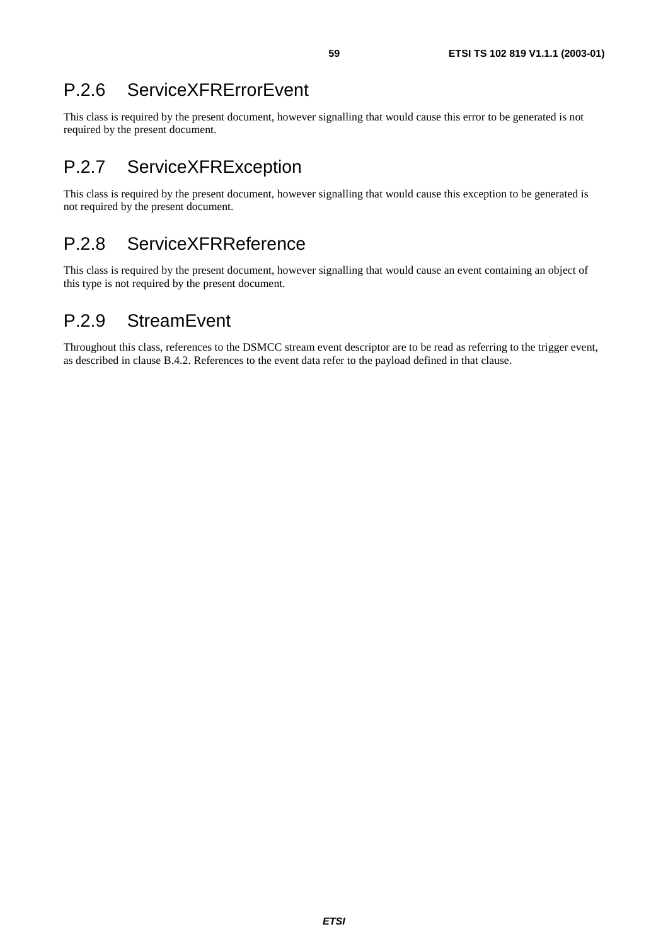## P.2.6 ServiceXFRErrorEvent

This class is required by the present document, however signalling that would cause this error to be generated is not required by the present document.

## P.2.7 ServiceXFRException

This class is required by the present document, however signalling that would cause this exception to be generated is not required by the present document.

## P.2.8 ServiceXFRReference

This class is required by the present document, however signalling that would cause an event containing an object of this type is not required by the present document.

## P.2.9 StreamEvent

Throughout this class, references to the DSMCC stream event descriptor are to be read as referring to the trigger event, as described in clause B.4.2. References to the event data refer to the payload defined in that clause.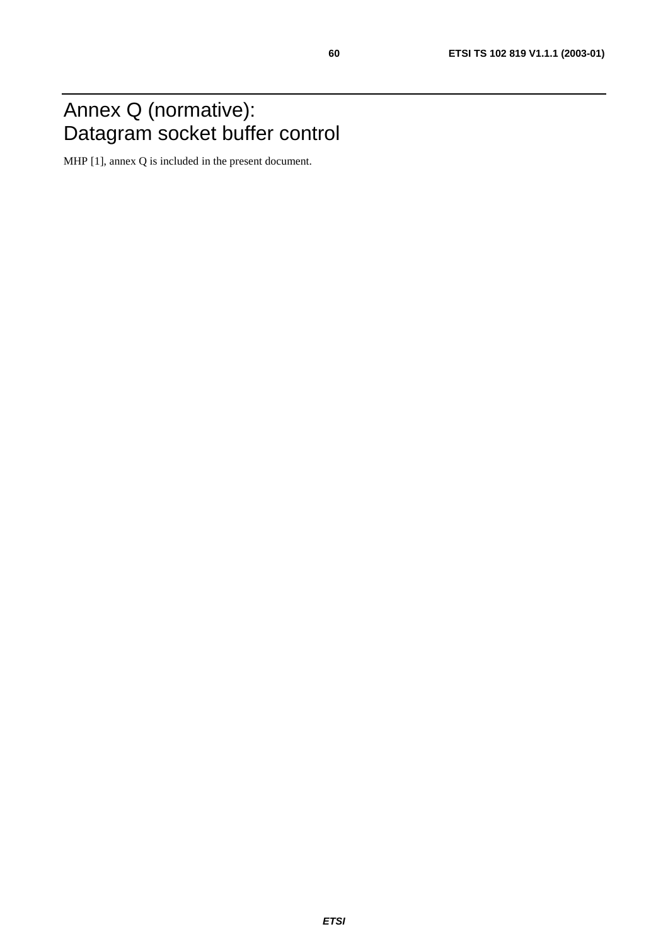## Annex Q (normative): Datagram socket buffer control

MHP [1], annex Q is included in the present document.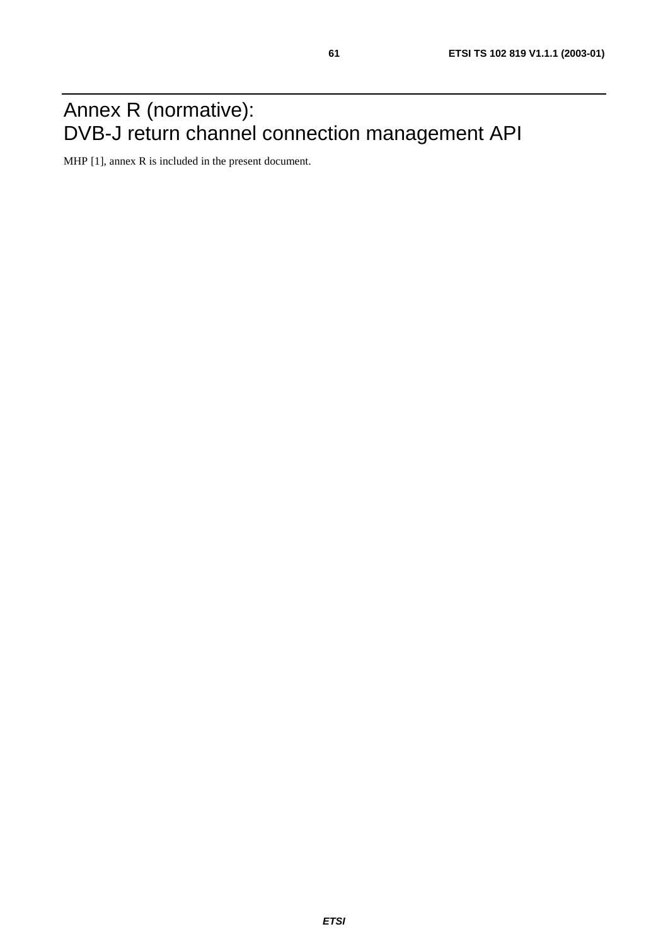## Annex R (normative): DVB-J return channel connection management API

MHP [1], annex R is included in the present document.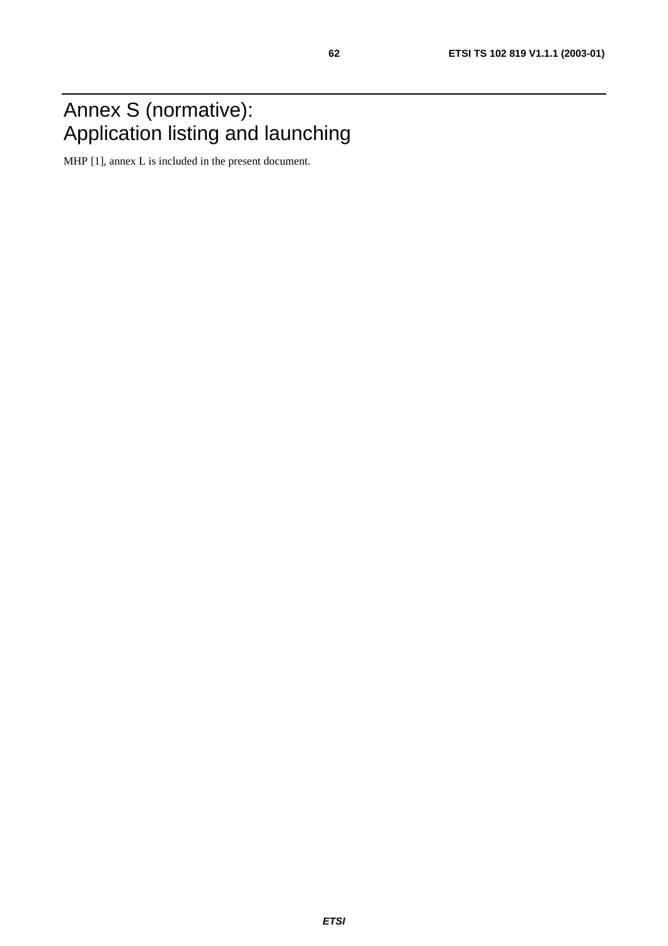## Annex S (normative): Application listing and launching

MHP [1], annex L is included in the present document.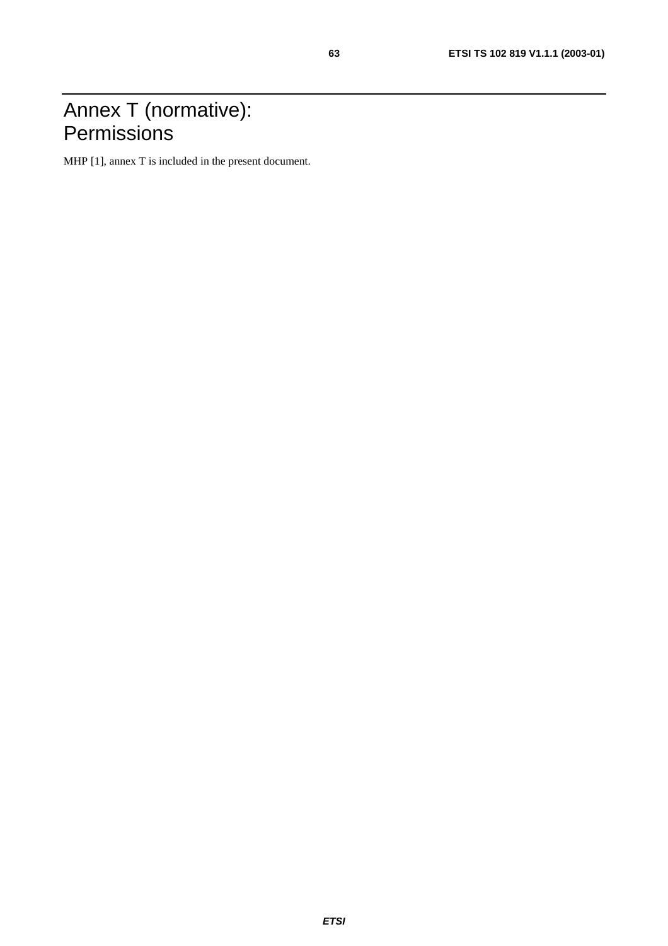## Annex T (normative): **Permissions**

MHP [1], annex T is included in the present document.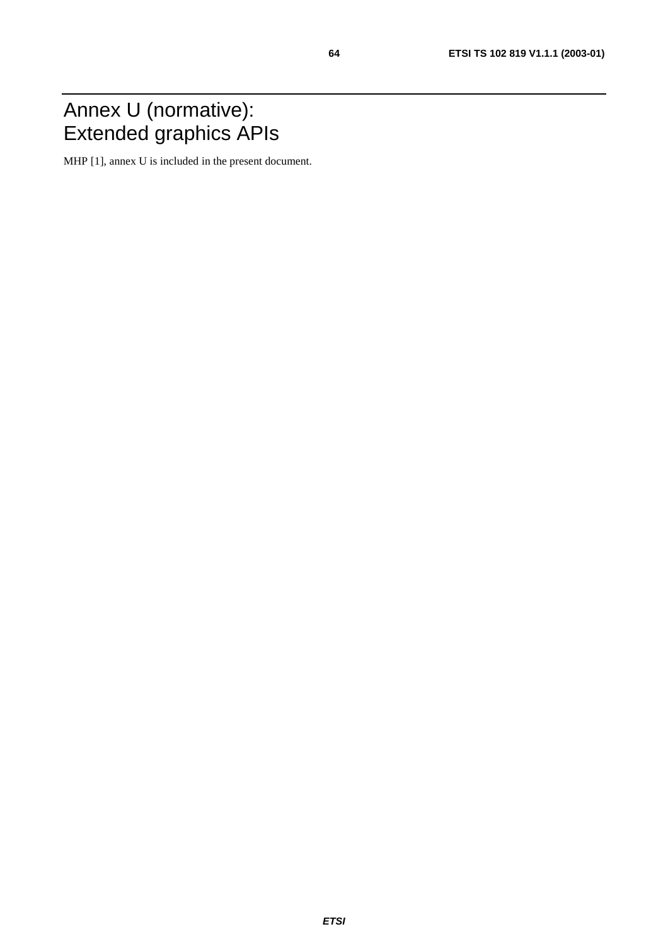## Annex U (normative): Extended graphics APIs

MHP [1], annex U is included in the present document.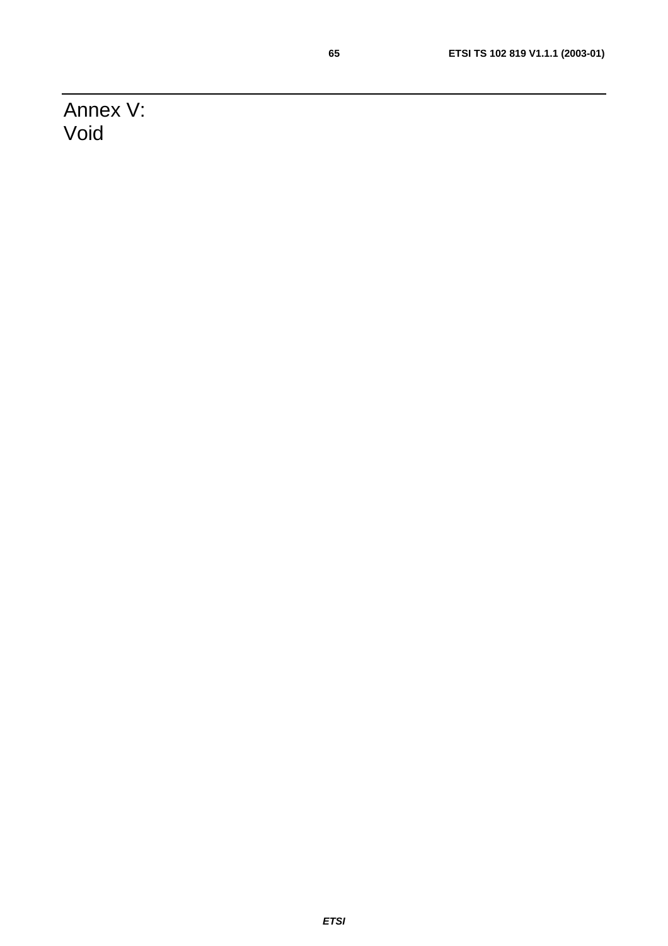Annex V: Void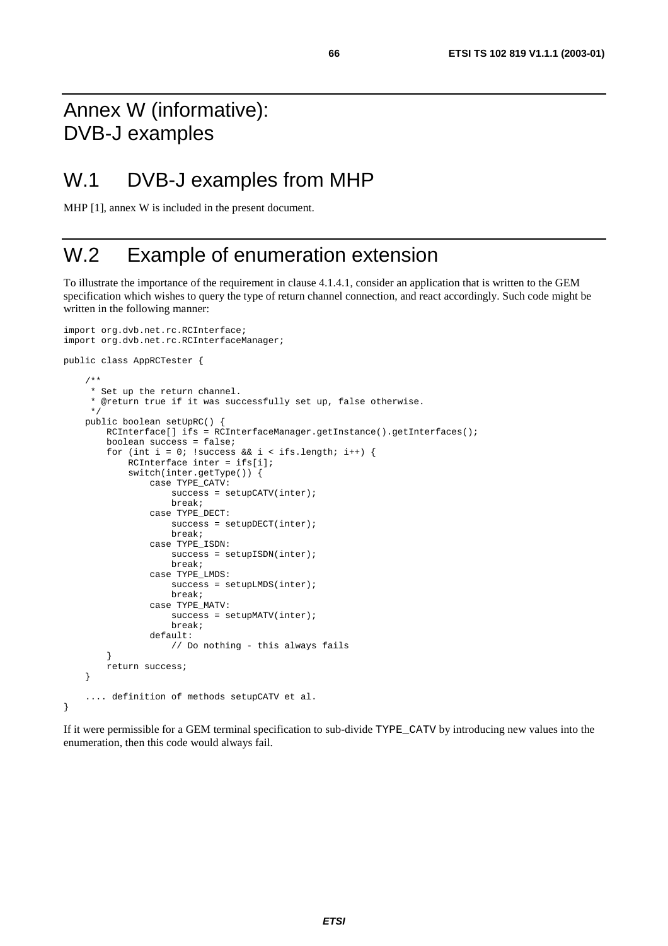## Annex W (informative): DVB-J examples

## W.1 DVB-J examples from MHP

MHP [1], annex W is included in the present document.

## W.2 Example of enumeration extension

To illustrate the importance of the requirement in clause 4.1.4.1, consider an application that is written to the GEM specification which wishes to query the type of return channel connection, and react accordingly. Such code might be written in the following manner:

```
import org.dvb.net.rc.RCInterface; 
import org.dvb.net.rc.RCInterfaceManager; 
public class AppRCTester { 
     /** 
      * Set up the return channel. 
      * @return true if it was successfully set up, false otherwise. 
      */ 
     public boolean setUpRC() { 
        RCInterface[] ifs = RCInterfaceManager.getInstance().getInterfaces();
         boolean success = false; 
        for (int i = 0; !success && i < ifs.length; i++) {
              RCInterface inter = ifs[i]; 
              switch(inter.getType()) { 
                  case TYPE_CATV: 
                     success = setupCATV(inter);
                      break; 
                  case TYPE_DECT: 
                     success = setupDECT(inter); break; 
                  case TYPE_ISDN: 
                     success = setupISDN(inter);
                      break; 
                  case TYPE_LMDS: 
                     success = setupLMDS(inter);
                      break; 
                  case TYPE_MATV: 
                      success = setupMATV(inter); 
                      break; 
                  default: 
                      // Do nothing - this always fails 
 } 
         return success; 
     } 
     .... definition of methods setupCATV et al. 
}
```
If it were permissible for a GEM terminal specification to sub-divide TYPE\_CATV by introducing new values into the enumeration, then this code would always fail.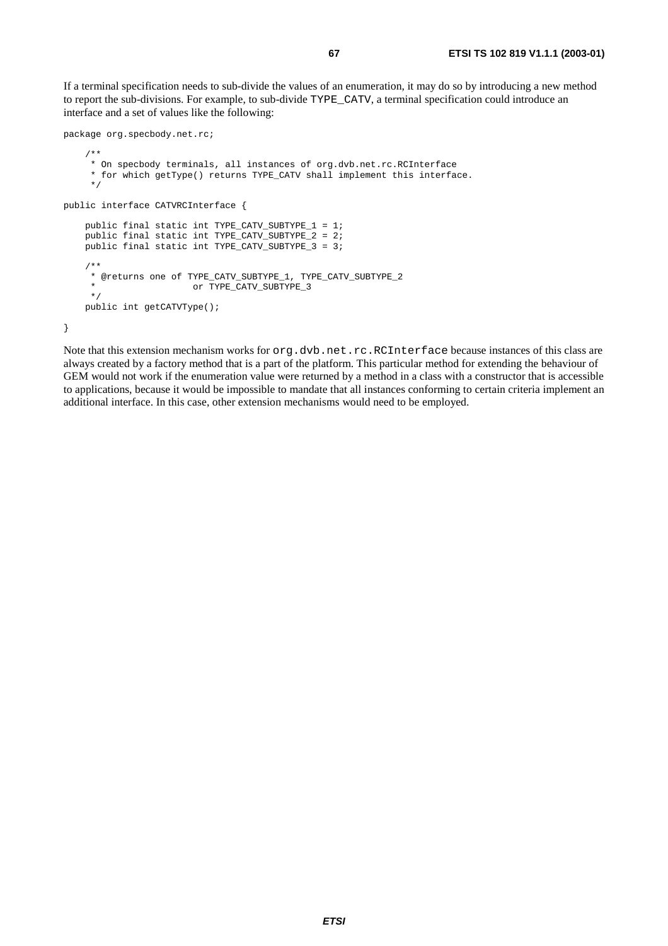If a terminal specification needs to sub-divide the values of an enumeration, it may do so by introducing a new method to report the sub-divisions. For example, to sub-divide TYPE\_CATV, a terminal specification could introduce an interface and a set of values like the following:

```
package org.specbody.net.rc; 
     /** 
      * On specbody terminals, all instances of org.dvb.net.rc.RCInterface 
      * for which getType() returns TYPE_CATV shall implement this interface. 
      */ 
public interface CATVRCInterface { 
     public final static int TYPE_CATV_SUBTYPE_1 = 1; 
     public final static int TYPE_CATV_SUBTYPE_2 = 2; 
     public final static int TYPE_CATV_SUBTYPE_3 = 3; 
     /** 
     * @returns one of TYPE_CATV_SUBTYPE_1, TYPE_CATV_SUBTYPE_2 
                     or TYPE_CATV_SUBTYPE_3
      */ 
     public int getCATVType(); 
}
```
Note that this extension mechanism works for org.dvb.net.rc.RCInterface because instances of this class are always created by a factory method that is a part of the platform. This particular method for extending the behaviour of GEM would not work if the enumeration value were returned by a method in a class with a constructor that is accessible to applications, because it would be impossible to mandate that all instances conforming to certain criteria implement an additional interface. In this case, other extension mechanisms would need to be employed.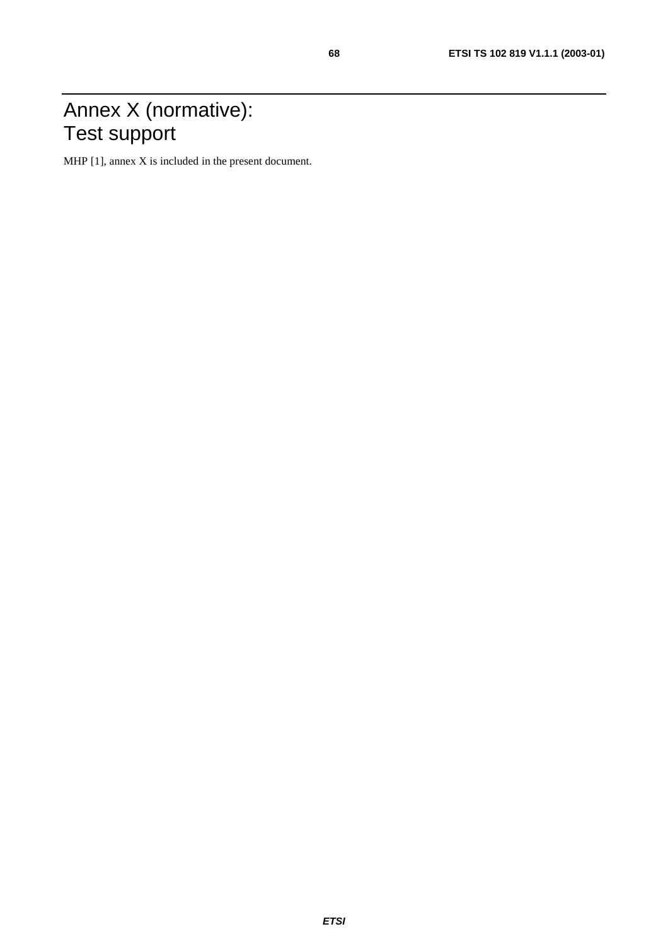## Annex X (normative): Test support

MHP [1], annex X is included in the present document.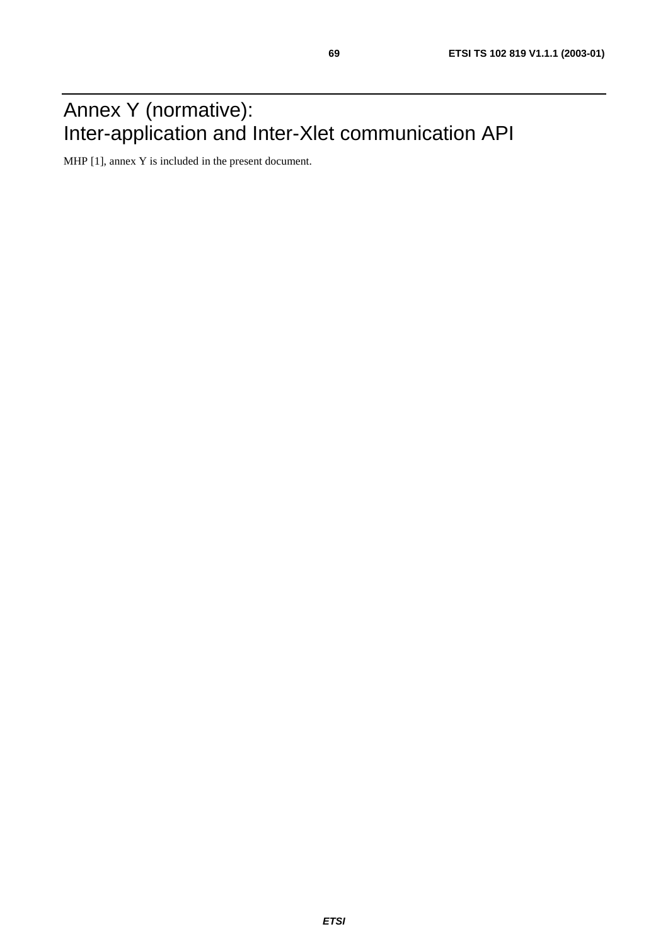## Annex Y (normative): Inter-application and Inter-Xlet communication API

MHP [1], annex Y is included in the present document.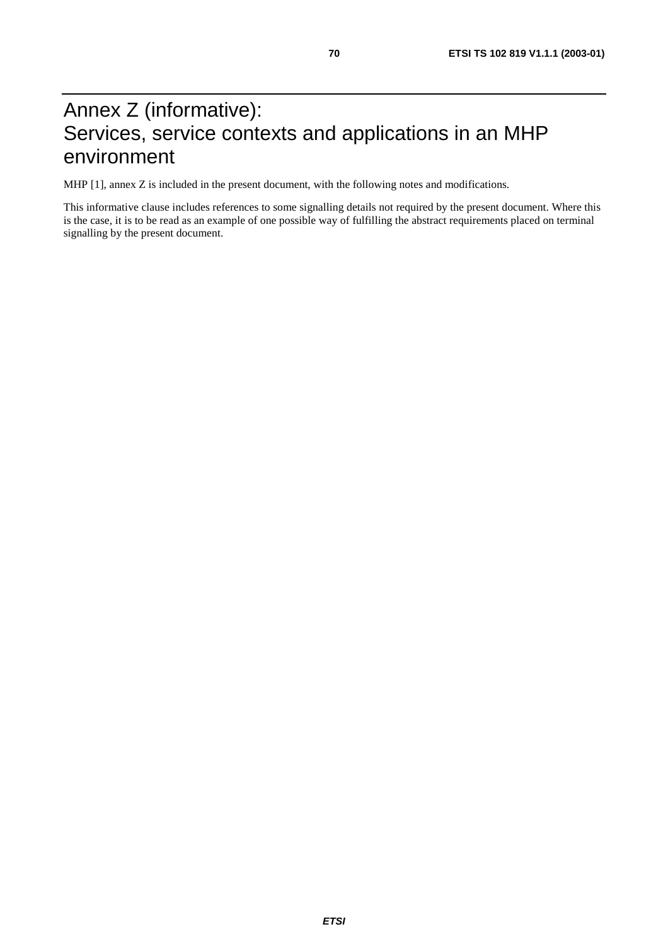## Annex Z (informative): Services, service contexts and applications in an MHP environment

MHP [1], annex Z is included in the present document, with the following notes and modifications.

This informative clause includes references to some signalling details not required by the present document. Where this is the case, it is to be read as an example of one possible way of fulfilling the abstract requirements placed on terminal signalling by the present document.